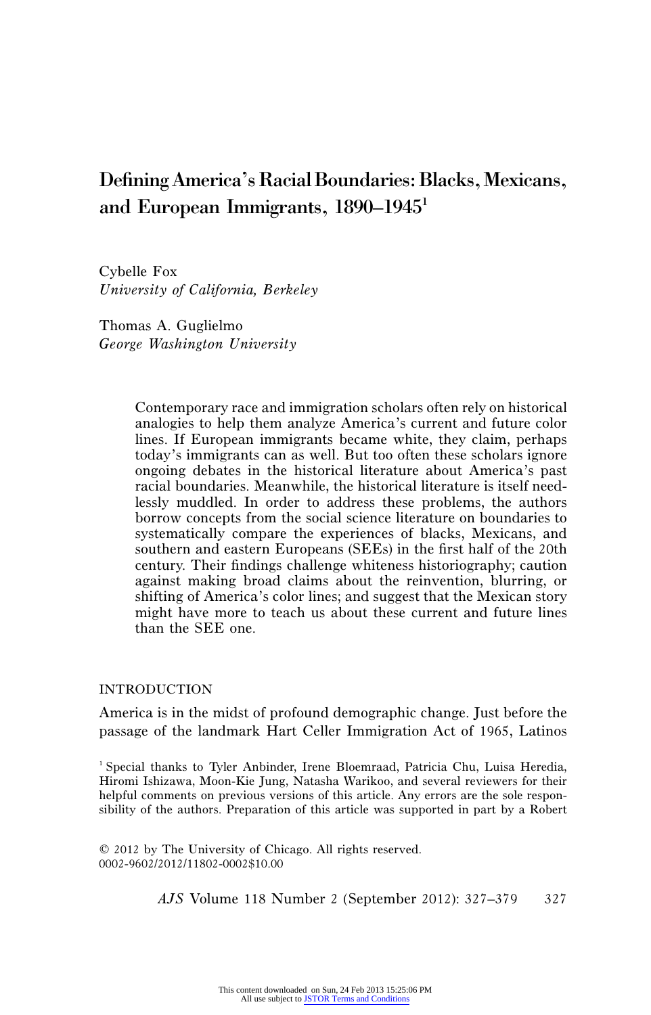# Defining America's Racial Boundaries: Blacks, Mexicans, and European Immigrants, 1890–19451

Cybelle Fox *University of California, Berkeley*

Thomas A. Guglielmo *George Washington University*

> Contemporary race and immigration scholars often rely on historical analogies to help them analyze America's current and future color lines. If European immigrants became white, they claim, perhaps today's immigrants can as well. But too often these scholars ignore ongoing debates in the historical literature about America's past racial boundaries. Meanwhile, the historical literature is itself needlessly muddled. In order to address these problems, the authors borrow concepts from the social science literature on boundaries to systematically compare the experiences of blacks, Mexicans, and southern and eastern Europeans (SEEs) in the first half of the 20th century. Their findings challenge whiteness historiography; caution against making broad claims about the reinvention, blurring, or shifting of America's color lines; and suggest that the Mexican story might have more to teach us about these current and future lines than the SEE one.

#### INTRODUCTION

America is in the midst of profound demographic change. Just before the passage of the landmark Hart Celler Immigration Act of 1965, Latinos

<sup>1</sup> Special thanks to Tyler Anbinder, Irene Bloemraad, Patricia Chu, Luisa Heredia, Hiromi Ishizawa, Moon-Kie Jung, Natasha Warikoo, and several reviewers for their helpful comments on previous versions of this article. Any errors are the sole responsibility of the authors. Preparation of this article was supported in part by a Robert

 $© 2012$  by The University of Chicago. All rights reserved. 0002-9602/2012/11802-0002\$10.00

*AJS* Volume 118 Number 2 (September 2012): 327–379 327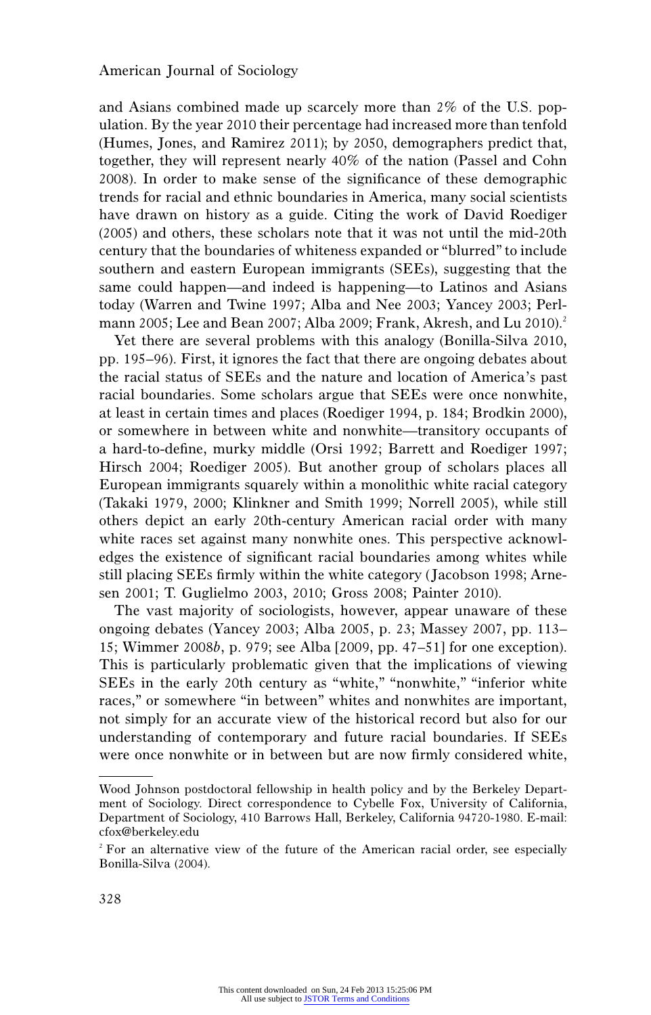and Asians combined made up scarcely more than 2% of the U.S. population. By the year 2010 their percentage had increased more than tenfold (Humes, Jones, and Ramirez 2011); by 2050, demographers predict that, together, they will represent nearly 40% of the nation (Passel and Cohn 2008). In order to make sense of the significance of these demographic trends for racial and ethnic boundaries in America, many social scientists have drawn on history as a guide. Citing the work of David Roediger (2005) and others, these scholars note that it was not until the mid-20th century that the boundaries of whiteness expanded or "blurred" to include southern and eastern European immigrants (SEEs), suggesting that the same could happen—and indeed is happening—to Latinos and Asians today (Warren and Twine 1997; Alba and Nee 2003; Yancey 2003; Perlmann 2005; Lee and Bean 2007; Alba 2009; Frank, Akresh, and Lu 2010).<sup>2</sup>

Yet there are several problems with this analogy (Bonilla-Silva 2010, pp. 195–96). First, it ignores the fact that there are ongoing debates about the racial status of SEEs and the nature and location of America's past racial boundaries. Some scholars argue that SEEs were once nonwhite, at least in certain times and places (Roediger 1994, p. 184; Brodkin 2000), or somewhere in between white and nonwhite—transitory occupants of a hard-to-define, murky middle (Orsi 1992; Barrett and Roediger 1997; Hirsch 2004; Roediger 2005). But another group of scholars places all European immigrants squarely within a monolithic white racial category (Takaki 1979, 2000; Klinkner and Smith 1999; Norrell 2005), while still others depict an early 20th-century American racial order with many white races set against many nonwhite ones. This perspective acknowledges the existence of significant racial boundaries among whites while still placing SEEs firmly within the white category (Jacobson 1998; Arnesen 2001; T. Guglielmo 2003, 2010; Gross 2008; Painter 2010).

The vast majority of sociologists, however, appear unaware of these ongoing debates (Yancey 2003; Alba 2005, p. 23; Massey 2007, pp. 113– 15; Wimmer 2008*b*, p. 979; see Alba [2009, pp. 47–51] for one exception). This is particularly problematic given that the implications of viewing SEEs in the early 20th century as "white," "nonwhite," "inferior white races," or somewhere "in between" whites and nonwhites are important, not simply for an accurate view of the historical record but also for our understanding of contemporary and future racial boundaries. If SEEs were once nonwhite or in between but are now firmly considered white,

Wood Johnson postdoctoral fellowship in health policy and by the Berkeley Department of Sociology. Direct correspondence to Cybelle Fox, University of California, Department of Sociology, 410 Barrows Hall, Berkeley, California 94720-1980. E-mail: [cfox@berkeley.edu](mailto:cfox@berkeley.edu)

<sup>2</sup> For an alternative view of the future of the American racial order, see especially Bonilla-Silva (2004).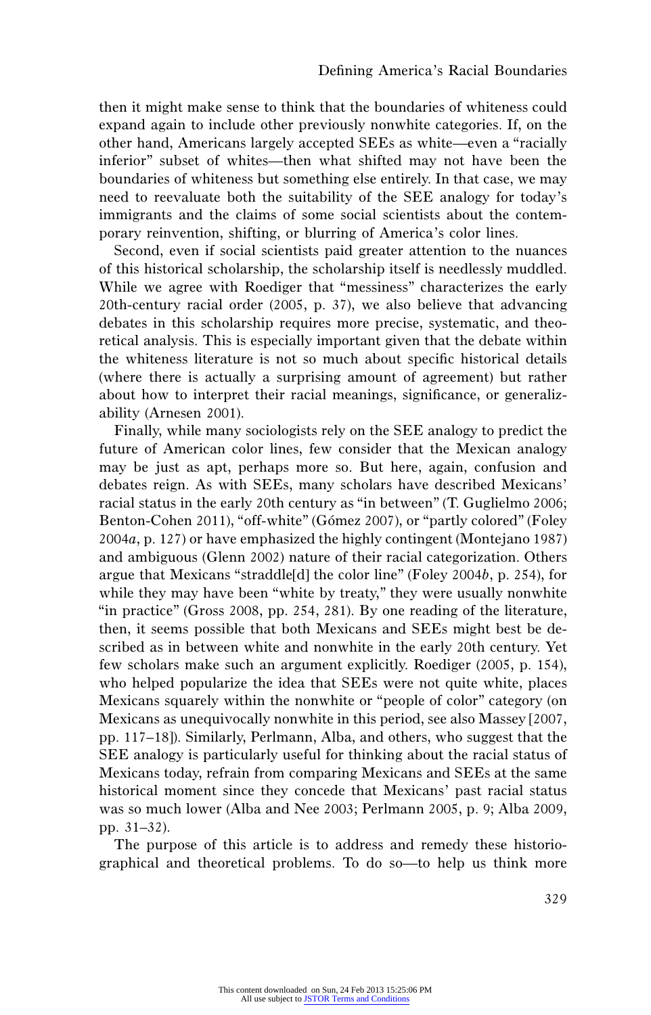then it might make sense to think that the boundaries of whiteness could expand again to include other previously nonwhite categories. If, on the other hand, Americans largely accepted SEEs as white—even a "racially inferior" subset of whites—then what shifted may not have been the boundaries of whiteness but something else entirely. In that case, we may need to reevaluate both the suitability of the SEE analogy for today's immigrants and the claims of some social scientists about the contemporary reinvention, shifting, or blurring of America's color lines.

Second, even if social scientists paid greater attention to the nuances of this historical scholarship, the scholarship itself is needlessly muddled. While we agree with Roediger that "messiness" characterizes the early 20th-century racial order (2005, p. 37), we also believe that advancing debates in this scholarship requires more precise, systematic, and theoretical analysis. This is especially important given that the debate within the whiteness literature is not so much about specific historical details (where there is actually a surprising amount of agreement) but rather about how to interpret their racial meanings, significance, or generalizability (Arnesen 2001).

Finally, while many sociologists rely on the SEE analogy to predict the future of American color lines, few consider that the Mexican analogy may be just as apt, perhaps more so. But here, again, confusion and debates reign. As with SEEs, many scholars have described Mexicans' racial status in the early 20th century as "in between" (T. Guglielmo 2006; Benton-Cohen 2011), "off-white" (Gómez 2007), or "partly colored" (Foley 2004*a*, p. 127) or have emphasized the highly contingent (Montejano 1987) and ambiguous (Glenn 2002) nature of their racial categorization. Others argue that Mexicans "straddle[d] the color line" (Foley 2004*b*, p. 254), for while they may have been "white by treaty," they were usually nonwhite "in practice" (Gross 2008, pp. 254, 281). By one reading of the literature, then, it seems possible that both Mexicans and SEEs might best be described as in between white and nonwhite in the early 20th century. Yet few scholars make such an argument explicitly. Roediger (2005, p. 154), who helped popularize the idea that SEEs were not quite white, places Mexicans squarely within the nonwhite or "people of color" category (on Mexicans as unequivocally nonwhite in this period, see also Massey [2007, pp. 117–18]). Similarly, Perlmann, Alba, and others, who suggest that the SEE analogy is particularly useful for thinking about the racial status of Mexicans today, refrain from comparing Mexicans and SEEs at the same historical moment since they concede that Mexicans' past racial status was so much lower (Alba and Nee 2003; Perlmann 2005, p. 9; Alba 2009, pp. 31–32).

The purpose of this article is to address and remedy these historiographical and theoretical problems. To do so—to help us think more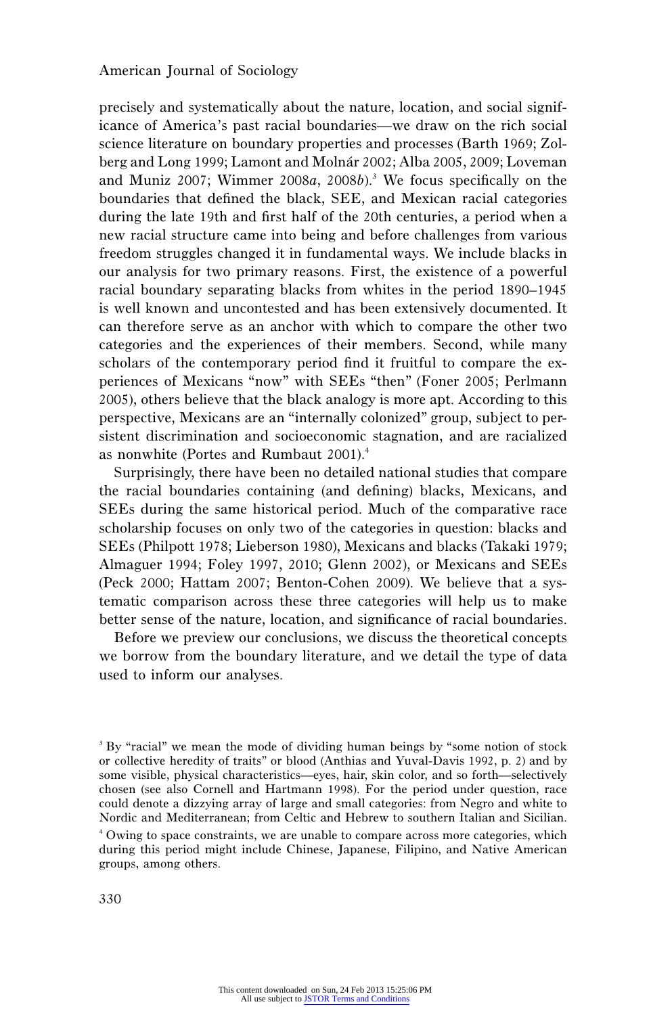precisely and systematically about the nature, location, and social significance of America's past racial boundaries—we draw on the rich social science literature on boundary properties and processes (Barth 1969; Zolberg and Long 1999; Lamont and Molnár 2002; Alba 2005, 2009; Loveman and Muniz 2007; Wimmer 2008*a*, 2008*b*).3 We focus specifically on the boundaries that defined the black, SEE, and Mexican racial categories during the late 19th and first half of the 20th centuries, a period when a new racial structure came into being and before challenges from various freedom struggles changed it in fundamental ways. We include blacks in our analysis for two primary reasons. First, the existence of a powerful racial boundary separating blacks from whites in the period 1890–1945 is well known and uncontested and has been extensively documented. It can therefore serve as an anchor with which to compare the other two categories and the experiences of their members. Second, while many scholars of the contemporary period find it fruitful to compare the experiences of Mexicans "now" with SEEs "then" (Foner 2005; Perlmann 2005), others believe that the black analogy is more apt. According to this perspective, Mexicans are an "internally colonized" group, subject to persistent discrimination and socioeconomic stagnation, and are racialized as nonwhite (Portes and Rumbaut 2001).<sup>4</sup>

Surprisingly, there have been no detailed national studies that compare the racial boundaries containing (and defining) blacks, Mexicans, and SEEs during the same historical period. Much of the comparative race scholarship focuses on only two of the categories in question: blacks and SEEs (Philpott 1978; Lieberson 1980), Mexicans and blacks (Takaki 1979; Almaguer 1994; Foley 1997, 2010; Glenn 2002), or Mexicans and SEEs (Peck 2000; Hattam 2007; Benton-Cohen 2009). We believe that a systematic comparison across these three categories will help us to make better sense of the nature, location, and significance of racial boundaries.

Before we preview our conclusions, we discuss the theoretical concepts we borrow from the boundary literature, and we detail the type of data used to inform our analyses.

<sup>&</sup>lt;sup>3</sup> By "racial" we mean the mode of dividing human beings by "some notion of stock or collective heredity of traits" or blood (Anthias and Yuval-Davis 1992, p. 2) and by some visible, physical characteristics—eyes, hair, skin color, and so forth—selectively chosen (see also Cornell and Hartmann 1998). For the period under question, race could denote a dizzying array of large and small categories: from Negro and white to Nordic and Mediterranean; from Celtic and Hebrew to southern Italian and Sicilian. <sup>4</sup> Owing to space constraints, we are unable to compare across more categories, which during this period might include Chinese, Japanese, Filipino, and Native American groups, among others.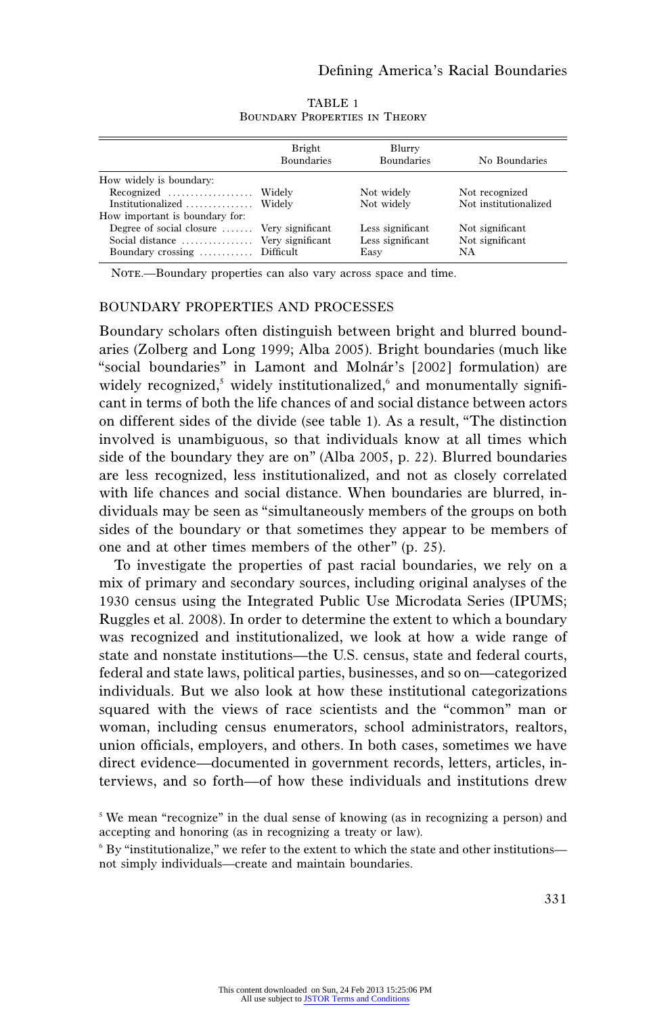| Blurry<br><b>Boundaries</b><br>No Boundaries |
|----------------------------------------------|
|                                              |
| Not widely<br>Not recognized                 |
| Not institutionalized<br>Not widely          |
|                                              |
| Less significant<br>Not significant          |
| Less significant<br>Not significant          |
| NΑ                                           |
|                                              |

TABLE 1 Boundary Properties in Theory

NOTE.—Boundary properties can also vary across space and time.

#### BOUNDARY PROPERTIES AND PROCESSES

Boundary scholars often distinguish between bright and blurred boundaries (Zolberg and Long 1999; Alba 2005). Bright boundaries (much like "social boundaries" in Lamont and Molnár's [2002] formulation) are widely recognized,<sup>5</sup> widely institutionalized,<sup>6</sup> and monumentally significant in terms of both the life chances of and social distance between actors on different sides of the divide (see table 1). As a result, "The distinction involved is unambiguous, so that individuals know at all times which side of the boundary they are on" (Alba 2005, p. 22). Blurred boundaries are less recognized, less institutionalized, and not as closely correlated with life chances and social distance. When boundaries are blurred, individuals may be seen as "simultaneously members of the groups on both sides of the boundary or that sometimes they appear to be members of one and at other times members of the other" (p. 25).

To investigate the properties of past racial boundaries, we rely on a mix of primary and secondary sources, including original analyses of the 1930 census using the Integrated Public Use Microdata Series (IPUMS; Ruggles et al. 2008). In order to determine the extent to which a boundary was recognized and institutionalized, we look at how a wide range of state and nonstate institutions—the U.S. census, state and federal courts, federal and state laws, political parties, businesses, and so on—categorized individuals. But we also look at how these institutional categorizations squared with the views of race scientists and the "common" man or woman, including census enumerators, school administrators, realtors, union officials, employers, and others. In both cases, sometimes we have direct evidence—documented in government records, letters, articles, interviews, and so forth—of how these individuals and institutions drew

<sup>5</sup> We mean "recognize" in the dual sense of knowing (as in recognizing a person) and accepting and honoring (as in recognizing a treaty or law).

 $6$  By "institutionalize," we refer to the extent to which the state and other institutions not simply individuals—create and maintain boundaries.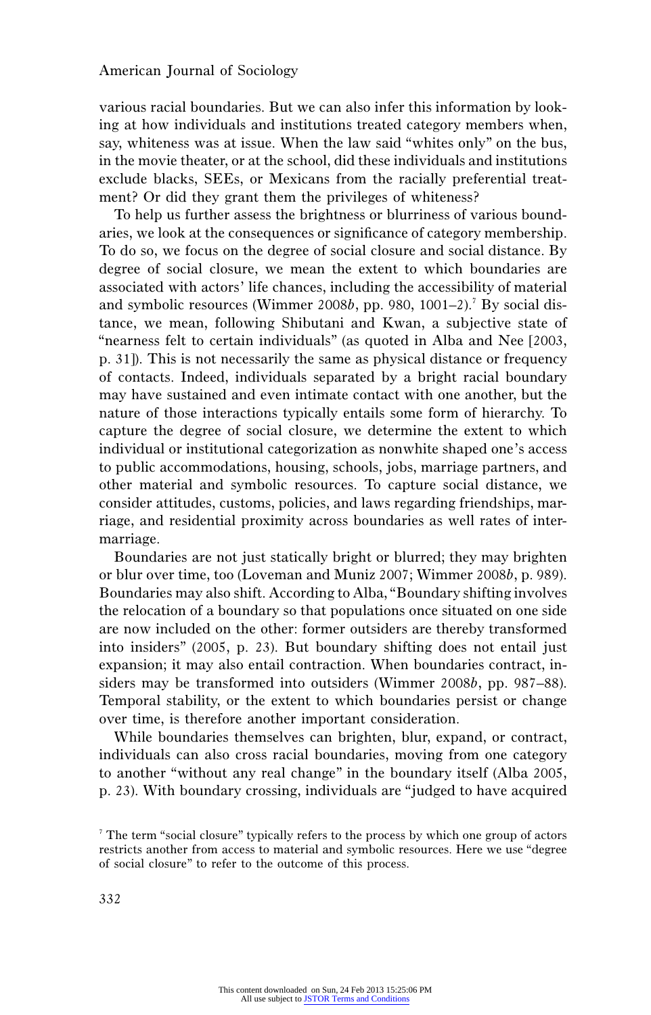various racial boundaries. But we can also infer this information by looking at how individuals and institutions treated category members when, say, whiteness was at issue. When the law said "whites only" on the bus, in the movie theater, or at the school, did these individuals and institutions exclude blacks, SEEs, or Mexicans from the racially preferential treatment? Or did they grant them the privileges of whiteness?

To help us further assess the brightness or blurriness of various boundaries, we look at the consequences or significance of category membership. To do so, we focus on the degree of social closure and social distance. By degree of social closure, we mean the extent to which boundaries are associated with actors' life chances, including the accessibility of material and symbolic resources (Wimmer 2008b, pp. 980,  $1001-2$ ).<sup>7</sup> By social distance, we mean, following Shibutani and Kwan, a subjective state of "nearness felt to certain individuals" (as quoted in Alba and Nee [2003, p. 31]). This is not necessarily the same as physical distance or frequency of contacts. Indeed, individuals separated by a bright racial boundary may have sustained and even intimate contact with one another, but the nature of those interactions typically entails some form of hierarchy. To capture the degree of social closure, we determine the extent to which individual or institutional categorization as nonwhite shaped one's access to public accommodations, housing, schools, jobs, marriage partners, and other material and symbolic resources. To capture social distance, we consider attitudes, customs, policies, and laws regarding friendships, marriage, and residential proximity across boundaries as well rates of intermarriage.

Boundaries are not just statically bright or blurred; they may brighten or blur over time, too (Loveman and Muniz 2007; Wimmer 2008*b*, p. 989). Boundaries may also shift. According to Alba, "Boundary shifting involves the relocation of a boundary so that populations once situated on one side are now included on the other: former outsiders are thereby transformed into insiders" (2005, p. 23). But boundary shifting does not entail just expansion; it may also entail contraction. When boundaries contract, insiders may be transformed into outsiders (Wimmer 2008*b*, pp. 987–88). Temporal stability, or the extent to which boundaries persist or change over time, is therefore another important consideration.

While boundaries themselves can brighten, blur, expand, or contract, individuals can also cross racial boundaries, moving from one category to another "without any real change" in the boundary itself (Alba 2005, p. 23). With boundary crossing, individuals are "judged to have acquired

<sup>7</sup> The term "social closure" typically refers to the process by which one group of actors restricts another from access to material and symbolic resources. Here we use "degree of social closure" to refer to the outcome of this process.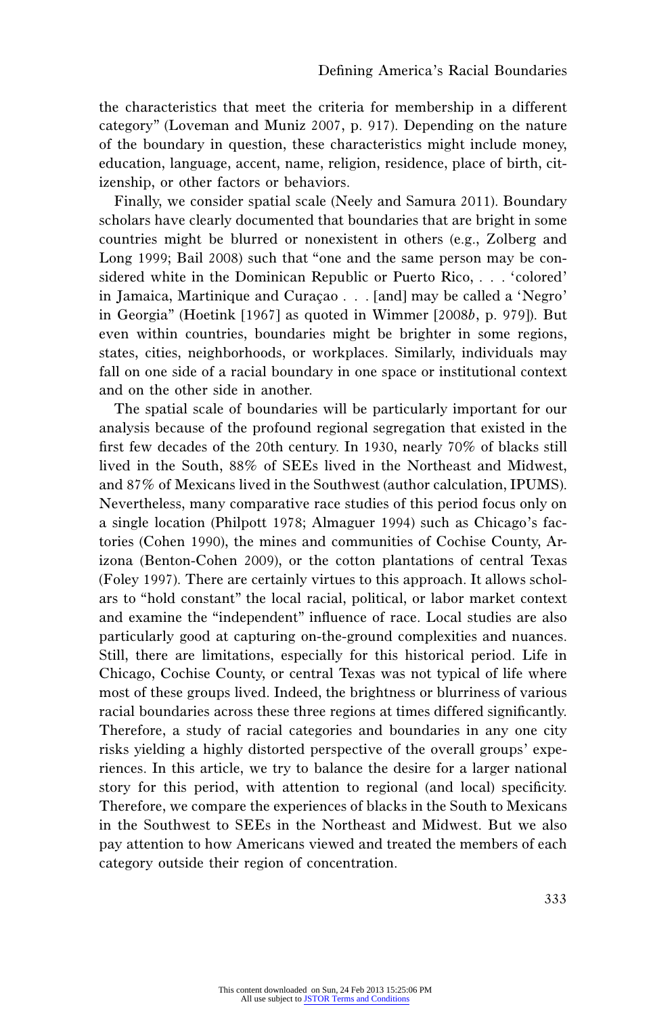the characteristics that meet the criteria for membership in a different category" (Loveman and Muniz 2007, p. 917). Depending on the nature of the boundary in question, these characteristics might include money, education, language, accent, name, religion, residence, place of birth, citizenship, or other factors or behaviors.

Finally, we consider spatial scale (Neely and Samura 2011). Boundary scholars have clearly documented that boundaries that are bright in some countries might be blurred or nonexistent in others (e.g., Zolberg and Long 1999; Bail 2008) such that "one and the same person may be considered white in the Dominican Republic or Puerto Rico, . . . 'colored' in Jamaica, Martinique and Curação . . . [and] may be called a 'Negro' in Georgia" (Hoetink [1967] as quoted in Wimmer [2008*b*, p. 979]). But even within countries, boundaries might be brighter in some regions, states, cities, neighborhoods, or workplaces. Similarly, individuals may fall on one side of a racial boundary in one space or institutional context and on the other side in another.

The spatial scale of boundaries will be particularly important for our analysis because of the profound regional segregation that existed in the first few decades of the 20th century. In 1930, nearly 70% of blacks still lived in the South, 88% of SEEs lived in the Northeast and Midwest, and 87% of Mexicans lived in the Southwest (author calculation, IPUMS). Nevertheless, many comparative race studies of this period focus only on a single location (Philpott 1978; Almaguer 1994) such as Chicago's factories (Cohen 1990), the mines and communities of Cochise County, Arizona (Benton-Cohen 2009), or the cotton plantations of central Texas (Foley 1997). There are certainly virtues to this approach. It allows scholars to "hold constant" the local racial, political, or labor market context and examine the "independent" influence of race. Local studies are also particularly good at capturing on-the-ground complexities and nuances. Still, there are limitations, especially for this historical period. Life in Chicago, Cochise County, or central Texas was not typical of life where most of these groups lived. Indeed, the brightness or blurriness of various racial boundaries across these three regions at times differed significantly. Therefore, a study of racial categories and boundaries in any one city risks yielding a highly distorted perspective of the overall groups' experiences. In this article, we try to balance the desire for a larger national story for this period, with attention to regional (and local) specificity. Therefore, we compare the experiences of blacks in the South to Mexicans in the Southwest to SEEs in the Northeast and Midwest. But we also pay attention to how Americans viewed and treated the members of each category outside their region of concentration.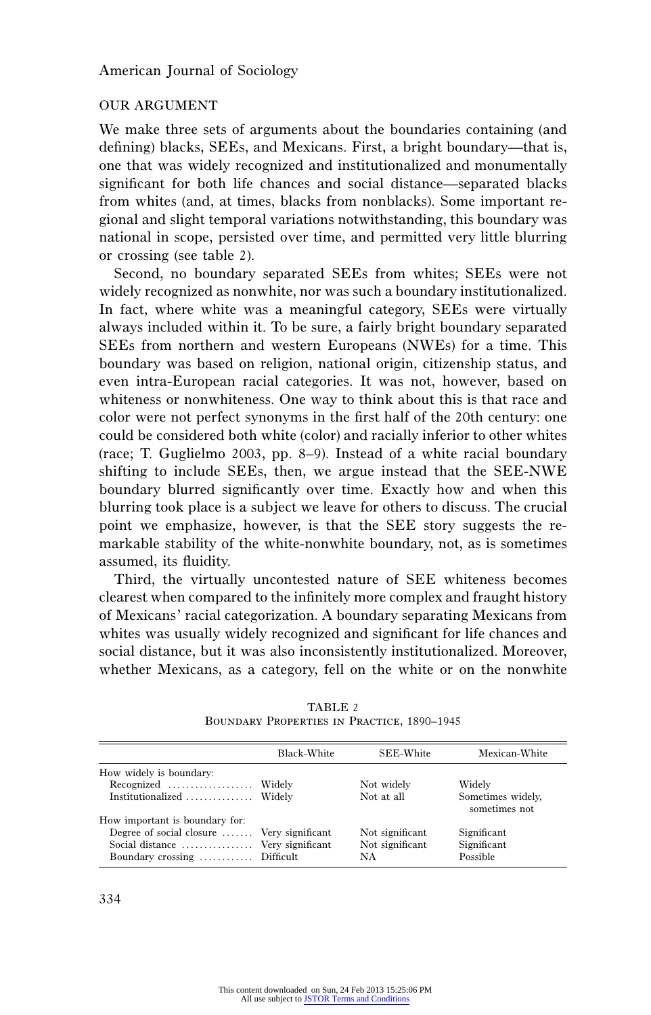#### OUR ARGUMENT

We make three sets of arguments about the boundaries containing (and defining) blacks, SEEs, and Mexicans. First, a bright boundary—that is, one that was widely recognized and institutionalized and monumentally significant for both life chances and social distance—separated blacks from whites (and, at times, blacks from nonblacks). Some important regional and slight temporal variations notwithstanding, this boundary was national in scope, persisted over time, and permitted very little blurring or crossing (see table 2).

Second, no boundary separated SEEs from whites; SEEs were not widely recognized as nonwhite, nor was such a boundary institutionalized. In fact, where white was a meaningful category, SEEs were virtually always included within it. To be sure, a fairly bright boundary separated SEEs from northern and western Europeans (NWEs) for a time. This boundary was based on religion, national origin, citizenship status, and even intra-European racial categories. It was not, however, based on whiteness or nonwhiteness. One way to think about this is that race and color were not perfect synonyms in the first half of the 20th century: one could be considered both white (color) and racially inferior to other whites (race; T. Guglielmo 2003, pp. 8–9). Instead of a white racial boundary shifting to include SEEs, then, we argue instead that the SEE-NWE boundary blurred significantly over time. Exactly how and when this blurring took place is a subject we leave for others to discuss. The crucial point we emphasize, however, is that the SEE story suggests the remarkable stability of the white-nonwhite boundary, not, as is sometimes assumed, its fluidity.

Third, the virtually uncontested nature of SEE whiteness becomes clearest when compared to the infinitely more complex and fraught history of Mexicans' racial categorization. A boundary separating Mexicans from whites was usually widely recognized and significant for life chances and social distance, but it was also inconsistently institutionalized. Moreover, whether Mexicans, as a category, fell on the white or on the nonwhite

|                                            | Black-White | <b>SEE-White</b> | Mexican-White                      |
|--------------------------------------------|-------------|------------------|------------------------------------|
| How widely is boundary:                    |             |                  |                                    |
| Recognized  Widely                         |             | Not widely       | Widely                             |
| Institutionalized  Widely                  |             | Not at all       | Sometimes widely,<br>sometimes not |
| How important is boundary for:             |             |                  |                                    |
| Degree of social closure  Very significant |             | Not significant  | Significant                        |
| Social distance  Very significant          |             | Not significant  | Significant                        |
| Boundary crossing  Difficult               |             | NA               | Possible                           |

TABLE 2 Boundary Properties in Practice, 1890–1945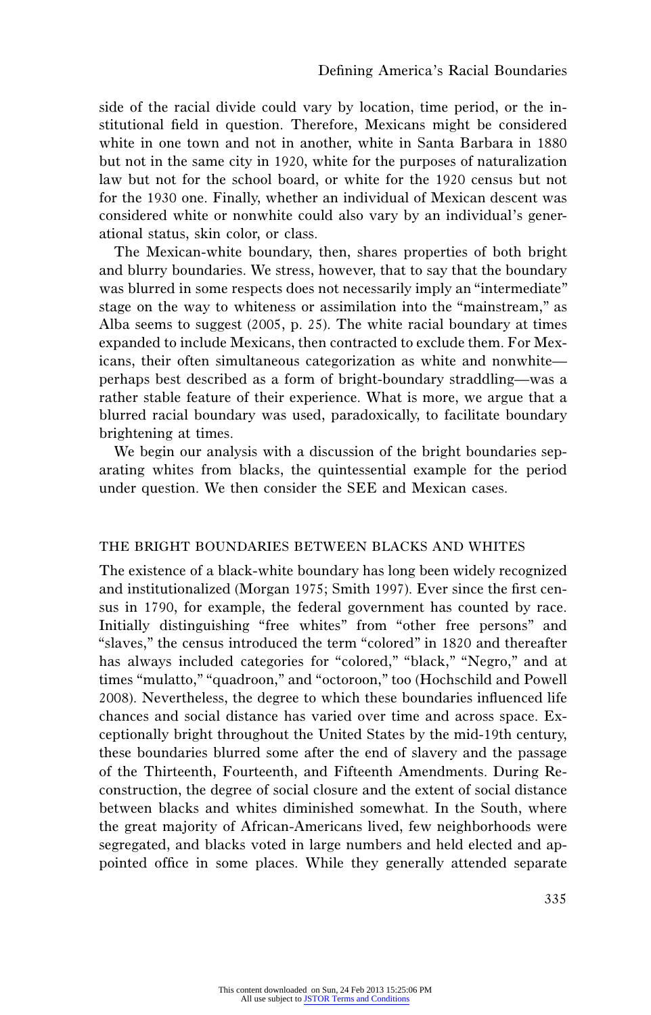side of the racial divide could vary by location, time period, or the institutional field in question. Therefore, Mexicans might be considered white in one town and not in another, white in Santa Barbara in 1880 but not in the same city in 1920, white for the purposes of naturalization law but not for the school board, or white for the 1920 census but not for the 1930 one. Finally, whether an individual of Mexican descent was considered white or nonwhite could also vary by an individual's generational status, skin color, or class.

The Mexican-white boundary, then, shares properties of both bright and blurry boundaries. We stress, however, that to say that the boundary was blurred in some respects does not necessarily imply an "intermediate" stage on the way to whiteness or assimilation into the "mainstream," as Alba seems to suggest (2005, p. 25). The white racial boundary at times expanded to include Mexicans, then contracted to exclude them. For Mexicans, their often simultaneous categorization as white and nonwhite perhaps best described as a form of bright-boundary straddling—was a rather stable feature of their experience. What is more, we argue that a blurred racial boundary was used, paradoxically, to facilitate boundary brightening at times.

We begin our analysis with a discussion of the bright boundaries separating whites from blacks, the quintessential example for the period under question. We then consider the SEE and Mexican cases.

# THE BRIGHT BOUNDARIES BETWEEN BLACKS AND WHITES

The existence of a black-white boundary has long been widely recognized and institutionalized (Morgan 1975; Smith 1997). Ever since the first census in 1790, for example, the federal government has counted by race. Initially distinguishing "free whites" from "other free persons" and "slaves," the census introduced the term "colored" in 1820 and thereafter has always included categories for "colored," "black," "Negro," and at times "mulatto," "quadroon," and "octoroon," too (Hochschild and Powell 2008). Nevertheless, the degree to which these boundaries influenced life chances and social distance has varied over time and across space. Exceptionally bright throughout the United States by the mid-19th century, these boundaries blurred some after the end of slavery and the passage of the Thirteenth, Fourteenth, and Fifteenth Amendments. During Reconstruction, the degree of social closure and the extent of social distance between blacks and whites diminished somewhat. In the South, where the great majority of African-Americans lived, few neighborhoods were segregated, and blacks voted in large numbers and held elected and appointed office in some places. While they generally attended separate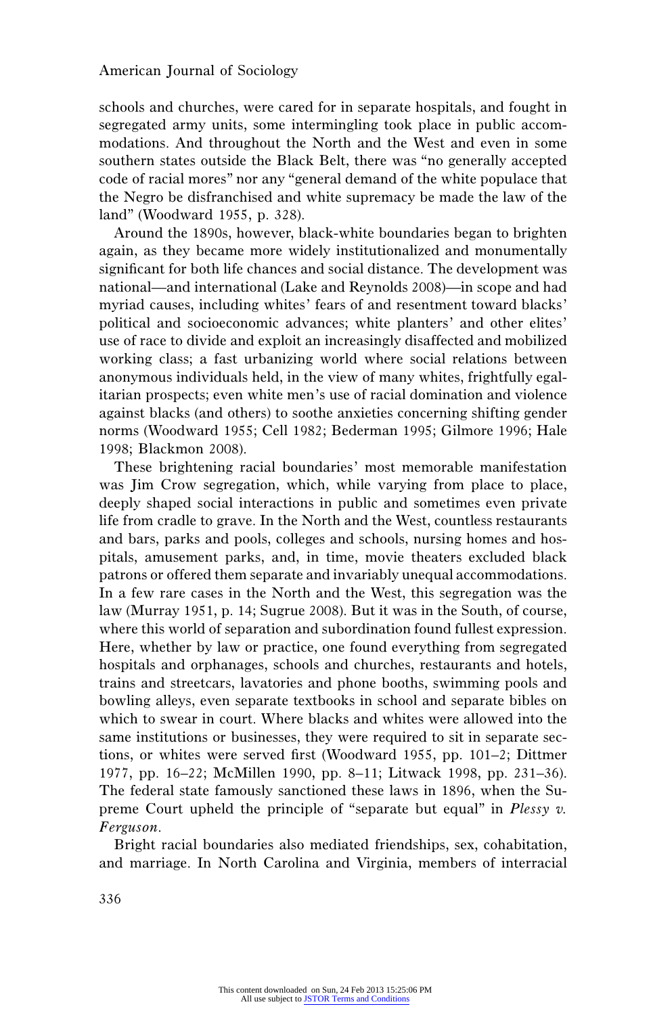schools and churches, were cared for in separate hospitals, and fought in segregated army units, some intermingling took place in public accommodations. And throughout the North and the West and even in some southern states outside the Black Belt, there was "no generally accepted code of racial mores" nor any "general demand of the white populace that the Negro be disfranchised and white supremacy be made the law of the land" (Woodward 1955, p. 328).

Around the 1890s, however, black-white boundaries began to brighten again, as they became more widely institutionalized and monumentally significant for both life chances and social distance. The development was national—and international (Lake and Reynolds 2008)—in scope and had myriad causes, including whites' fears of and resentment toward blacks' political and socioeconomic advances; white planters' and other elites' use of race to divide and exploit an increasingly disaffected and mobilized working class; a fast urbanizing world where social relations between anonymous individuals held, in the view of many whites, frightfully egalitarian prospects; even white men's use of racial domination and violence against blacks (and others) to soothe anxieties concerning shifting gender norms (Woodward 1955; Cell 1982; Bederman 1995; Gilmore 1996; Hale 1998; Blackmon 2008).

These brightening racial boundaries' most memorable manifestation was Jim Crow segregation, which, while varying from place to place, deeply shaped social interactions in public and sometimes even private life from cradle to grave. In the North and the West, countless restaurants and bars, parks and pools, colleges and schools, nursing homes and hospitals, amusement parks, and, in time, movie theaters excluded black patrons or offered them separate and invariably unequal accommodations. In a few rare cases in the North and the West, this segregation was the law (Murray 1951, p. 14; Sugrue 2008). But it was in the South, of course, where this world of separation and subordination found fullest expression. Here, whether by law or practice, one found everything from segregated hospitals and orphanages, schools and churches, restaurants and hotels, trains and streetcars, lavatories and phone booths, swimming pools and bowling alleys, even separate textbooks in school and separate bibles on which to swear in court. Where blacks and whites were allowed into the same institutions or businesses, they were required to sit in separate sections, or whites were served first (Woodward 1955, pp. 101–2; Dittmer 1977, pp. 16–22; McMillen 1990, pp. 8–11; Litwack 1998, pp. 231–36). The federal state famously sanctioned these laws in 1896, when the Supreme Court upheld the principle of "separate but equal" in *Plessy v. Ferguson*.

Bright racial boundaries also mediated friendships, sex, cohabitation, and marriage. In North Carolina and Virginia, members of interracial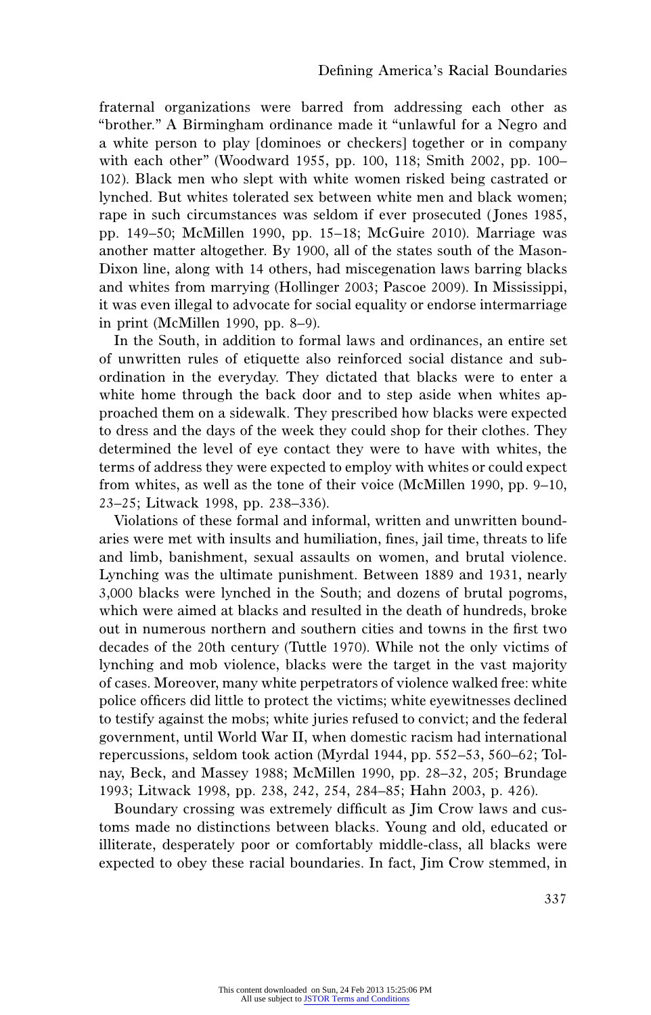fraternal organizations were barred from addressing each other as "brother." A Birmingham ordinance made it "unlawful for a Negro and a white person to play [dominoes or checkers] together or in company with each other" (Woodward 1955, pp. 100, 118; Smith 2002, pp. 100– 102). Black men who slept with white women risked being castrated or lynched. But whites tolerated sex between white men and black women; rape in such circumstances was seldom if ever prosecuted (Jones 1985, pp. 149–50; McMillen 1990, pp. 15–18; McGuire 2010). Marriage was another matter altogether. By 1900, all of the states south of the Mason-Dixon line, along with 14 others, had miscegenation laws barring blacks and whites from marrying (Hollinger 2003; Pascoe 2009). In Mississippi, it was even illegal to advocate for social equality or endorse intermarriage in print (McMillen 1990, pp. 8–9).

In the South, in addition to formal laws and ordinances, an entire set of unwritten rules of etiquette also reinforced social distance and subordination in the everyday. They dictated that blacks were to enter a white home through the back door and to step aside when whites approached them on a sidewalk. They prescribed how blacks were expected to dress and the days of the week they could shop for their clothes. They determined the level of eye contact they were to have with whites, the terms of address they were expected to employ with whites or could expect from whites, as well as the tone of their voice (McMillen 1990, pp. 9–10, 23–25; Litwack 1998, pp. 238–336).

Violations of these formal and informal, written and unwritten boundaries were met with insults and humiliation, fines, jail time, threats to life and limb, banishment, sexual assaults on women, and brutal violence. Lynching was the ultimate punishment. Between 1889 and 1931, nearly 3,000 blacks were lynched in the South; and dozens of brutal pogroms, which were aimed at blacks and resulted in the death of hundreds, broke out in numerous northern and southern cities and towns in the first two decades of the 20th century (Tuttle 1970). While not the only victims of lynching and mob violence, blacks were the target in the vast majority of cases. Moreover, many white perpetrators of violence walked free: white police officers did little to protect the victims; white eyewitnesses declined to testify against the mobs; white juries refused to convict; and the federal government, until World War II, when domestic racism had international repercussions, seldom took action (Myrdal 1944, pp. 552–53, 560–62; Tolnay, Beck, and Massey 1988; McMillen 1990, pp. 28–32, 205; Brundage 1993; Litwack 1998, pp. 238, 242, 254, 284–85; Hahn 2003, p. 426).

Boundary crossing was extremely difficult as Jim Crow laws and customs made no distinctions between blacks. Young and old, educated or illiterate, desperately poor or comfortably middle-class, all blacks were expected to obey these racial boundaries. In fact, Jim Crow stemmed, in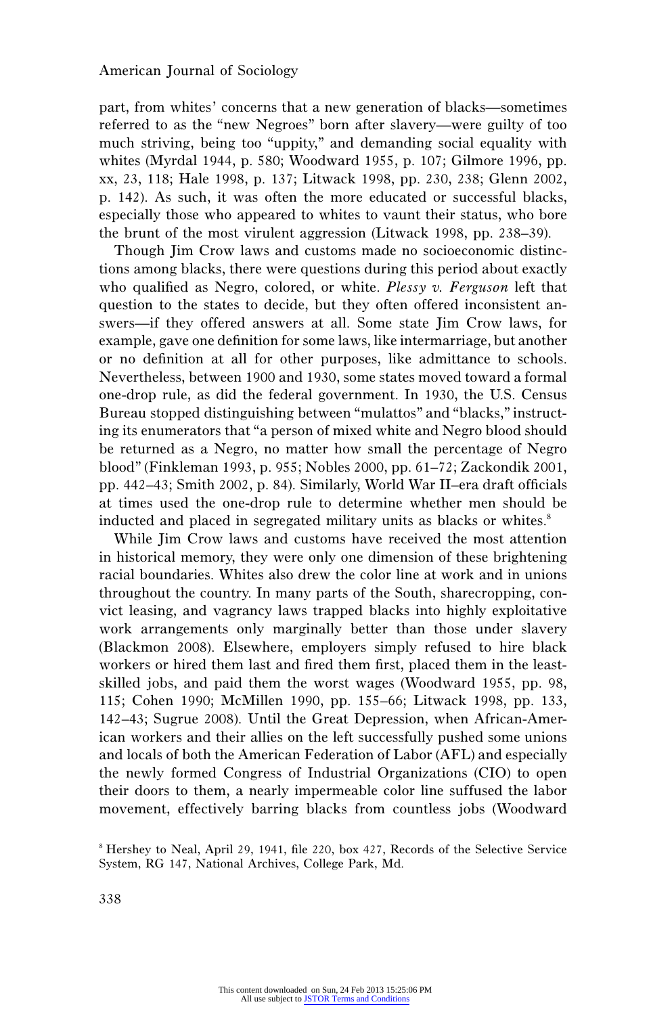part, from whites' concerns that a new generation of blacks—sometimes referred to as the "new Negroes" born after slavery—were guilty of too much striving, being too "uppity," and demanding social equality with whites (Myrdal 1944, p. 580; Woodward 1955, p. 107; Gilmore 1996, pp. xx, 23, 118; Hale 1998, p. 137; Litwack 1998, pp. 230, 238; Glenn 2002, p. 142). As such, it was often the more educated or successful blacks, especially those who appeared to whites to vaunt their status, who bore the brunt of the most virulent aggression (Litwack 1998, pp. 238–39).

Though Jim Crow laws and customs made no socioeconomic distinctions among blacks, there were questions during this period about exactly who qualified as Negro, colored, or white. *Plessy v. Ferguson* left that question to the states to decide, but they often offered inconsistent answers—if they offered answers at all. Some state Jim Crow laws, for example, gave one definition for some laws, like intermarriage, but another or no definition at all for other purposes, like admittance to schools. Nevertheless, between 1900 and 1930, some states moved toward a formal one-drop rule, as did the federal government. In 1930, the U.S. Census Bureau stopped distinguishing between "mulattos" and "blacks," instructing its enumerators that "a person of mixed white and Negro blood should be returned as a Negro, no matter how small the percentage of Negro blood" (Finkleman 1993, p. 955; Nobles 2000, pp. 61–72; Zackondik 2001, pp. 442–43; Smith 2002, p. 84). Similarly, World War II–era draft officials at times used the one-drop rule to determine whether men should be inducted and placed in segregated military units as blacks or whites.<sup>8</sup>

While Jim Crow laws and customs have received the most attention in historical memory, they were only one dimension of these brightening racial boundaries. Whites also drew the color line at work and in unions throughout the country. In many parts of the South, sharecropping, convict leasing, and vagrancy laws trapped blacks into highly exploitative work arrangements only marginally better than those under slavery (Blackmon 2008). Elsewhere, employers simply refused to hire black workers or hired them last and fired them first, placed them in the leastskilled jobs, and paid them the worst wages (Woodward 1955, pp. 98, 115; Cohen 1990; McMillen 1990, pp. 155–66; Litwack 1998, pp. 133, 142–43; Sugrue 2008). Until the Great Depression, when African-American workers and their allies on the left successfully pushed some unions and locals of both the American Federation of Labor (AFL) and especially the newly formed Congress of Industrial Organizations (CIO) to open their doors to them, a nearly impermeable color line suffused the labor movement, effectively barring blacks from countless jobs (Woodward

<sup>8</sup> Hershey to Neal, April 29, 1941, file 220, box 427, Records of the Selective Service System, RG 147, National Archives, College Park, Md.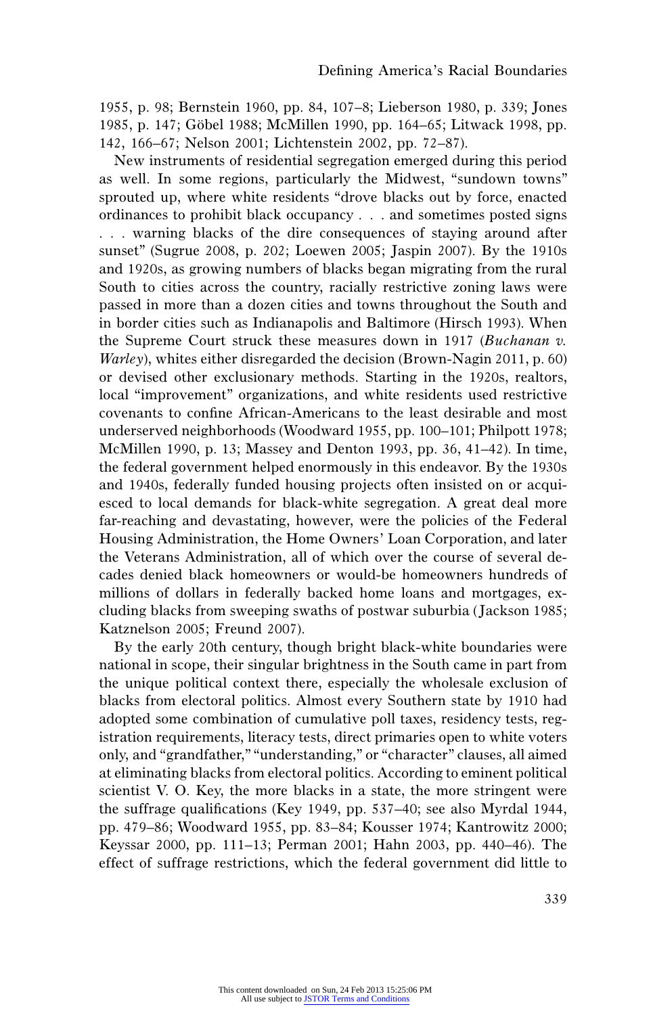1955, p. 98; Bernstein 1960, pp. 84, 107–8; Lieberson 1980, p. 339; Jones 1985, p. 147; Göbel 1988; McMillen 1990, pp. 164–65; Litwack 1998, pp. 142, 166–67; Nelson 2001; Lichtenstein 2002, pp. 72–87).

New instruments of residential segregation emerged during this period as well. In some regions, particularly the Midwest, "sundown towns" sprouted up, where white residents "drove blacks out by force, enacted ordinances to prohibit black occupancy . . . and sometimes posted signs . . . warning blacks of the dire consequences of staying around after sunset" (Sugrue 2008, p. 202; Loewen 2005; Jaspin 2007). By the 1910s and 1920s, as growing numbers of blacks began migrating from the rural South to cities across the country, racially restrictive zoning laws were passed in more than a dozen cities and towns throughout the South and in border cities such as Indianapolis and Baltimore (Hirsch 1993). When the Supreme Court struck these measures down in 1917 (*Buchanan v. Warley*), whites either disregarded the decision (Brown-Nagin 2011, p. 60) or devised other exclusionary methods. Starting in the 1920s, realtors, local "improvement" organizations, and white residents used restrictive covenants to confine African-Americans to the least desirable and most underserved neighborhoods (Woodward 1955, pp. 100–101; Philpott 1978; McMillen 1990, p. 13; Massey and Denton 1993, pp. 36, 41–42). In time, the federal government helped enormously in this endeavor. By the 1930s and 1940s, federally funded housing projects often insisted on or acquiesced to local demands for black-white segregation. A great deal more far-reaching and devastating, however, were the policies of the Federal Housing Administration, the Home Owners' Loan Corporation, and later the Veterans Administration, all of which over the course of several decades denied black homeowners or would-be homeowners hundreds of millions of dollars in federally backed home loans and mortgages, excluding blacks from sweeping swaths of postwar suburbia (Jackson 1985; Katznelson 2005; Freund 2007).

By the early 20th century, though bright black-white boundaries were national in scope, their singular brightness in the South came in part from the unique political context there, especially the wholesale exclusion of blacks from electoral politics. Almost every Southern state by 1910 had adopted some combination of cumulative poll taxes, residency tests, registration requirements, literacy tests, direct primaries open to white voters only, and "grandfather," "understanding," or "character" clauses, all aimed at eliminating blacks from electoral politics. According to eminent political scientist V. O. Key, the more blacks in a state, the more stringent were the suffrage qualifications (Key 1949, pp. 537–40; see also Myrdal 1944, pp. 479–86; Woodward 1955, pp. 83–84; Kousser 1974; Kantrowitz 2000; Keyssar 2000, pp. 111–13; Perman 2001; Hahn 2003, pp. 440–46). The effect of suffrage restrictions, which the federal government did little to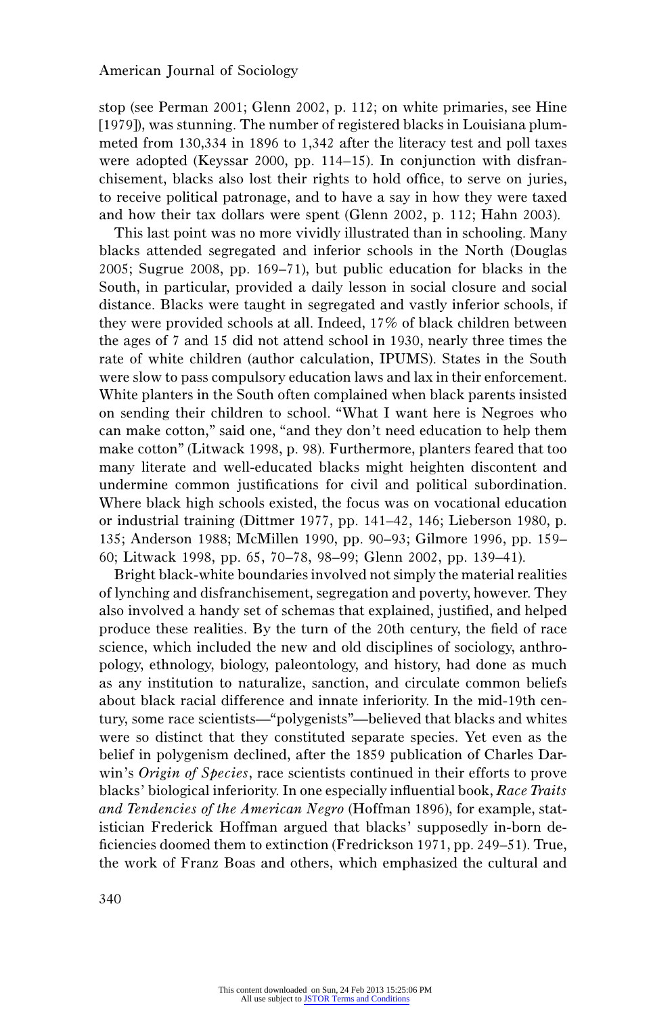stop (see Perman 2001; Glenn 2002, p. 112; on white primaries, see Hine [1979]), was stunning. The number of registered blacks in Louisiana plummeted from 130,334 in 1896 to 1,342 after the literacy test and poll taxes were adopted (Keyssar 2000, pp. 114–15). In conjunction with disfranchisement, blacks also lost their rights to hold office, to serve on juries, to receive political patronage, and to have a say in how they were taxed and how their tax dollars were spent (Glenn 2002, p. 112; Hahn 2003).

This last point was no more vividly illustrated than in schooling. Many blacks attended segregated and inferior schools in the North (Douglas 2005; Sugrue 2008, pp. 169–71), but public education for blacks in the South, in particular, provided a daily lesson in social closure and social distance. Blacks were taught in segregated and vastly inferior schools, if they were provided schools at all. Indeed, 17% of black children between the ages of 7 and 15 did not attend school in 1930, nearly three times the rate of white children (author calculation, IPUMS). States in the South were slow to pass compulsory education laws and lax in their enforcement. White planters in the South often complained when black parents insisted on sending their children to school. "What I want here is Negroes who can make cotton," said one, "and they don't need education to help them make cotton" (Litwack 1998, p. 98). Furthermore, planters feared that too many literate and well-educated blacks might heighten discontent and undermine common justifications for civil and political subordination. Where black high schools existed, the focus was on vocational education or industrial training (Dittmer 1977, pp. 141–42, 146; Lieberson 1980, p. 135; Anderson 1988; McMillen 1990, pp. 90–93; Gilmore 1996, pp. 159– 60; Litwack 1998, pp. 65, 70–78, 98–99; Glenn 2002, pp. 139–41).

Bright black-white boundaries involved not simply the material realities of lynching and disfranchisement, segregation and poverty, however. They also involved a handy set of schemas that explained, justified, and helped produce these realities. By the turn of the 20th century, the field of race science, which included the new and old disciplines of sociology, anthropology, ethnology, biology, paleontology, and history, had done as much as any institution to naturalize, sanction, and circulate common beliefs about black racial difference and innate inferiority. In the mid-19th century, some race scientists—"polygenists"—believed that blacks and whites were so distinct that they constituted separate species. Yet even as the belief in polygenism declined, after the 1859 publication of Charles Darwin's *Origin of Species*, race scientists continued in their efforts to prove blacks' biological inferiority. In one especially influential book, *Race Traits and Tendencies of the American Negro* (Hoffman 1896), for example, statistician Frederick Hoffman argued that blacks' supposedly in-born deficiencies doomed them to extinction (Fredrickson 1971, pp. 249–51). True, the work of Franz Boas and others, which emphasized the cultural and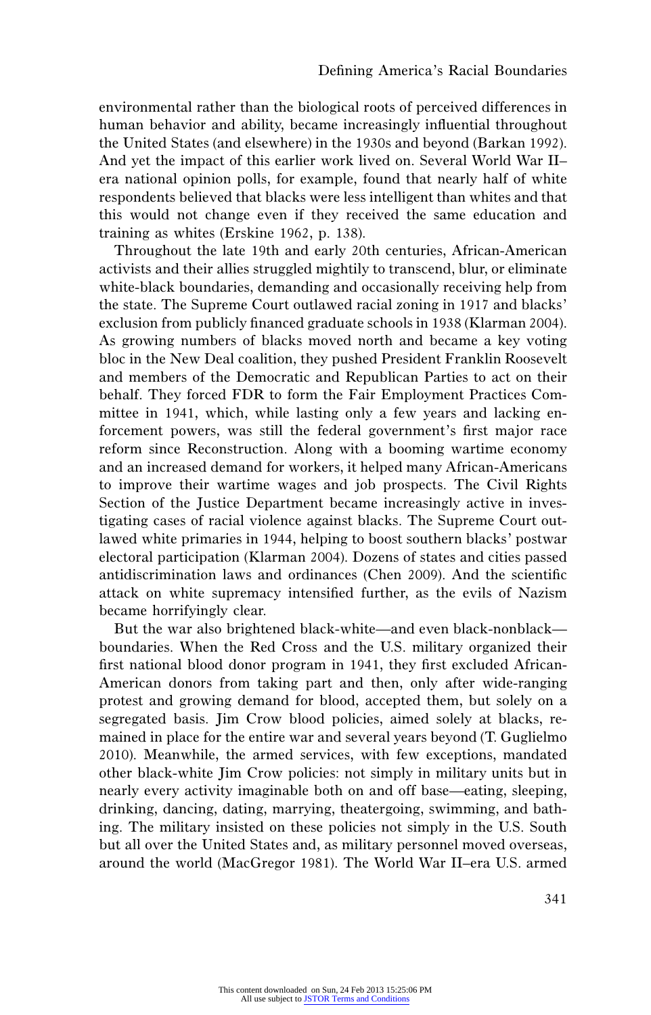environmental rather than the biological roots of perceived differences in human behavior and ability, became increasingly influential throughout the United States (and elsewhere) in the 1930s and beyond (Barkan 1992). And yet the impact of this earlier work lived on. Several World War II– era national opinion polls, for example, found that nearly half of white respondents believed that blacks were less intelligent than whites and that this would not change even if they received the same education and training as whites (Erskine 1962, p. 138).

Throughout the late 19th and early 20th centuries, African-American activists and their allies struggled mightily to transcend, blur, or eliminate white-black boundaries, demanding and occasionally receiving help from the state. The Supreme Court outlawed racial zoning in 1917 and blacks' exclusion from publicly financed graduate schools in 1938 (Klarman 2004). As growing numbers of blacks moved north and became a key voting bloc in the New Deal coalition, they pushed President Franklin Roosevelt and members of the Democratic and Republican Parties to act on their behalf. They forced FDR to form the Fair Employment Practices Committee in 1941, which, while lasting only a few years and lacking enforcement powers, was still the federal government's first major race reform since Reconstruction. Along with a booming wartime economy and an increased demand for workers, it helped many African-Americans to improve their wartime wages and job prospects. The Civil Rights Section of the Justice Department became increasingly active in investigating cases of racial violence against blacks. The Supreme Court outlawed white primaries in 1944, helping to boost southern blacks' postwar electoral participation (Klarman 2004). Dozens of states and cities passed antidiscrimination laws and ordinances (Chen 2009). And the scientific attack on white supremacy intensified further, as the evils of Nazism became horrifyingly clear.

But the war also brightened black-white—and even black-nonblack boundaries. When the Red Cross and the U.S. military organized their first national blood donor program in 1941, they first excluded African-American donors from taking part and then, only after wide-ranging protest and growing demand for blood, accepted them, but solely on a segregated basis. Jim Crow blood policies, aimed solely at blacks, remained in place for the entire war and several years beyond (T. Guglielmo 2010). Meanwhile, the armed services, with few exceptions, mandated other black-white Jim Crow policies: not simply in military units but in nearly every activity imaginable both on and off base—eating, sleeping, drinking, dancing, dating, marrying, theatergoing, swimming, and bathing. The military insisted on these policies not simply in the U.S. South but all over the United States and, as military personnel moved overseas, around the world (MacGregor 1981). The World War II–era U.S. armed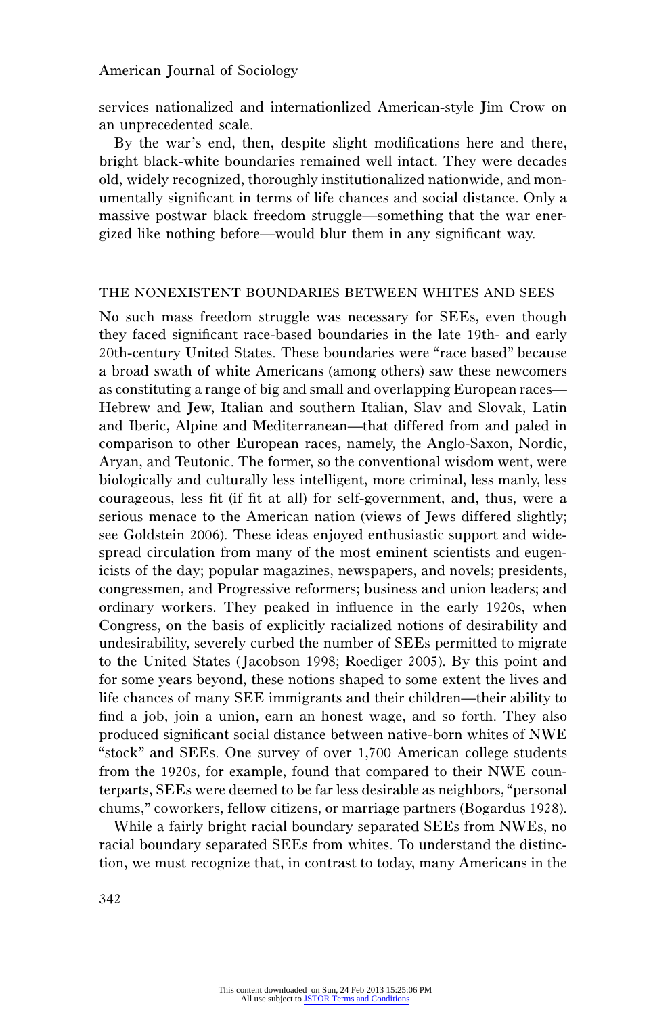services nationalized and internationlized American-style Jim Crow on an unprecedented scale.

By the war's end, then, despite slight modifications here and there, bright black-white boundaries remained well intact. They were decades old, widely recognized, thoroughly institutionalized nationwide, and monumentally significant in terms of life chances and social distance. Only a massive postwar black freedom struggle—something that the war energized like nothing before—would blur them in any significant way.

# THE NONEXISTENT BOUNDARIES BETWEEN WHITES AND SEES

No such mass freedom struggle was necessary for SEEs, even though they faced significant race-based boundaries in the late 19th- and early 20th-century United States. These boundaries were "race based" because a broad swath of white Americans (among others) saw these newcomers as constituting a range of big and small and overlapping European races— Hebrew and Jew, Italian and southern Italian, Slav and Slovak, Latin and Iberic, Alpine and Mediterranean—that differed from and paled in comparison to other European races, namely, the Anglo-Saxon, Nordic, Aryan, and Teutonic. The former, so the conventional wisdom went, were biologically and culturally less intelligent, more criminal, less manly, less courageous, less fit (if fit at all) for self-government, and, thus, were a serious menace to the American nation (views of Jews differed slightly; see Goldstein 2006). These ideas enjoyed enthusiastic support and widespread circulation from many of the most eminent scientists and eugenicists of the day; popular magazines, newspapers, and novels; presidents, congressmen, and Progressive reformers; business and union leaders; and ordinary workers. They peaked in influence in the early 1920s, when Congress, on the basis of explicitly racialized notions of desirability and undesirability, severely curbed the number of SEEs permitted to migrate to the United States (Jacobson 1998; Roediger 2005). By this point and for some years beyond, these notions shaped to some extent the lives and life chances of many SEE immigrants and their children—their ability to find a job, join a union, earn an honest wage, and so forth. They also produced significant social distance between native-born whites of NWE "stock" and SEEs. One survey of over 1,700 American college students from the 1920s, for example, found that compared to their NWE counterparts, SEEs were deemed to be far less desirable as neighbors, "personal chums," coworkers, fellow citizens, or marriage partners (Bogardus 1928).

While a fairly bright racial boundary separated SEEs from NWEs, no racial boundary separated SEEs from whites. To understand the distinction, we must recognize that, in contrast to today, many Americans in the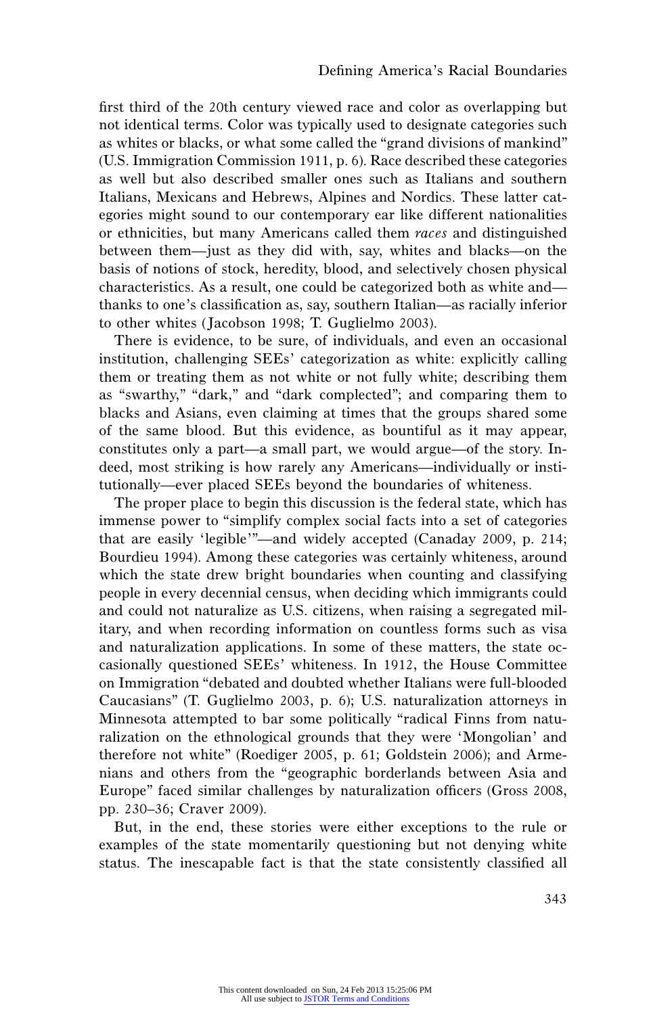first third of the 20th century viewed race and color as overlapping but not identical terms. Color was typically used to designate categories such as whites or blacks, or what some called the "grand divisions of mankind" (U.S. Immigration Commission 1911, p. 6). Race described these categories as well but also described smaller ones such as Italians and southern Italians, Mexicans and Hebrews, Alpines and Nordics. These latter categories might sound to our contemporary ear like different nationalities or ethnicities, but many Americans called them *races* and distinguished between them—just as they did with, say, whites and blacks—on the basis of notions of stock, heredity, blood, and selectively chosen physical characteristics. As a result, one could be categorized both as white and thanks to one's classification as, say, southern Italian—as racially inferior to other whites (Jacobson 1998; T. Guglielmo 2003).

There is evidence, to be sure, of individuals, and even an occasional institution, challenging SEEs' categorization as white: explicitly calling them or treating them as not white or not fully white; describing them as "swarthy," "dark," and "dark complected"; and comparing them to blacks and Asians, even claiming at times that the groups shared some of the same blood. But this evidence, as bountiful as it may appear, constitutes only a part—a small part, we would argue—of the story. Indeed, most striking is how rarely any Americans—individually or institutionally—ever placed SEEs beyond the boundaries of whiteness.

The proper place to begin this discussion is the federal state, which has immense power to "simplify complex social facts into a set of categories that are easily 'legible'"—and widely accepted (Canaday 2009, p. 214; Bourdieu 1994). Among these categories was certainly whiteness, around which the state drew bright boundaries when counting and classifying people in every decennial census, when deciding which immigrants could and could not naturalize as U.S. citizens, when raising a segregated military, and when recording information on countless forms such as visa and naturalization applications. In some of these matters, the state occasionally questioned SEEs' whiteness. In 1912, the House Committee on Immigration "debated and doubted whether Italians were full-blooded Caucasians" (T. Guglielmo 2003, p. 6); U.S. naturalization attorneys in Minnesota attempted to bar some politically "radical Finns from naturalization on the ethnological grounds that they were 'Mongolian' and therefore not white" (Roediger 2005, p. 61; Goldstein 2006); and Armenians and others from the "geographic borderlands between Asia and Europe" faced similar challenges by naturalization officers (Gross 2008, pp. 230–36; Craver 2009).

But, in the end, these stories were either exceptions to the rule or examples of the state momentarily questioning but not denying white status. The inescapable fact is that the state consistently classified all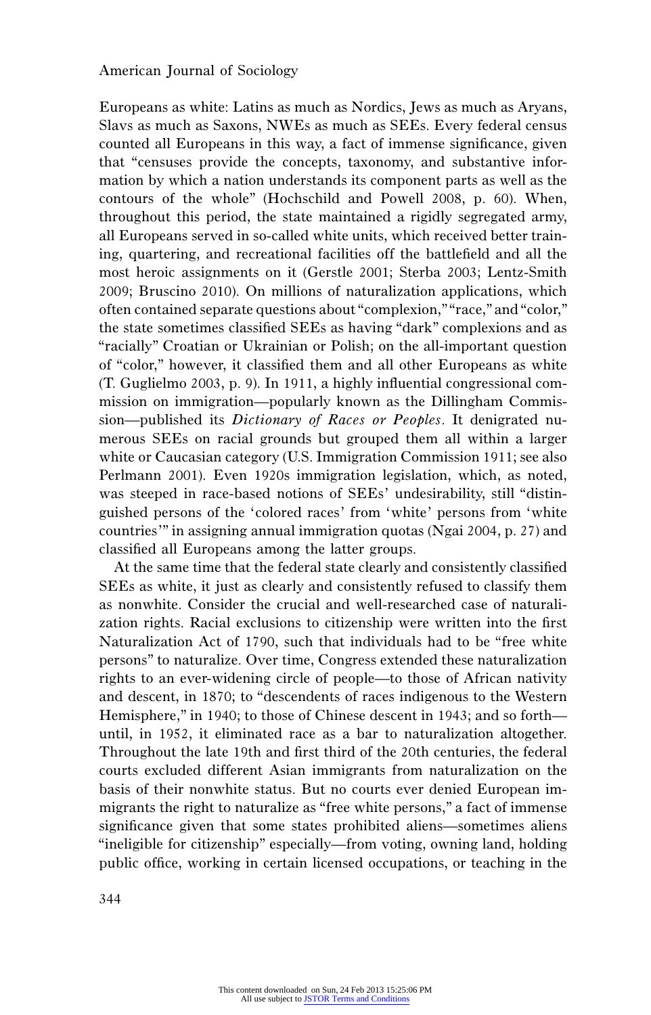Europeans as white: Latins as much as Nordics, Jews as much as Aryans, Slavs as much as Saxons, NWEs as much as SEEs. Every federal census counted all Europeans in this way, a fact of immense significance, given that "censuses provide the concepts, taxonomy, and substantive information by which a nation understands its component parts as well as the contours of the whole" (Hochschild and Powell 2008, p. 60). When, throughout this period, the state maintained a rigidly segregated army, all Europeans served in so-called white units, which received better training, quartering, and recreational facilities off the battlefield and all the most heroic assignments on it (Gerstle 2001; Sterba 2003; Lentz-Smith 2009; Bruscino 2010). On millions of naturalization applications, which often contained separate questions about "complexion," "race," and "color," the state sometimes classified SEEs as having "dark" complexions and as "racially" Croatian or Ukrainian or Polish; on the all-important question of "color," however, it classified them and all other Europeans as white (T. Guglielmo 2003, p. 9). In 1911, a highly influential congressional commission on immigration—popularly known as the Dillingham Commission—published its *Dictionary of Races or Peoples*. It denigrated numerous SEEs on racial grounds but grouped them all within a larger white or Caucasian category (U.S. Immigration Commission 1911; see also Perlmann 2001). Even 1920s immigration legislation, which, as noted, was steeped in race-based notions of SEEs' undesirability, still "distinguished persons of the 'colored races' from 'white' persons from 'white countries'" in assigning annual immigration quotas (Ngai 2004, p. 27) and classified all Europeans among the latter groups.

At the same time that the federal state clearly and consistently classified SEEs as white, it just as clearly and consistently refused to classify them as nonwhite. Consider the crucial and well-researched case of naturalization rights. Racial exclusions to citizenship were written into the first Naturalization Act of 1790, such that individuals had to be "free white persons" to naturalize. Over time, Congress extended these naturalization rights to an ever-widening circle of people—to those of African nativity and descent, in 1870; to "descendents of races indigenous to the Western Hemisphere," in 1940; to those of Chinese descent in 1943; and so forth until, in 1952, it eliminated race as a bar to naturalization altogether. Throughout the late 19th and first third of the 20th centuries, the federal courts excluded different Asian immigrants from naturalization on the basis of their nonwhite status. But no courts ever denied European immigrants the right to naturalize as "free white persons," a fact of immense significance given that some states prohibited aliens—sometimes aliens "ineligible for citizenship" especially—from voting, owning land, holding public office, working in certain licensed occupations, or teaching in the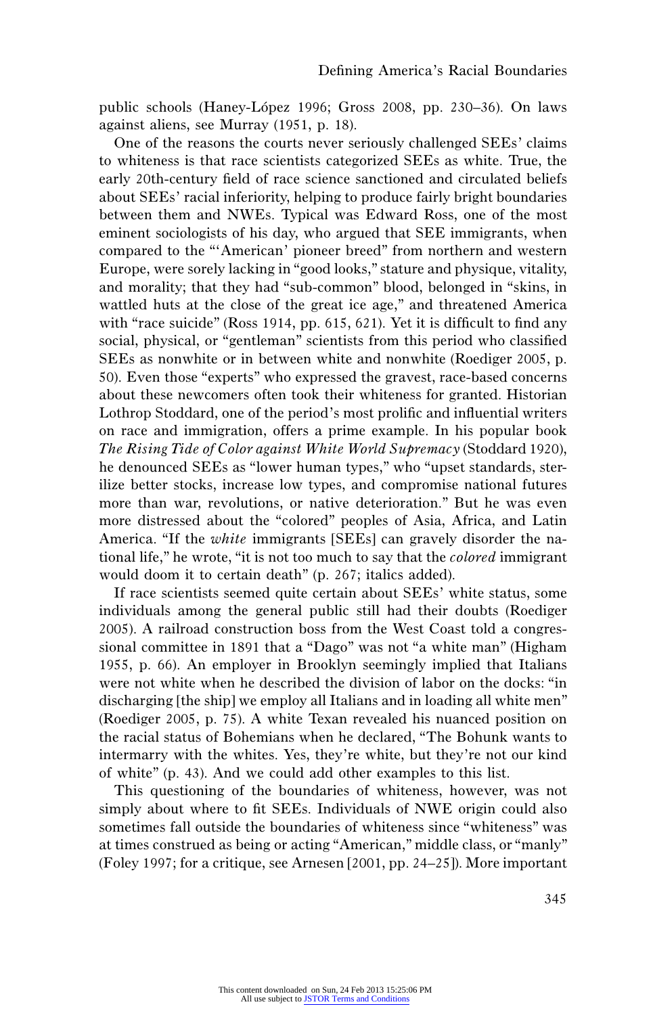public schools (Haney-López 1996; Gross 2008, pp. 230–36). On laws against aliens, see Murray (1951, p. 18).

One of the reasons the courts never seriously challenged SEEs' claims to whiteness is that race scientists categorized SEEs as white. True, the early 20th-century field of race science sanctioned and circulated beliefs about SEEs' racial inferiority, helping to produce fairly bright boundaries between them and NWEs. Typical was Edward Ross, one of the most eminent sociologists of his day, who argued that SEE immigrants, when compared to the "'American' pioneer breed" from northern and western Europe, were sorely lacking in "good looks," stature and physique, vitality, and morality; that they had "sub-common" blood, belonged in "skins, in wattled huts at the close of the great ice age," and threatened America with "race suicide" (Ross 1914, pp. 615, 621). Yet it is difficult to find any social, physical, or "gentleman" scientists from this period who classified SEEs as nonwhite or in between white and nonwhite (Roediger 2005, p. 50). Even those "experts" who expressed the gravest, race-based concerns about these newcomers often took their whiteness for granted. Historian Lothrop Stoddard, one of the period's most prolific and influential writers on race and immigration, offers a prime example. In his popular book *The Rising Tide of Color against White World Supremacy* (Stoddard 1920), he denounced SEEs as "lower human types," who "upset standards, sterilize better stocks, increase low types, and compromise national futures more than war, revolutions, or native deterioration." But he was even more distressed about the "colored" peoples of Asia, Africa, and Latin America. "If the *white* immigrants [SEEs] can gravely disorder the national life," he wrote, "it is not too much to say that the *colored* immigrant would doom it to certain death" (p. 267; italics added).

If race scientists seemed quite certain about SEEs' white status, some individuals among the general public still had their doubts (Roediger 2005). A railroad construction boss from the West Coast told a congressional committee in 1891 that a "Dago" was not "a white man" (Higham 1955, p. 66). An employer in Brooklyn seemingly implied that Italians were not white when he described the division of labor on the docks: "in discharging [the ship] we employ all Italians and in loading all white men" (Roediger 2005, p. 75). A white Texan revealed his nuanced position on the racial status of Bohemians when he declared, "The Bohunk wants to intermarry with the whites. Yes, they're white, but they're not our kind of white" (p. 43). And we could add other examples to this list.

This questioning of the boundaries of whiteness, however, was not simply about where to fit SEEs. Individuals of NWE origin could also sometimes fall outside the boundaries of whiteness since "whiteness" was at times construed as being or acting "American," middle class, or "manly" (Foley 1997; for a critique, see Arnesen [2001, pp. 24–25]). More important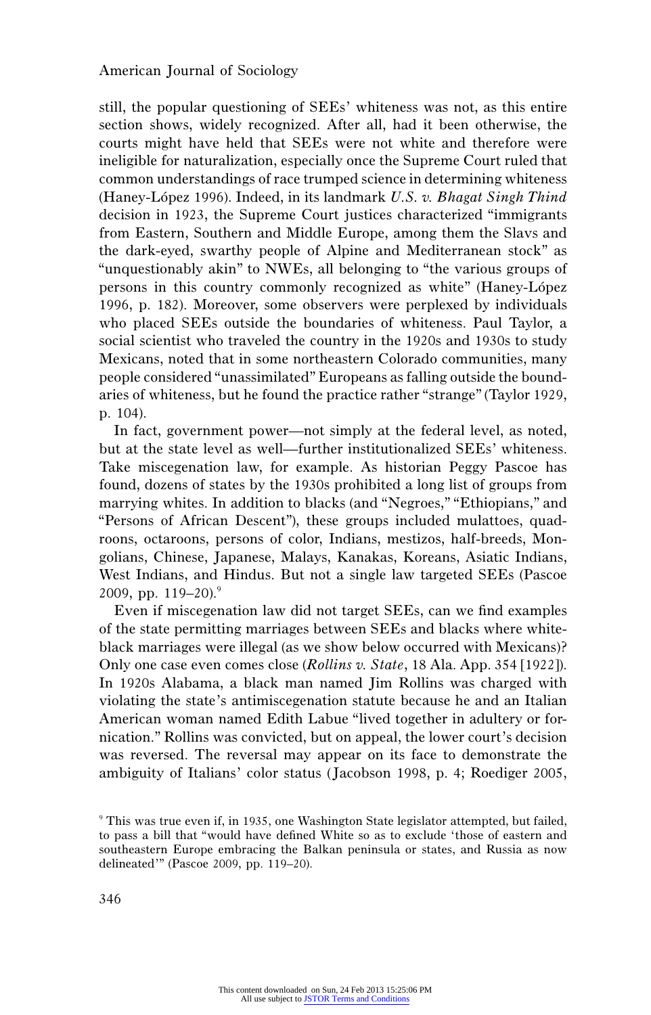still, the popular questioning of SEEs' whiteness was not, as this entire section shows, widely recognized. After all, had it been otherwise, the courts might have held that SEEs were not white and therefore were ineligible for naturalization, especially once the Supreme Court ruled that common understandings of race trumped science in determining whiteness (Haney-Lo´pez 1996). Indeed, in its landmark *U.S. v. Bhagat Singh Thind* decision in 1923, the Supreme Court justices characterized "immigrants from Eastern, Southern and Middle Europe, among them the Slavs and the dark-eyed, swarthy people of Alpine and Mediterranean stock" as "unquestionably akin" to NWEs, all belonging to "the various groups of persons in this country commonly recognized as white" (Haney-López 1996, p. 182). Moreover, some observers were perplexed by individuals who placed SEEs outside the boundaries of whiteness. Paul Taylor, a social scientist who traveled the country in the 1920s and 1930s to study Mexicans, noted that in some northeastern Colorado communities, many people considered "unassimilated" Europeans as falling outside the boundaries of whiteness, but he found the practice rather "strange" (Taylor 1929, p. 104).

In fact, government power—not simply at the federal level, as noted, but at the state level as well—further institutionalized SEEs' whiteness. Take miscegenation law, for example. As historian Peggy Pascoe has found, dozens of states by the 1930s prohibited a long list of groups from marrying whites. In addition to blacks (and "Negroes," "Ethiopians," and "Persons of African Descent"), these groups included mulattoes, quadroons, octaroons, persons of color, Indians, mestizos, half-breeds, Mongolians, Chinese, Japanese, Malays, Kanakas, Koreans, Asiatic Indians, West Indians, and Hindus. But not a single law targeted SEEs (Pascoe 2009, pp.  $119-20$ .<sup>9</sup>

Even if miscegenation law did not target SEEs, can we find examples of the state permitting marriages between SEEs and blacks where whiteblack marriages were illegal (as we show below occurred with Mexicans)? Only one case even comes close (*Rollins v. State*, 18 Ala. App. 354 [1922]). In 1920s Alabama, a black man named Jim Rollins was charged with violating the state's antimiscegenation statute because he and an Italian American woman named Edith Labue "lived together in adultery or fornication." Rollins was convicted, but on appeal, the lower court's decision was reversed. The reversal may appear on its face to demonstrate the ambiguity of Italians' color status (Jacobson 1998, p. 4; Roediger 2005,

<sup>9</sup> This was true even if, in 1935, one Washington State legislator attempted, but failed, to pass a bill that "would have defined White so as to exclude 'those of eastern and southeastern Europe embracing the Balkan peninsula or states, and Russia as now delineated'" (Pascoe 2009, pp. 119–20).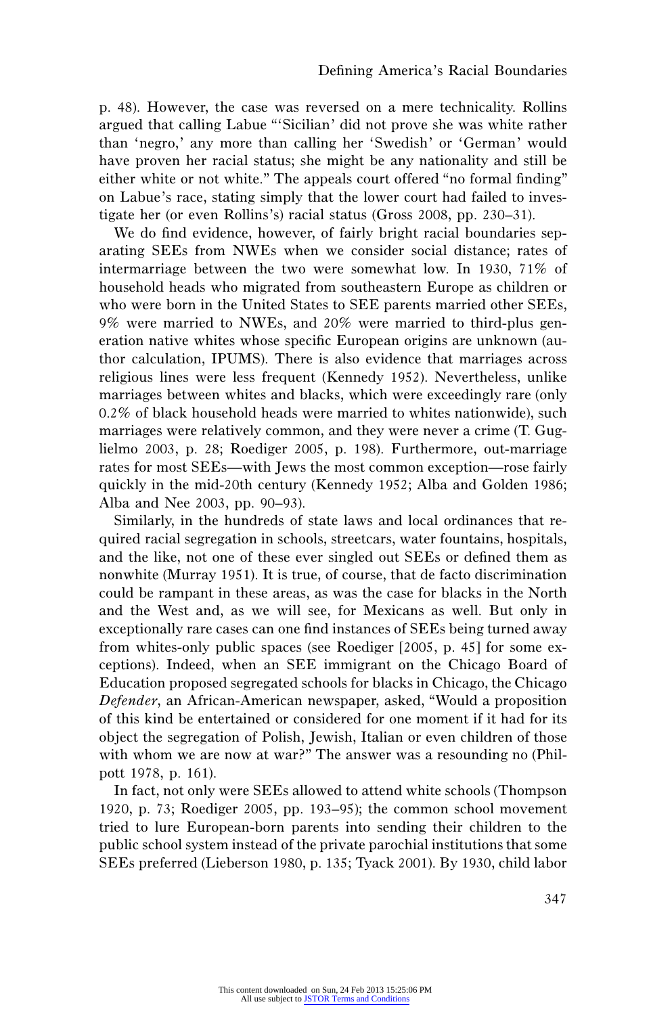p. 48). However, the case was reversed on a mere technicality. Rollins argued that calling Labue "'Sicilian' did not prove she was white rather than 'negro,' any more than calling her 'Swedish' or 'German' would have proven her racial status; she might be any nationality and still be either white or not white." The appeals court offered "no formal finding" on Labue's race, stating simply that the lower court had failed to investigate her (or even Rollins's) racial status (Gross 2008, pp. 230–31).

We do find evidence, however, of fairly bright racial boundaries separating SEEs from NWEs when we consider social distance; rates of intermarriage between the two were somewhat low. In 1930, 71% of household heads who migrated from southeastern Europe as children or who were born in the United States to SEE parents married other SEEs, 9% were married to NWEs, and 20% were married to third-plus generation native whites whose specific European origins are unknown (author calculation, IPUMS). There is also evidence that marriages across religious lines were less frequent (Kennedy 1952). Nevertheless, unlike marriages between whites and blacks, which were exceedingly rare (only 0.2% of black household heads were married to whites nationwide), such marriages were relatively common, and they were never a crime (T. Guglielmo 2003, p. 28; Roediger 2005, p. 198). Furthermore, out-marriage rates for most SEEs—with Jews the most common exception—rose fairly quickly in the mid-20th century (Kennedy 1952; Alba and Golden 1986; Alba and Nee 2003, pp. 90–93).

Similarly, in the hundreds of state laws and local ordinances that required racial segregation in schools, streetcars, water fountains, hospitals, and the like, not one of these ever singled out SEEs or defined them as nonwhite (Murray 1951). It is true, of course, that de facto discrimination could be rampant in these areas, as was the case for blacks in the North and the West and, as we will see, for Mexicans as well. But only in exceptionally rare cases can one find instances of SEEs being turned away from whites-only public spaces (see Roediger [2005, p. 45] for some exceptions). Indeed, when an SEE immigrant on the Chicago Board of Education proposed segregated schools for blacks in Chicago, the Chicago *Defender*, an African-American newspaper, asked, "Would a proposition of this kind be entertained or considered for one moment if it had for its object the segregation of Polish, Jewish, Italian or even children of those with whom we are now at war?" The answer was a resounding no (Philpott 1978, p. 161).

In fact, not only were SEEs allowed to attend white schools (Thompson 1920, p. 73; Roediger 2005, pp. 193–95); the common school movement tried to lure European-born parents into sending their children to the public school system instead of the private parochial institutions that some SEEs preferred (Lieberson 1980, p. 135; Tyack 2001). By 1930, child labor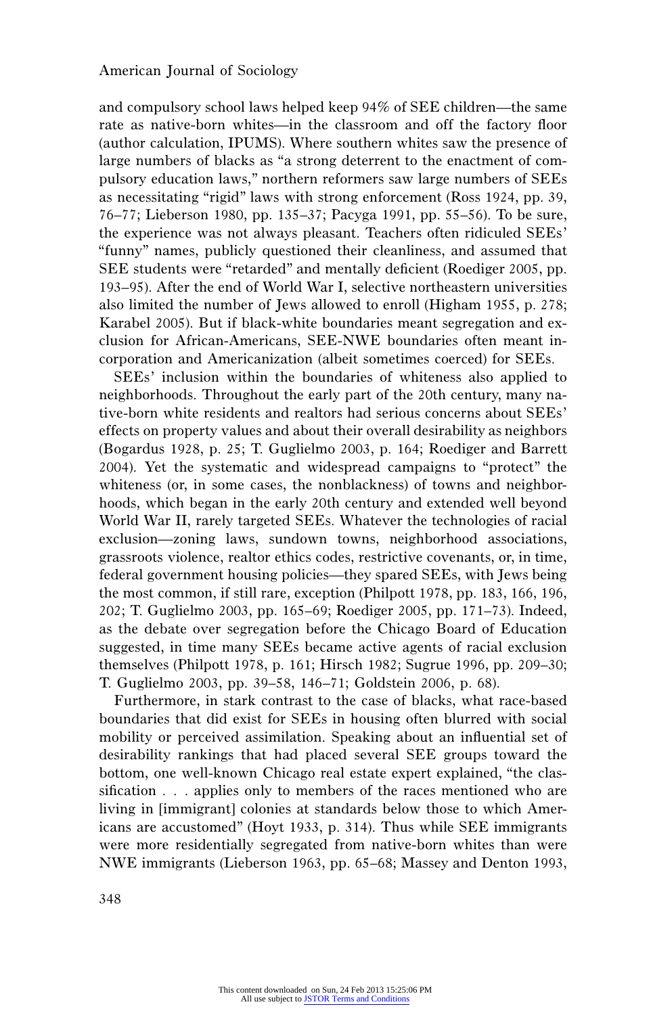and compulsory school laws helped keep 94% of SEE children—the same rate as native-born whites—in the classroom and off the factory floor (author calculation, IPUMS). Where southern whites saw the presence of large numbers of blacks as "a strong deterrent to the enactment of compulsory education laws," northern reformers saw large numbers of SEEs as necessitating "rigid" laws with strong enforcement (Ross 1924, pp. 39, 76–77; Lieberson 1980, pp. 135–37; Pacyga 1991, pp. 55–56). To be sure, the experience was not always pleasant. Teachers often ridiculed SEEs' "funny" names, publicly questioned their cleanliness, and assumed that SEE students were "retarded" and mentally deficient (Roediger 2005, pp. 193–95). After the end of World War I, selective northeastern universities also limited the number of Jews allowed to enroll (Higham 1955, p. 278; Karabel 2005). But if black-white boundaries meant segregation and exclusion for African-Americans, SEE-NWE boundaries often meant incorporation and Americanization (albeit sometimes coerced) for SEEs.

SEEs' inclusion within the boundaries of whiteness also applied to neighborhoods. Throughout the early part of the 20th century, many native-born white residents and realtors had serious concerns about SEEs' effects on property values and about their overall desirability as neighbors (Bogardus 1928, p. 25; T. Guglielmo 2003, p. 164; Roediger and Barrett 2004). Yet the systematic and widespread campaigns to "protect" the whiteness (or, in some cases, the nonblackness) of towns and neighborhoods, which began in the early 20th century and extended well beyond World War II, rarely targeted SEEs. Whatever the technologies of racial exclusion—zoning laws, sundown towns, neighborhood associations, grassroots violence, realtor ethics codes, restrictive covenants, or, in time, federal government housing policies—they spared SEEs, with Jews being the most common, if still rare, exception (Philpott 1978, pp. 183, 166, 196, 202; T. Guglielmo 2003, pp. 165–69; Roediger 2005, pp. 171–73). Indeed, as the debate over segregation before the Chicago Board of Education suggested, in time many SEEs became active agents of racial exclusion themselves (Philpott 1978, p. 161; Hirsch 1982; Sugrue 1996, pp. 209–30; T. Guglielmo 2003, pp. 39–58, 146–71; Goldstein 2006, p. 68).

Furthermore, in stark contrast to the case of blacks, what race-based boundaries that did exist for SEEs in housing often blurred with social mobility or perceived assimilation. Speaking about an influential set of desirability rankings that had placed several SEE groups toward the bottom, one well-known Chicago real estate expert explained, "the classification . . . applies only to members of the races mentioned who are living in [immigrant] colonies at standards below those to which Americans are accustomed" (Hoyt 1933, p. 314). Thus while SEE immigrants were more residentially segregated from native-born whites than were NWE immigrants (Lieberson 1963, pp. 65–68; Massey and Denton 1993,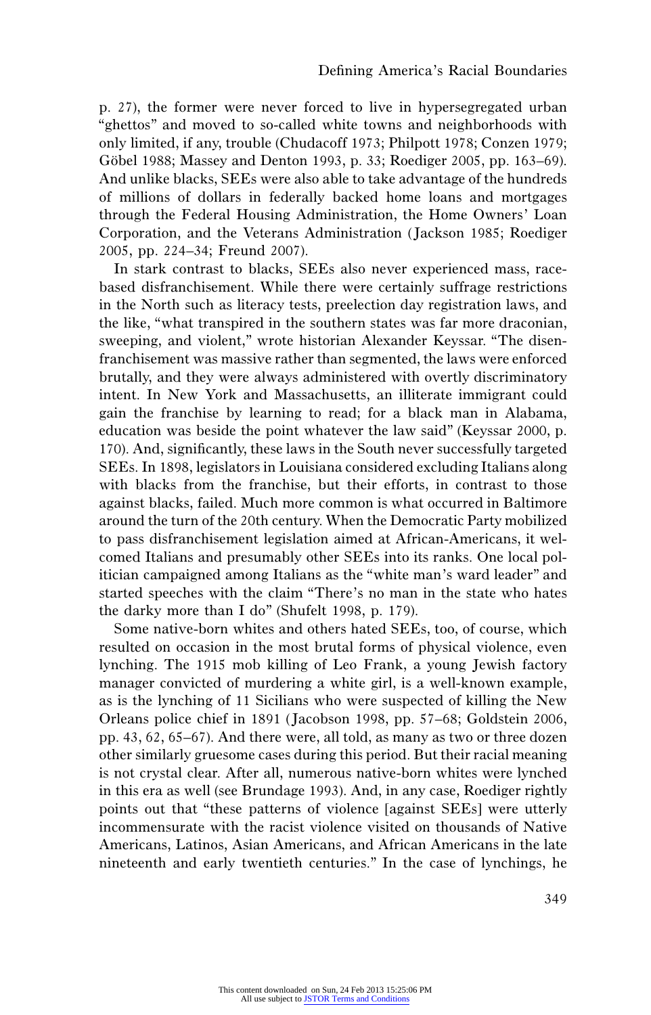p. 27), the former were never forced to live in hypersegregated urban "ghettos" and moved to so-called white towns and neighborhoods with only limited, if any, trouble (Chudacoff 1973; Philpott 1978; Conzen 1979; Göbel 1988; Massey and Denton 1993, p. 33; Roediger 2005, pp. 163–69). And unlike blacks, SEEs were also able to take advantage of the hundreds of millions of dollars in federally backed home loans and mortgages through the Federal Housing Administration, the Home Owners' Loan Corporation, and the Veterans Administration (Jackson 1985; Roediger 2005, pp. 224–34; Freund 2007).

In stark contrast to blacks, SEEs also never experienced mass, racebased disfranchisement. While there were certainly suffrage restrictions in the North such as literacy tests, preelection day registration laws, and the like, "what transpired in the southern states was far more draconian, sweeping, and violent," wrote historian Alexander Keyssar. "The disenfranchisement was massive rather than segmented, the laws were enforced brutally, and they were always administered with overtly discriminatory intent. In New York and Massachusetts, an illiterate immigrant could gain the franchise by learning to read; for a black man in Alabama, education was beside the point whatever the law said" (Keyssar 2000, p. 170). And, significantly, these laws in the South never successfully targeted SEEs. In 1898, legislators in Louisiana considered excluding Italians along with blacks from the franchise, but their efforts, in contrast to those against blacks, failed. Much more common is what occurred in Baltimore around the turn of the 20th century. When the Democratic Party mobilized to pass disfranchisement legislation aimed at African-Americans, it welcomed Italians and presumably other SEEs into its ranks. One local politician campaigned among Italians as the "white man's ward leader" and started speeches with the claim "There's no man in the state who hates the darky more than I do" (Shufelt 1998, p. 179).

Some native-born whites and others hated SEEs, too, of course, which resulted on occasion in the most brutal forms of physical violence, even lynching. The 1915 mob killing of Leo Frank, a young Jewish factory manager convicted of murdering a white girl, is a well-known example, as is the lynching of 11 Sicilians who were suspected of killing the New Orleans police chief in 1891 (Jacobson 1998, pp. 57–68; Goldstein 2006, pp. 43, 62, 65–67). And there were, all told, as many as two or three dozen other similarly gruesome cases during this period. But their racial meaning is not crystal clear. After all, numerous native-born whites were lynched in this era as well (see Brundage 1993). And, in any case, Roediger rightly points out that "these patterns of violence [against SEEs] were utterly incommensurate with the racist violence visited on thousands of Native Americans, Latinos, Asian Americans, and African Americans in the late nineteenth and early twentieth centuries." In the case of lynchings, he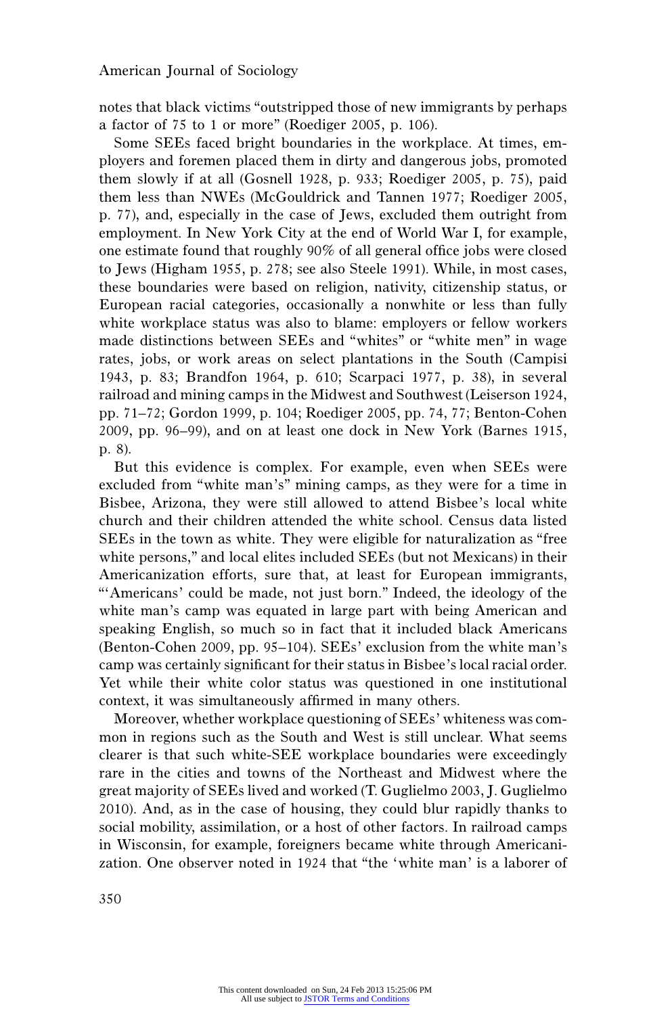notes that black victims "outstripped those of new immigrants by perhaps a factor of 75 to 1 or more" (Roediger 2005, p. 106).

Some SEEs faced bright boundaries in the workplace. At times, employers and foremen placed them in dirty and dangerous jobs, promoted them slowly if at all (Gosnell 1928, p. 933; Roediger 2005, p. 75), paid them less than NWEs (McGouldrick and Tannen 1977; Roediger 2005, p. 77), and, especially in the case of Jews, excluded them outright from employment. In New York City at the end of World War I, for example, one estimate found that roughly 90% of all general office jobs were closed to Jews (Higham 1955, p. 278; see also Steele 1991). While, in most cases, these boundaries were based on religion, nativity, citizenship status, or European racial categories, occasionally a nonwhite or less than fully white workplace status was also to blame: employers or fellow workers made distinctions between SEEs and "whites" or "white men" in wage rates, jobs, or work areas on select plantations in the South (Campisi 1943, p. 83; Brandfon 1964, p. 610; Scarpaci 1977, p. 38), in several railroad and mining camps in the Midwest and Southwest (Leiserson 1924, pp. 71–72; Gordon 1999, p. 104; Roediger 2005, pp. 74, 77; Benton-Cohen 2009, pp. 96–99), and on at least one dock in New York (Barnes 1915, p. 8).

But this evidence is complex. For example, even when SEEs were excluded from "white man's" mining camps, as they were for a time in Bisbee, Arizona, they were still allowed to attend Bisbee's local white church and their children attended the white school. Census data listed SEEs in the town as white. They were eligible for naturalization as "free white persons," and local elites included SEEs (but not Mexicans) in their Americanization efforts, sure that, at least for European immigrants, "'Americans' could be made, not just born." Indeed, the ideology of the white man's camp was equated in large part with being American and speaking English, so much so in fact that it included black Americans (Benton-Cohen 2009, pp. 95–104). SEEs' exclusion from the white man's camp was certainly significant for their status in Bisbee's local racial order. Yet while their white color status was questioned in one institutional context, it was simultaneously affirmed in many others.

Moreover, whether workplace questioning of SEEs' whiteness was common in regions such as the South and West is still unclear. What seems clearer is that such white-SEE workplace boundaries were exceedingly rare in the cities and towns of the Northeast and Midwest where the great majority of SEEs lived and worked (T. Guglielmo 2003, J. Guglielmo 2010). And, as in the case of housing, they could blur rapidly thanks to social mobility, assimilation, or a host of other factors. In railroad camps in Wisconsin, for example, foreigners became white through Americanization. One observer noted in 1924 that "the 'white man' is a laborer of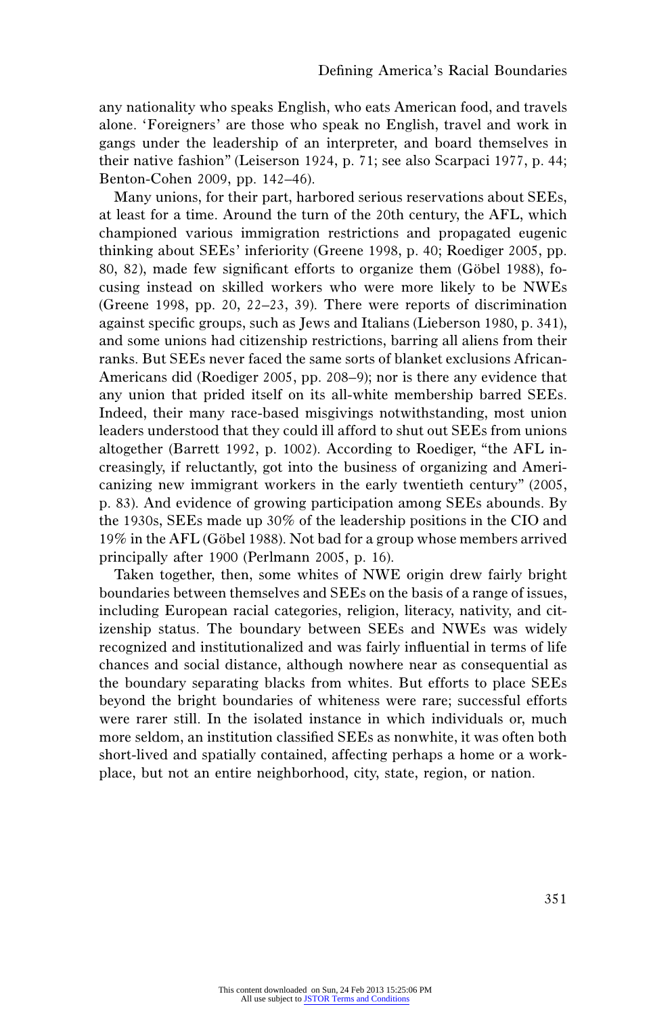any nationality who speaks English, who eats American food, and travels alone. 'Foreigners' are those who speak no English, travel and work in gangs under the leadership of an interpreter, and board themselves in their native fashion" (Leiserson 1924, p. 71; see also Scarpaci 1977, p. 44; Benton-Cohen 2009, pp. 142–46).

Many unions, for their part, harbored serious reservations about SEEs, at least for a time. Around the turn of the 20th century, the AFL, which championed various immigration restrictions and propagated eugenic thinking about SEEs' inferiority (Greene 1998, p. 40; Roediger 2005, pp. 80, 82), made few significant efforts to organize them (Göbel 1988), focusing instead on skilled workers who were more likely to be NWEs (Greene 1998, pp. 20, 22–23, 39). There were reports of discrimination against specific groups, such as Jews and Italians (Lieberson 1980, p. 341), and some unions had citizenship restrictions, barring all aliens from their ranks. But SEEs never faced the same sorts of blanket exclusions African-Americans did (Roediger 2005, pp. 208–9); nor is there any evidence that any union that prided itself on its all-white membership barred SEEs. Indeed, their many race-based misgivings notwithstanding, most union leaders understood that they could ill afford to shut out SEEs from unions altogether (Barrett 1992, p. 1002). According to Roediger, "the AFL increasingly, if reluctantly, got into the business of organizing and Americanizing new immigrant workers in the early twentieth century" (2005, p. 83). And evidence of growing participation among SEEs abounds. By the 1930s, SEEs made up 30% of the leadership positions in the CIO and 19% in the AFL (Göbel 1988). Not bad for a group whose members arrived principally after 1900 (Perlmann 2005, p. 16).

Taken together, then, some whites of NWE origin drew fairly bright boundaries between themselves and SEEs on the basis of a range of issues, including European racial categories, religion, literacy, nativity, and citizenship status. The boundary between SEEs and NWEs was widely recognized and institutionalized and was fairly influential in terms of life chances and social distance, although nowhere near as consequential as the boundary separating blacks from whites. But efforts to place SEEs beyond the bright boundaries of whiteness were rare; successful efforts were rarer still. In the isolated instance in which individuals or, much more seldom, an institution classified SEEs as nonwhite, it was often both short-lived and spatially contained, affecting perhaps a home or a workplace, but not an entire neighborhood, city, state, region, or nation.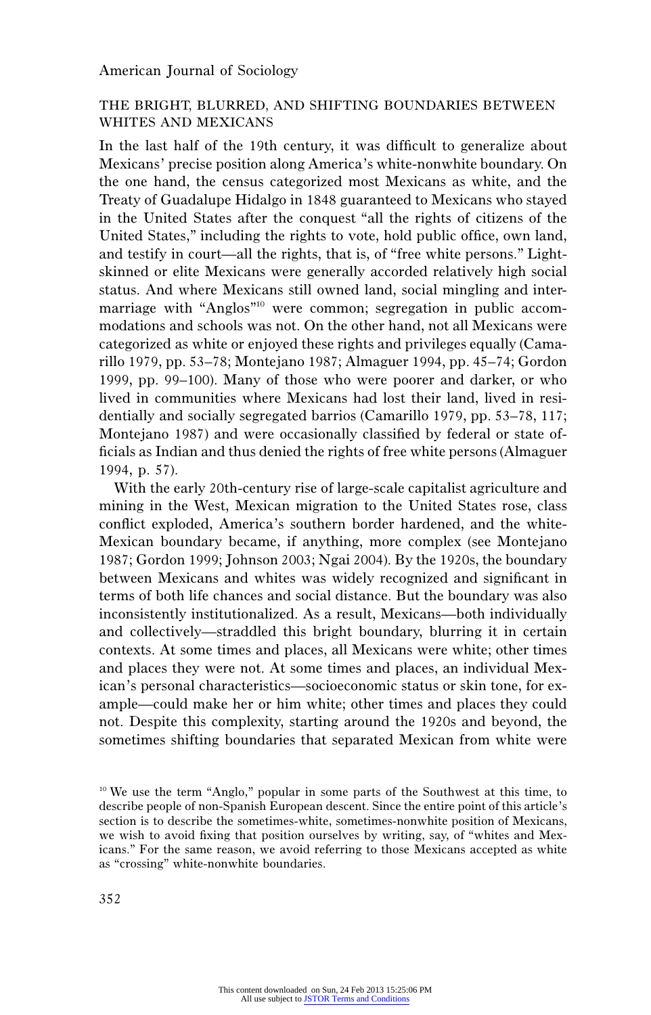# THE BRIGHT, BLURRED, AND SHIFTING BOUNDARIES BETWEEN WHITES AND MEXICANS

In the last half of the 19th century, it was difficult to generalize about Mexicans' precise position along America's white-nonwhite boundary. On the one hand, the census categorized most Mexicans as white, and the Treaty of Guadalupe Hidalgo in 1848 guaranteed to Mexicans who stayed in the United States after the conquest "all the rights of citizens of the United States," including the rights to vote, hold public office, own land, and testify in court—all the rights, that is, of "free white persons." Lightskinned or elite Mexicans were generally accorded relatively high social status. And where Mexicans still owned land, social mingling and intermarriage with "Anglos"<sup>10</sup> were common; segregation in public accommodations and schools was not. On the other hand, not all Mexicans were categorized as white or enjoyed these rights and privileges equally (Camarillo 1979, pp. 53–78; Montejano 1987; Almaguer 1994, pp. 45–74; Gordon 1999, pp. 99–100). Many of those who were poorer and darker, or who lived in communities where Mexicans had lost their land, lived in residentially and socially segregated barrios (Camarillo 1979, pp. 53–78, 117; Montejano 1987) and were occasionally classified by federal or state officials as Indian and thus denied the rights of free white persons (Almaguer 1994, p. 57).

With the early 20th-century rise of large-scale capitalist agriculture and mining in the West, Mexican migration to the United States rose, class conflict exploded, America's southern border hardened, and the white-Mexican boundary became, if anything, more complex (see Montejano 1987; Gordon 1999; Johnson 2003; Ngai 2004). By the 1920s, the boundary between Mexicans and whites was widely recognized and significant in terms of both life chances and social distance. But the boundary was also inconsistently institutionalized. As a result, Mexicans—both individually and collectively—straddled this bright boundary, blurring it in certain contexts. At some times and places, all Mexicans were white; other times and places they were not. At some times and places, an individual Mexican's personal characteristics—socioeconomic status or skin tone, for example—could make her or him white; other times and places they could not. Despite this complexity, starting around the 1920s and beyond, the sometimes shifting boundaries that separated Mexican from white were

 $10$  We use the term "Anglo," popular in some parts of the Southwest at this time, to describe people of non-Spanish European descent. Since the entire point of this article's section is to describe the sometimes-white, sometimes-nonwhite position of Mexicans, we wish to avoid fixing that position ourselves by writing, say, of "whites and Mexicans." For the same reason, we avoid referring to those Mexicans accepted as white as "crossing" white-nonwhite boundaries.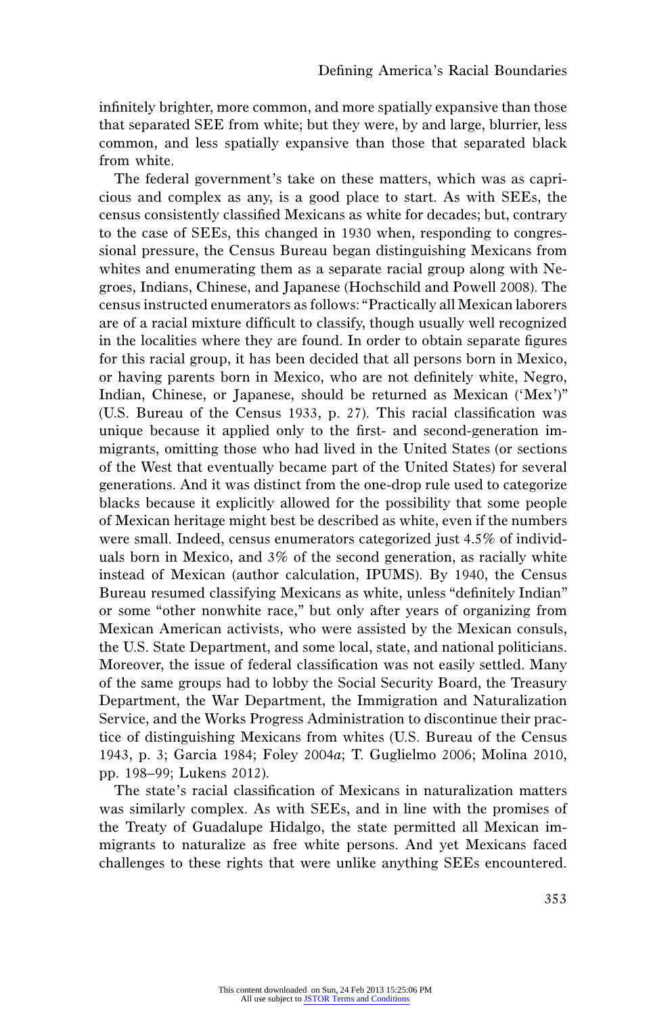infinitely brighter, more common, and more spatially expansive than those that separated SEE from white; but they were, by and large, blurrier, less common, and less spatially expansive than those that separated black from white.

The federal government's take on these matters, which was as capricious and complex as any, is a good place to start. As with SEEs, the census consistently classified Mexicans as white for decades; but, contrary to the case of SEEs, this changed in 1930 when, responding to congressional pressure, the Census Bureau began distinguishing Mexicans from whites and enumerating them as a separate racial group along with Negroes, Indians, Chinese, and Japanese (Hochschild and Powell 2008). The census instructed enumerators as follows: "Practically all Mexican laborers are of a racial mixture difficult to classify, though usually well recognized in the localities where they are found. In order to obtain separate figures for this racial group, it has been decided that all persons born in Mexico, or having parents born in Mexico, who are not definitely white, Negro, Indian, Chinese, or Japanese, should be returned as Mexican ('Mex')" (U.S. Bureau of the Census 1933, p. 27). This racial classification was unique because it applied only to the first- and second-generation immigrants, omitting those who had lived in the United States (or sections of the West that eventually became part of the United States) for several generations. And it was distinct from the one-drop rule used to categorize blacks because it explicitly allowed for the possibility that some people of Mexican heritage might best be described as white, even if the numbers were small. Indeed, census enumerators categorized just 4.5% of individuals born in Mexico, and 3% of the second generation, as racially white instead of Mexican (author calculation, IPUMS). By 1940, the Census Bureau resumed classifying Mexicans as white, unless "definitely Indian" or some "other nonwhite race," but only after years of organizing from Mexican American activists, who were assisted by the Mexican consuls, the U.S. State Department, and some local, state, and national politicians. Moreover, the issue of federal classification was not easily settled. Many of the same groups had to lobby the Social Security Board, the Treasury Department, the War Department, the Immigration and Naturalization Service, and the Works Progress Administration to discontinue their practice of distinguishing Mexicans from whites (U.S. Bureau of the Census 1943, p. 3; Garcia 1984; Foley 2004*a*; T. Guglielmo 2006; Molina 2010, pp. 198–99; Lukens 2012).

The state's racial classification of Mexicans in naturalization matters was similarly complex. As with SEEs, and in line with the promises of the Treaty of Guadalupe Hidalgo, the state permitted all Mexican immigrants to naturalize as free white persons. And yet Mexicans faced challenges to these rights that were unlike anything SEEs encountered.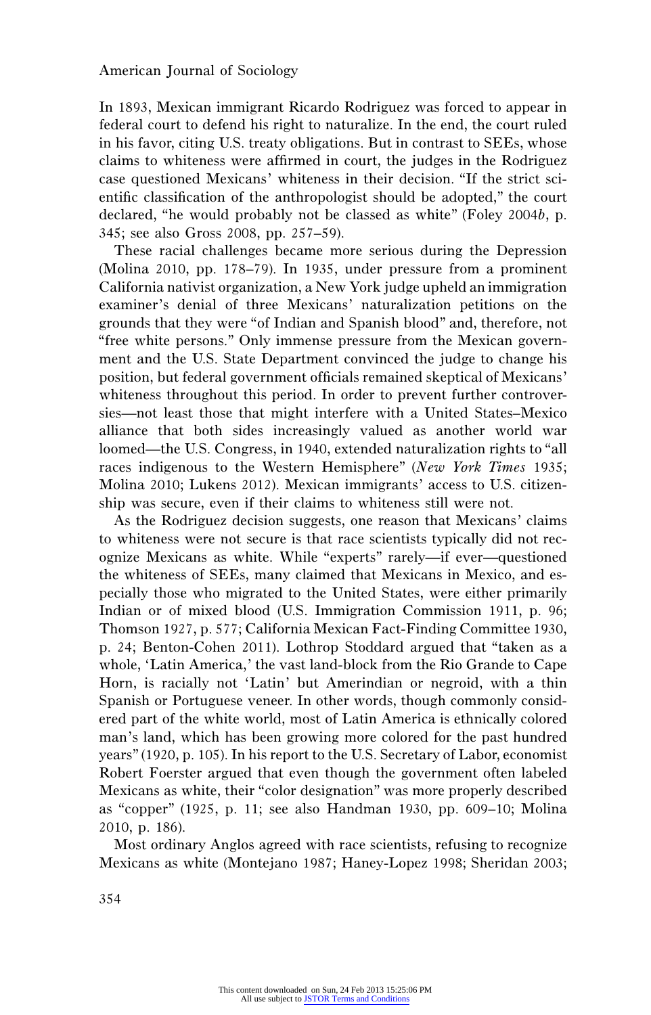In 1893, Mexican immigrant Ricardo Rodriguez was forced to appear in federal court to defend his right to naturalize. In the end, the court ruled in his favor, citing U.S. treaty obligations. But in contrast to SEEs, whose claims to whiteness were affirmed in court, the judges in the Rodriguez case questioned Mexicans' whiteness in their decision. "If the strict scientific classification of the anthropologist should be adopted," the court declared, "he would probably not be classed as white" (Foley 2004*b*, p. 345; see also Gross 2008, pp. 257–59).

These racial challenges became more serious during the Depression (Molina 2010, pp. 178–79). In 1935, under pressure from a prominent California nativist organization, a New York judge upheld an immigration examiner's denial of three Mexicans' naturalization petitions on the grounds that they were "of Indian and Spanish blood" and, therefore, not "free white persons." Only immense pressure from the Mexican government and the U.S. State Department convinced the judge to change his position, but federal government officials remained skeptical of Mexicans' whiteness throughout this period. In order to prevent further controversies—not least those that might interfere with a United States–Mexico alliance that both sides increasingly valued as another world war loomed—the U.S. Congress, in 1940, extended naturalization rights to "all races indigenous to the Western Hemisphere" (*New York Times* 1935; Molina 2010; Lukens 2012). Mexican immigrants' access to U.S. citizenship was secure, even if their claims to whiteness still were not.

As the Rodriguez decision suggests, one reason that Mexicans' claims to whiteness were not secure is that race scientists typically did not recognize Mexicans as white. While "experts" rarely—if ever—questioned the whiteness of SEEs, many claimed that Mexicans in Mexico, and especially those who migrated to the United States, were either primarily Indian or of mixed blood (U.S. Immigration Commission 1911, p. 96; Thomson 1927, p. 577; California Mexican Fact-Finding Committee 1930, p. 24; Benton-Cohen 2011). Lothrop Stoddard argued that "taken as a whole, 'Latin America,' the vast land-block from the Rio Grande to Cape Horn, is racially not 'Latin' but Amerindian or negroid, with a thin Spanish or Portuguese veneer. In other words, though commonly considered part of the white world, most of Latin America is ethnically colored man's land, which has been growing more colored for the past hundred years" (1920, p. 105). In his report to the U.S. Secretary of Labor, economist Robert Foerster argued that even though the government often labeled Mexicans as white, their "color designation" was more properly described as "copper" (1925, p. 11; see also Handman 1930, pp. 609–10; Molina 2010, p. 186).

Most ordinary Anglos agreed with race scientists, refusing to recognize Mexicans as white (Montejano 1987; Haney-Lopez 1998; Sheridan 2003;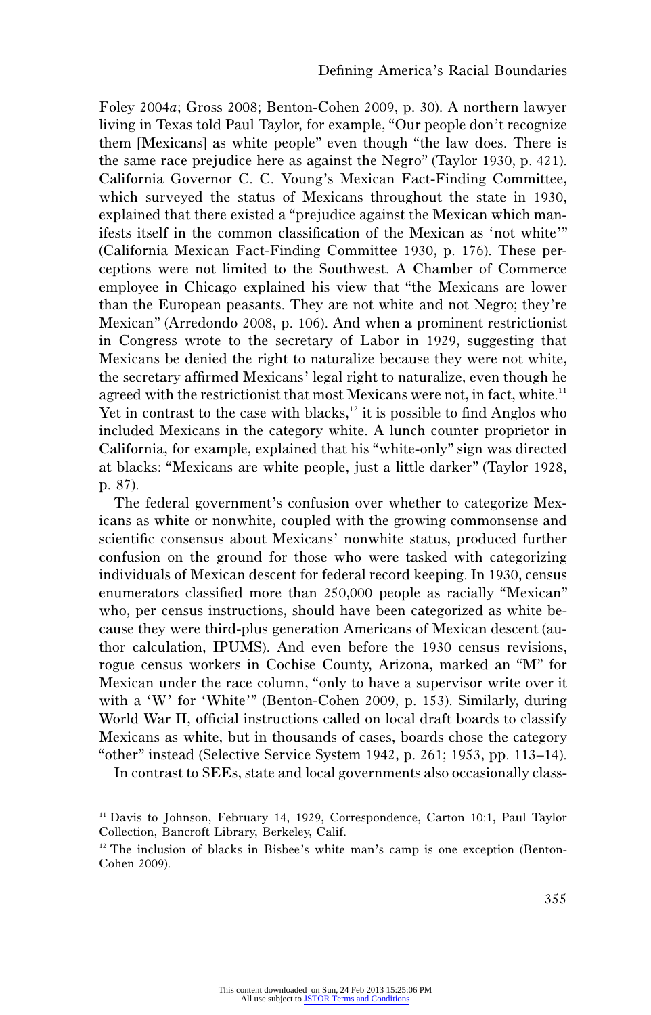Foley 2004*a*; Gross 2008; Benton-Cohen 2009, p. 30). A northern lawyer living in Texas told Paul Taylor, for example, "Our people don't recognize them [Mexicans] as white people" even though "the law does. There is the same race prejudice here as against the Negro" (Taylor 1930, p. 421). California Governor C. C. Young's Mexican Fact-Finding Committee, which surveyed the status of Mexicans throughout the state in 1930, explained that there existed a "prejudice against the Mexican which manifests itself in the common classification of the Mexican as 'not white'" (California Mexican Fact-Finding Committee 1930, p. 176). These perceptions were not limited to the Southwest. A Chamber of Commerce employee in Chicago explained his view that "the Mexicans are lower than the European peasants. They are not white and not Negro; they're Mexican" (Arredondo 2008, p. 106). And when a prominent restrictionist in Congress wrote to the secretary of Labor in 1929, suggesting that Mexicans be denied the right to naturalize because they were not white, the secretary affirmed Mexicans' legal right to naturalize, even though he agreed with the restrictionist that most Mexicans were not, in fact, white.<sup>11</sup> Yet in contrast to the case with blacks, $12$  it is possible to find Anglos who included Mexicans in the category white. A lunch counter proprietor in California, for example, explained that his "white-only" sign was directed at blacks: "Mexicans are white people, just a little darker" (Taylor 1928, p. 87).

The federal government's confusion over whether to categorize Mexicans as white or nonwhite, coupled with the growing commonsense and scientific consensus about Mexicans' nonwhite status, produced further confusion on the ground for those who were tasked with categorizing individuals of Mexican descent for federal record keeping. In 1930, census enumerators classified more than 250,000 people as racially "Mexican" who, per census instructions, should have been categorized as white because they were third-plus generation Americans of Mexican descent (author calculation, IPUMS). And even before the 1930 census revisions, rogue census workers in Cochise County, Arizona, marked an "M" for Mexican under the race column, "only to have a supervisor write over it with a 'W' for 'White'" (Benton-Cohen 2009, p. 153). Similarly, during World War II, official instructions called on local draft boards to classify Mexicans as white, but in thousands of cases, boards chose the category "other" instead (Selective Service System 1942, p. 261; 1953, pp. 113–14).

In contrast to SEEs, state and local governments also occasionally class-

<sup>11</sup> Davis to Johnson, February 14, 1929, Correspondence, Carton 10:1, Paul Taylor Collection, Bancroft Library, Berkeley, Calif.

 $12$ <sup>12</sup> The inclusion of blacks in Bisbee's white man's camp is one exception (Benton-Cohen 2009).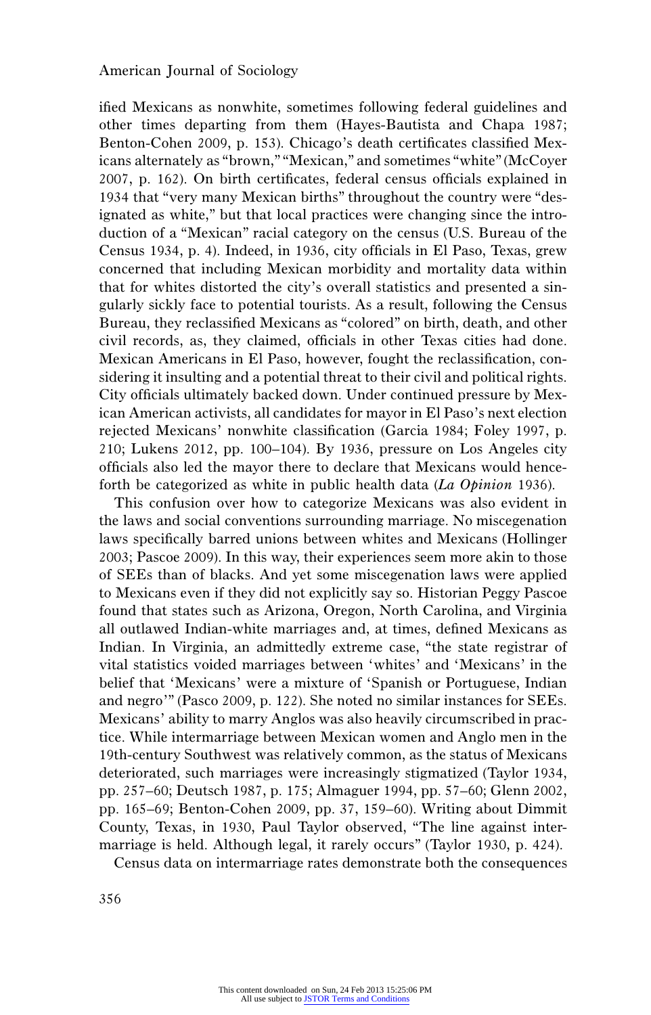ified Mexicans as nonwhite, sometimes following federal guidelines and other times departing from them (Hayes-Bautista and Chapa 1987; Benton-Cohen 2009, p. 153). Chicago's death certificates classified Mexicans alternately as "brown," "Mexican," and sometimes "white" (McCoyer 2007, p. 162). On birth certificates, federal census officials explained in 1934 that "very many Mexican births" throughout the country were "designated as white," but that local practices were changing since the introduction of a "Mexican" racial category on the census (U.S. Bureau of the Census 1934, p. 4). Indeed, in 1936, city officials in El Paso, Texas, grew concerned that including Mexican morbidity and mortality data within that for whites distorted the city's overall statistics and presented a singularly sickly face to potential tourists. As a result, following the Census Bureau, they reclassified Mexicans as "colored" on birth, death, and other civil records, as, they claimed, officials in other Texas cities had done. Mexican Americans in El Paso, however, fought the reclassification, considering it insulting and a potential threat to their civil and political rights. City officials ultimately backed down. Under continued pressure by Mexican American activists, all candidates for mayor in El Paso's next election rejected Mexicans' nonwhite classification (Garcia 1984; Foley 1997, p. 210; Lukens 2012, pp. 100–104). By 1936, pressure on Los Angeles city officials also led the mayor there to declare that Mexicans would henceforth be categorized as white in public health data (*La Opinion* 1936).

This confusion over how to categorize Mexicans was also evident in the laws and social conventions surrounding marriage. No miscegenation laws specifically barred unions between whites and Mexicans (Hollinger 2003; Pascoe 2009). In this way, their experiences seem more akin to those of SEEs than of blacks. And yet some miscegenation laws were applied to Mexicans even if they did not explicitly say so. Historian Peggy Pascoe found that states such as Arizona, Oregon, North Carolina, and Virginia all outlawed Indian-white marriages and, at times, defined Mexicans as Indian. In Virginia, an admittedly extreme case, "the state registrar of vital statistics voided marriages between 'whites' and 'Mexicans' in the belief that 'Mexicans' were a mixture of 'Spanish or Portuguese, Indian and negro'" (Pasco 2009, p. 122). She noted no similar instances for SEEs. Mexicans' ability to marry Anglos was also heavily circumscribed in practice. While intermarriage between Mexican women and Anglo men in the 19th-century Southwest was relatively common, as the status of Mexicans deteriorated, such marriages were increasingly stigmatized (Taylor 1934, pp. 257–60; Deutsch 1987, p. 175; Almaguer 1994, pp. 57–60; Glenn 2002, pp. 165–69; Benton-Cohen 2009, pp. 37, 159–60). Writing about Dimmit County, Texas, in 1930, Paul Taylor observed, "The line against intermarriage is held. Although legal, it rarely occurs" (Taylor 1930, p. 424).

Census data on intermarriage rates demonstrate both the consequences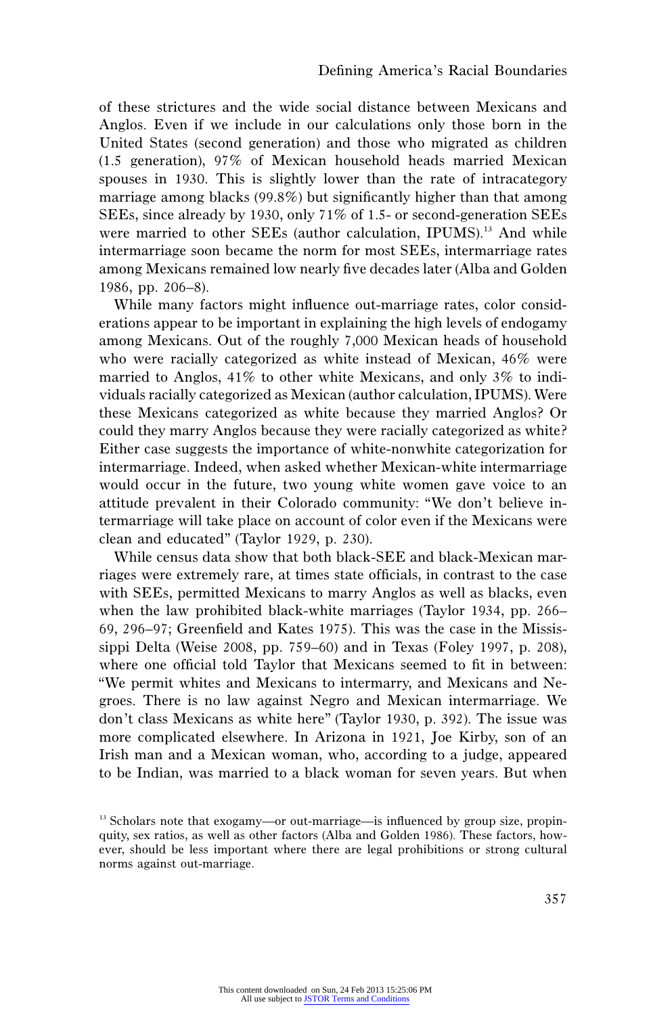of these strictures and the wide social distance between Mexicans and Anglos. Even if we include in our calculations only those born in the United States (second generation) and those who migrated as children (1.5 generation), 97% of Mexican household heads married Mexican spouses in 1930. This is slightly lower than the rate of intracategory marriage among blacks (99.8%) but significantly higher than that among SEEs, since already by 1930, only 71% of 1.5- or second-generation SEEs were married to other SEEs (author calculation, IPUMS).<sup>13</sup> And while intermarriage soon became the norm for most SEEs, intermarriage rates among Mexicans remained low nearly five decades later (Alba and Golden 1986, pp. 206–8).

While many factors might influence out-marriage rates, color considerations appear to be important in explaining the high levels of endogamy among Mexicans. Out of the roughly 7,000 Mexican heads of household who were racially categorized as white instead of Mexican, 46% were married to Anglos, 41% to other white Mexicans, and only 3% to individuals racially categorized as Mexican (author calculation, IPUMS). Were these Mexicans categorized as white because they married Anglos? Or could they marry Anglos because they were racially categorized as white? Either case suggests the importance of white-nonwhite categorization for intermarriage. Indeed, when asked whether Mexican-white intermarriage would occur in the future, two young white women gave voice to an attitude prevalent in their Colorado community: "We don't believe intermarriage will take place on account of color even if the Mexicans were clean and educated" (Taylor 1929, p. 230).

While census data show that both black-SEE and black-Mexican marriages were extremely rare, at times state officials, in contrast to the case with SEEs, permitted Mexicans to marry Anglos as well as blacks, even when the law prohibited black-white marriages (Taylor 1934, pp. 266– 69, 296–97; Greenfield and Kates 1975). This was the case in the Mississippi Delta (Weise 2008, pp. 759–60) and in Texas (Foley 1997, p. 208), where one official told Taylor that Mexicans seemed to fit in between: "We permit whites and Mexicans to intermarry, and Mexicans and Negroes. There is no law against Negro and Mexican intermarriage. We don't class Mexicans as white here" (Taylor 1930, p. 392). The issue was more complicated elsewhere. In Arizona in 1921, Joe Kirby, son of an Irish man and a Mexican woman, who, according to a judge, appeared to be Indian, was married to a black woman for seven years. But when

<sup>&</sup>lt;sup>13</sup> Scholars note that exogamy—or out-marriage—is influenced by group size, propinquity, sex ratios, as well as other factors (Alba and Golden 1986). These factors, however, should be less important where there are legal prohibitions or strong cultural norms against out-marriage.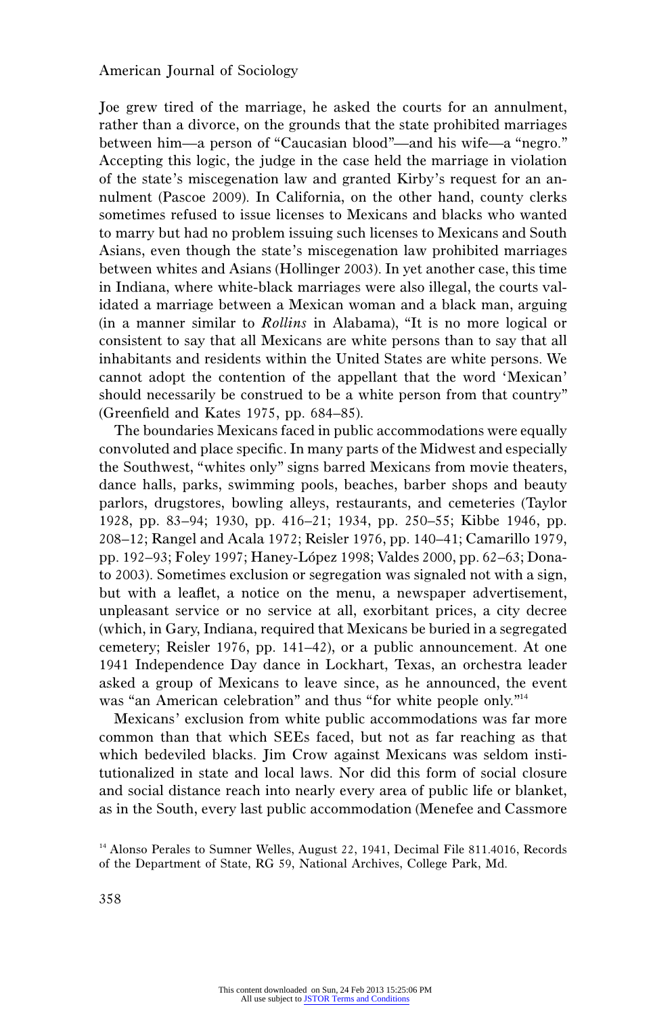Joe grew tired of the marriage, he asked the courts for an annulment, rather than a divorce, on the grounds that the state prohibited marriages between him—a person of "Caucasian blood"—and his wife—a "negro." Accepting this logic, the judge in the case held the marriage in violation of the state's miscegenation law and granted Kirby's request for an annulment (Pascoe 2009). In California, on the other hand, county clerks sometimes refused to issue licenses to Mexicans and blacks who wanted to marry but had no problem issuing such licenses to Mexicans and South Asians, even though the state's miscegenation law prohibited marriages between whites and Asians (Hollinger 2003). In yet another case, this time in Indiana, where white-black marriages were also illegal, the courts validated a marriage between a Mexican woman and a black man, arguing (in a manner similar to *Rollins* in Alabama), "It is no more logical or consistent to say that all Mexicans are white persons than to say that all inhabitants and residents within the United States are white persons. We cannot adopt the contention of the appellant that the word 'Mexican' should necessarily be construed to be a white person from that country" (Greenfield and Kates 1975, pp. 684–85).

The boundaries Mexicans faced in public accommodations were equally convoluted and place specific. In many parts of the Midwest and especially the Southwest, "whites only" signs barred Mexicans from movie theaters, dance halls, parks, swimming pools, beaches, barber shops and beauty parlors, drugstores, bowling alleys, restaurants, and cemeteries (Taylor 1928, pp. 83–94; 1930, pp. 416–21; 1934, pp. 250–55; Kibbe 1946, pp. 208–12; Rangel and Acala 1972; Reisler 1976, pp. 140–41; Camarillo 1979, pp. 192–93; Foley 1997; Haney-Lo´pez 1998; Valdes 2000, pp. 62–63; Donato 2003). Sometimes exclusion or segregation was signaled not with a sign, but with a leaflet, a notice on the menu, a newspaper advertisement, unpleasant service or no service at all, exorbitant prices, a city decree (which, in Gary, Indiana, required that Mexicans be buried in a segregated cemetery; Reisler 1976, pp. 141–42), or a public announcement. At one 1941 Independence Day dance in Lockhart, Texas, an orchestra leader asked a group of Mexicans to leave since, as he announced, the event was "an American celebration" and thus "for white people only."<sup>14</sup>

Mexicans' exclusion from white public accommodations was far more common than that which SEEs faced, but not as far reaching as that which bedeviled blacks. Jim Crow against Mexicans was seldom institutionalized in state and local laws. Nor did this form of social closure and social distance reach into nearly every area of public life or blanket, as in the South, every last public accommodation (Menefee and Cassmore

<sup>14</sup> Alonso Perales to Sumner Welles, August 22, 1941, Decimal File 811.4016, Records of the Department of State, RG 59, National Archives, College Park, Md.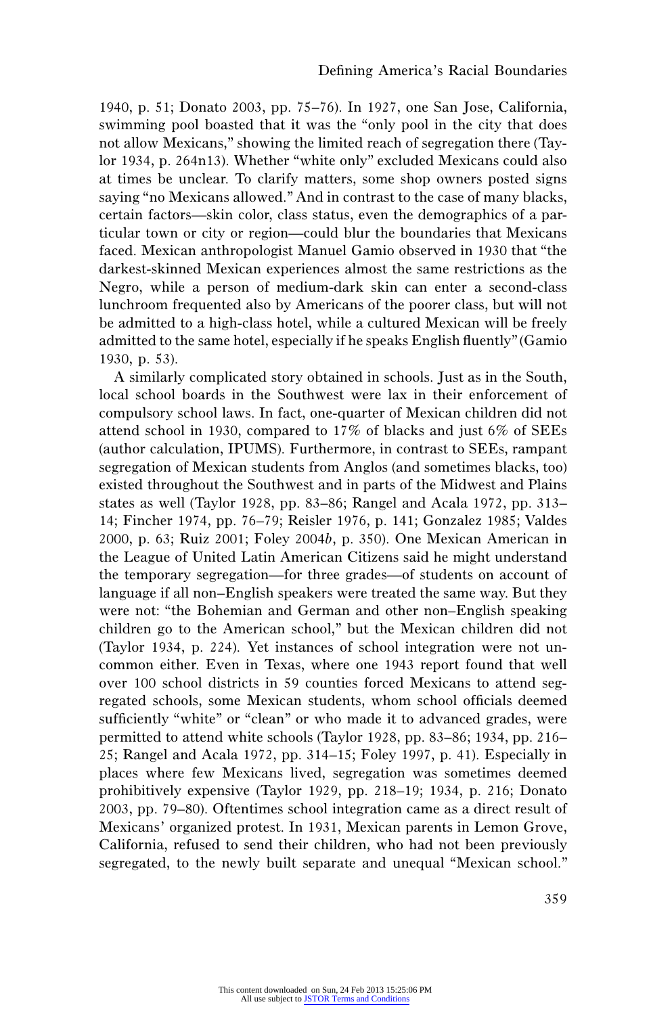1940, p. 51; Donato 2003, pp. 75–76). In 1927, one San Jose, California, swimming pool boasted that it was the "only pool in the city that does not allow Mexicans," showing the limited reach of segregation there (Taylor 1934, p. 264n13). Whether "white only" excluded Mexicans could also at times be unclear. To clarify matters, some shop owners posted signs saying "no Mexicans allowed." And in contrast to the case of many blacks, certain factors—skin color, class status, even the demographics of a particular town or city or region—could blur the boundaries that Mexicans faced. Mexican anthropologist Manuel Gamio observed in 1930 that "the darkest-skinned Mexican experiences almost the same restrictions as the Negro, while a person of medium-dark skin can enter a second-class lunchroom frequented also by Americans of the poorer class, but will not be admitted to a high-class hotel, while a cultured Mexican will be freely admitted to the same hotel, especially if he speaks English fluently" (Gamio 1930, p. 53).

A similarly complicated story obtained in schools. Just as in the South, local school boards in the Southwest were lax in their enforcement of compulsory school laws. In fact, one-quarter of Mexican children did not attend school in 1930, compared to 17% of blacks and just 6% of SEEs (author calculation, IPUMS). Furthermore, in contrast to SEEs, rampant segregation of Mexican students from Anglos (and sometimes blacks, too) existed throughout the Southwest and in parts of the Midwest and Plains states as well (Taylor 1928, pp. 83–86; Rangel and Acala 1972, pp. 313– 14; Fincher 1974, pp. 76–79; Reisler 1976, p. 141; Gonzalez 1985; Valdes 2000, p. 63; Ruiz 2001; Foley 2004*b*, p. 350). One Mexican American in the League of United Latin American Citizens said he might understand the temporary segregation—for three grades—of students on account of language if all non–English speakers were treated the same way. But they were not: "the Bohemian and German and other non–English speaking children go to the American school," but the Mexican children did not (Taylor 1934, p. 224). Yet instances of school integration were not uncommon either. Even in Texas, where one 1943 report found that well over 100 school districts in 59 counties forced Mexicans to attend segregated schools, some Mexican students, whom school officials deemed sufficiently "white" or "clean" or who made it to advanced grades, were permitted to attend white schools (Taylor 1928, pp. 83–86; 1934, pp. 216– 25; Rangel and Acala 1972, pp. 314–15; Foley 1997, p. 41). Especially in places where few Mexicans lived, segregation was sometimes deemed prohibitively expensive (Taylor 1929, pp. 218–19; 1934, p. 216; Donato 2003, pp. 79–80). Oftentimes school integration came as a direct result of Mexicans' organized protest. In 1931, Mexican parents in Lemon Grove, California, refused to send their children, who had not been previously segregated, to the newly built separate and unequal "Mexican school."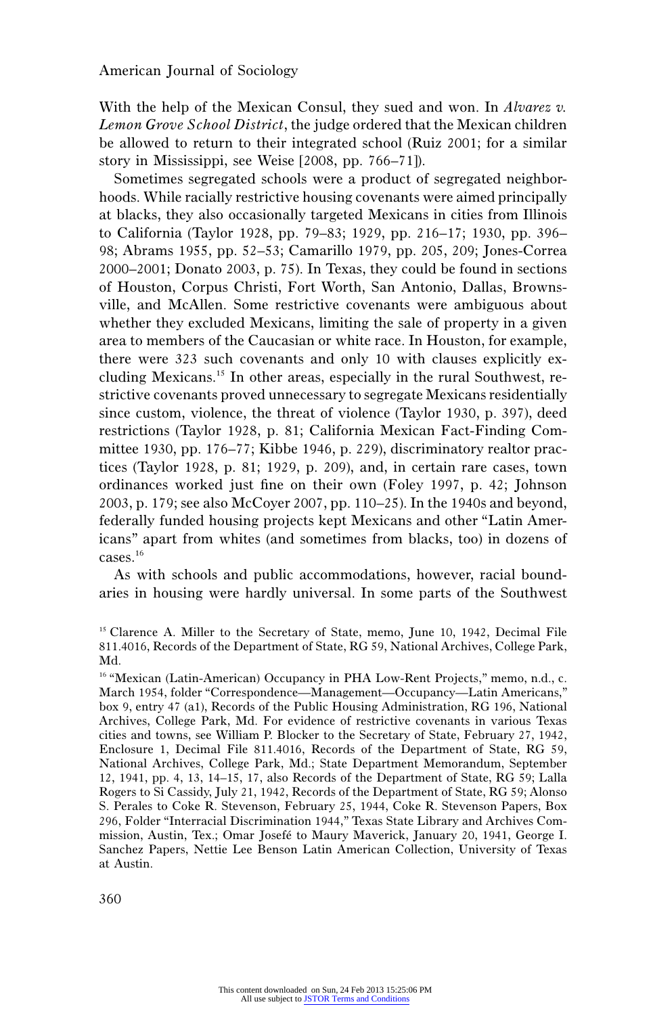With the help of the Mexican Consul, they sued and won. In *Alvarez v. Lemon Grove School District*, the judge ordered that the Mexican children be allowed to return to their integrated school (Ruiz 2001; for a similar story in Mississippi, see Weise [2008, pp. 766–71]).

Sometimes segregated schools were a product of segregated neighborhoods. While racially restrictive housing covenants were aimed principally at blacks, they also occasionally targeted Mexicans in cities from Illinois to California (Taylor 1928, pp. 79–83; 1929, pp. 216–17; 1930, pp. 396– 98; Abrams 1955, pp. 52–53; Camarillo 1979, pp. 205, 209; Jones-Correa 2000–2001; Donato 2003, p. 75). In Texas, they could be found in sections of Houston, Corpus Christi, Fort Worth, San Antonio, Dallas, Brownsville, and McAllen. Some restrictive covenants were ambiguous about whether they excluded Mexicans, limiting the sale of property in a given area to members of the Caucasian or white race. In Houston, for example, there were 323 such covenants and only 10 with clauses explicitly excluding Mexicans.15 In other areas, especially in the rural Southwest, restrictive covenants proved unnecessary to segregate Mexicans residentially since custom, violence, the threat of violence (Taylor 1930, p. 397), deed restrictions (Taylor 1928, p. 81; California Mexican Fact-Finding Committee 1930, pp. 176–77; Kibbe 1946, p. 229), discriminatory realtor practices (Taylor 1928, p. 81; 1929, p. 209), and, in certain rare cases, town ordinances worked just fine on their own (Foley 1997, p. 42; Johnson 2003, p. 179; see also McCoyer 2007, pp. 110–25). In the 1940s and beyond, federally funded housing projects kept Mexicans and other "Latin Americans" apart from whites (and sometimes from blacks, too) in dozens of cases.16

As with schools and public accommodations, however, racial boundaries in housing were hardly universal. In some parts of the Southwest

<sup>&</sup>lt;sup>15</sup> Clarence A. Miller to the Secretary of State, memo, June 10, 1942, Decimal File 811.4016, Records of the Department of State, RG 59, National Archives, College Park, Md.

<sup>&</sup>lt;sup>16</sup> "Mexican (Latin-American) Occupancy in PHA Low-Rent Projects," memo, n.d., c. March 1954, folder "Correspondence—Management—Occupancy—Latin Americans," box 9, entry 47 (a1), Records of the Public Housing Administration, RG 196, National Archives, College Park, Md. For evidence of restrictive covenants in various Texas cities and towns, see William P. Blocker to the Secretary of State, February 27, 1942, Enclosure 1, Decimal File 811.4016, Records of the Department of State, RG 59, National Archives, College Park, Md.; State Department Memorandum, September 12, 1941, pp. 4, 13, 14–15, 17, also Records of the Department of State, RG 59; Lalla Rogers to Si Cassidy, July 21, 1942, Records of the Department of State, RG 59; Alonso S. Perales to Coke R. Stevenson, February 25, 1944, Coke R. Stevenson Papers, Box 296, Folder "Interracial Discrimination 1944," Texas State Library and Archives Commission, Austin, Tex.; Omar Josefe´ to Maury Maverick, January 20, 1941, George I. Sanchez Papers, Nettie Lee Benson Latin American Collection, University of Texas at Austin.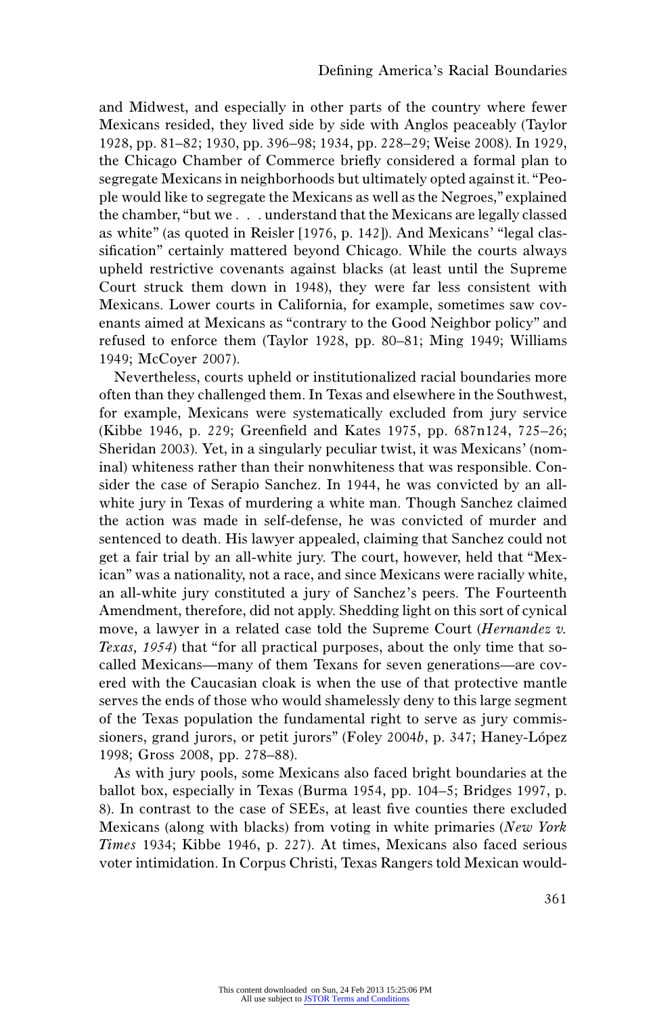and Midwest, and especially in other parts of the country where fewer Mexicans resided, they lived side by side with Anglos peaceably (Taylor 1928, pp. 81–82; 1930, pp. 396–98; 1934, pp. 228–29; Weise 2008). In 1929, the Chicago Chamber of Commerce briefly considered a formal plan to segregate Mexicans in neighborhoods but ultimately opted against it. "People would like to segregate the Mexicans as well as the Negroes," explained the chamber, "but we . . . understand that the Mexicans are legally classed as white" (as quoted in Reisler [1976, p. 142]). And Mexicans' "legal classification" certainly mattered beyond Chicago. While the courts always upheld restrictive covenants against blacks (at least until the Supreme Court struck them down in 1948), they were far less consistent with Mexicans. Lower courts in California, for example, sometimes saw covenants aimed at Mexicans as "contrary to the Good Neighbor policy" and refused to enforce them (Taylor 1928, pp. 80–81; Ming 1949; Williams 1949; McCoyer 2007).

Nevertheless, courts upheld or institutionalized racial boundaries more often than they challenged them. In Texas and elsewhere in the Southwest, for example, Mexicans were systematically excluded from jury service (Kibbe 1946, p. 229; Greenfield and Kates 1975, pp. 687n124, 725–26; Sheridan 2003). Yet, in a singularly peculiar twist, it was Mexicans' (nominal) whiteness rather than their nonwhiteness that was responsible. Consider the case of Serapio Sanchez. In 1944, he was convicted by an allwhite jury in Texas of murdering a white man. Though Sanchez claimed the action was made in self-defense, he was convicted of murder and sentenced to death. His lawyer appealed, claiming that Sanchez could not get a fair trial by an all-white jury. The court, however, held that "Mexican" was a nationality, not a race, and since Mexicans were racially white, an all-white jury constituted a jury of Sanchez's peers. The Fourteenth Amendment, therefore, did not apply. Shedding light on this sort of cynical move, a lawyer in a related case told the Supreme Court (*Hernandez v. Texas, 1954*) that "for all practical purposes, about the only time that socalled Mexicans—many of them Texans for seven generations—are covered with the Caucasian cloak is when the use of that protective mantle serves the ends of those who would shamelessly deny to this large segment of the Texas population the fundamental right to serve as jury commissioners, grand jurors, or petit jurors" (Foley 2004b, p. 347; Haney-López 1998; Gross 2008, pp. 278–88).

As with jury pools, some Mexicans also faced bright boundaries at the ballot box, especially in Texas (Burma 1954, pp. 104–5; Bridges 1997, p. 8). In contrast to the case of SEEs, at least five counties there excluded Mexicans (along with blacks) from voting in white primaries (*New York Times* 1934; Kibbe 1946, p. 227). At times, Mexicans also faced serious voter intimidation. In Corpus Christi, Texas Rangers told Mexican would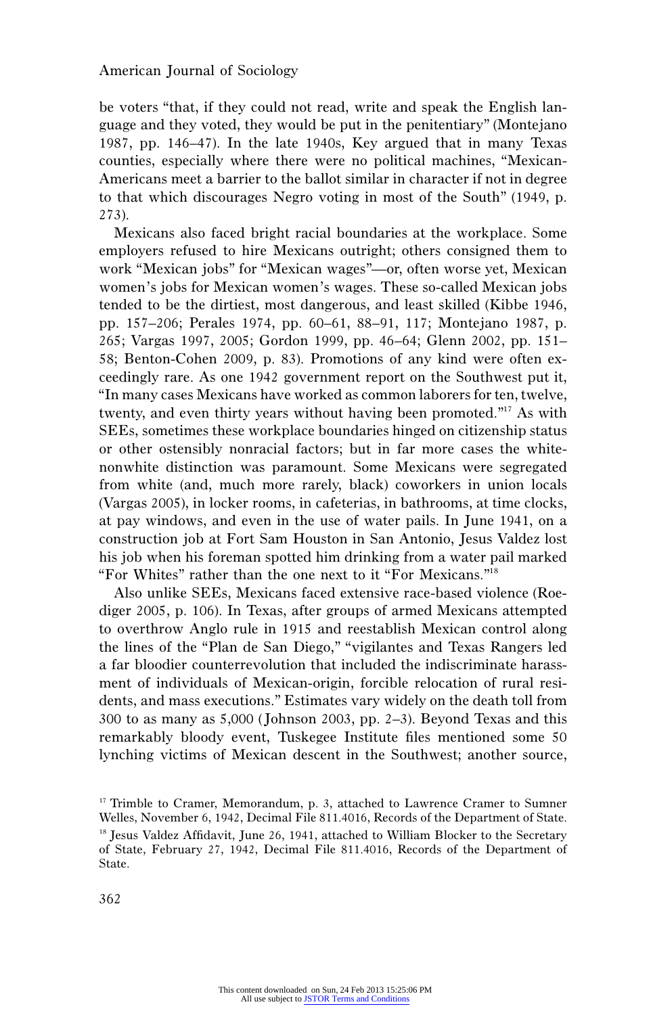be voters "that, if they could not read, write and speak the English language and they voted, they would be put in the penitentiary" (Montejano 1987, pp. 146–47). In the late 1940s, Key argued that in many Texas counties, especially where there were no political machines, "Mexican-Americans meet a barrier to the ballot similar in character if not in degree to that which discourages Negro voting in most of the South" (1949, p. 273).

Mexicans also faced bright racial boundaries at the workplace. Some employers refused to hire Mexicans outright; others consigned them to work "Mexican jobs" for "Mexican wages"—or, often worse yet, Mexican women's jobs for Mexican women's wages. These so-called Mexican jobs tended to be the dirtiest, most dangerous, and least skilled (Kibbe 1946, pp. 157–206; Perales 1974, pp. 60–61, 88–91, 117; Montejano 1987, p. 265; Vargas 1997, 2005; Gordon 1999, pp. 46–64; Glenn 2002, pp. 151– 58; Benton-Cohen 2009, p. 83). Promotions of any kind were often exceedingly rare. As one 1942 government report on the Southwest put it, "In many cases Mexicans have worked as common laborers for ten, twelve, twenty, and even thirty years without having been promoted."<sup>17</sup> As with SEEs, sometimes these workplace boundaries hinged on citizenship status or other ostensibly nonracial factors; but in far more cases the whitenonwhite distinction was paramount. Some Mexicans were segregated from white (and, much more rarely, black) coworkers in union locals (Vargas 2005), in locker rooms, in cafeterias, in bathrooms, at time clocks, at pay windows, and even in the use of water pails. In June 1941, on a construction job at Fort Sam Houston in San Antonio, Jesus Valdez lost his job when his foreman spotted him drinking from a water pail marked "For Whites" rather than the one next to it "For Mexicans."18

Also unlike SEEs, Mexicans faced extensive race-based violence (Roediger 2005, p. 106). In Texas, after groups of armed Mexicans attempted to overthrow Anglo rule in 1915 and reestablish Mexican control along the lines of the "Plan de San Diego," "vigilantes and Texas Rangers led a far bloodier counterrevolution that included the indiscriminate harassment of individuals of Mexican-origin, forcible relocation of rural residents, and mass executions." Estimates vary widely on the death toll from 300 to as many as 5,000 (Johnson 2003, pp. 2–3). Beyond Texas and this remarkably bloody event, Tuskegee Institute files mentioned some 50 lynching victims of Mexican descent in the Southwest; another source,

<sup>&</sup>lt;sup>17</sup> Trimble to Cramer, Memorandum, p. 3, attached to Lawrence Cramer to Sumner Welles, November 6, 1942, Decimal File 811.4016, Records of the Department of State.  $18$  Jesus Valdez Affidavit, June 26, 1941, attached to William Blocker to the Secretary of State, February 27, 1942, Decimal File 811.4016, Records of the Department of State.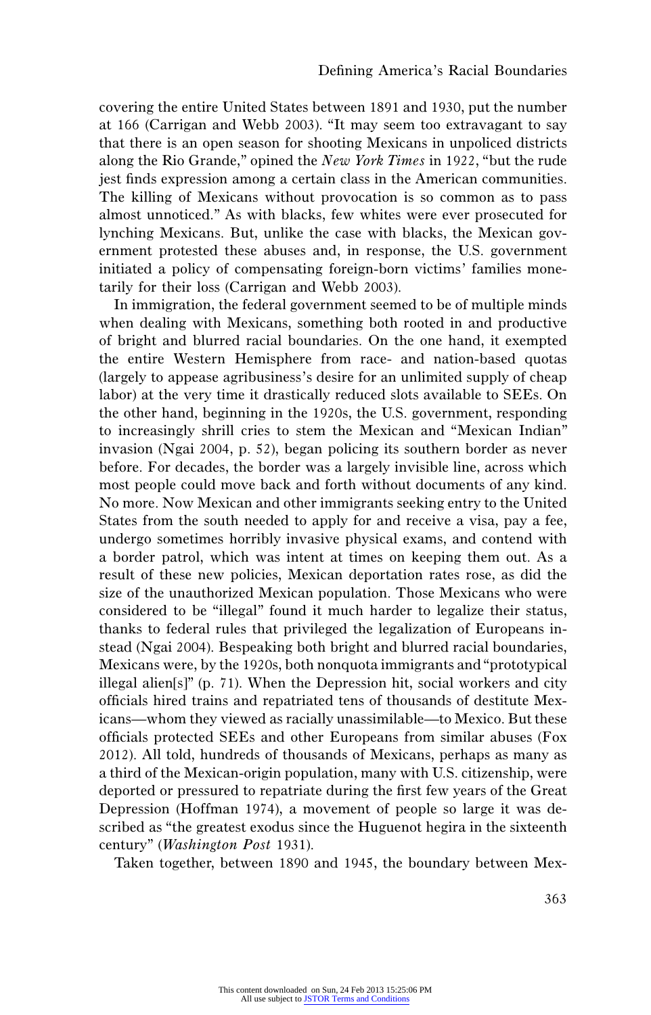covering the entire United States between 1891 and 1930, put the number at 166 (Carrigan and Webb 2003). "It may seem too extravagant to say that there is an open season for shooting Mexicans in unpoliced districts along the Rio Grande," opined the *New York Times* in 1922, "but the rude jest finds expression among a certain class in the American communities. The killing of Mexicans without provocation is so common as to pass almost unnoticed." As with blacks, few whites were ever prosecuted for lynching Mexicans. But, unlike the case with blacks, the Mexican government protested these abuses and, in response, the U.S. government initiated a policy of compensating foreign-born victims' families monetarily for their loss (Carrigan and Webb 2003).

In immigration, the federal government seemed to be of multiple minds when dealing with Mexicans, something both rooted in and productive of bright and blurred racial boundaries. On the one hand, it exempted the entire Western Hemisphere from race- and nation-based quotas (largely to appease agribusiness's desire for an unlimited supply of cheap labor) at the very time it drastically reduced slots available to SEEs. On the other hand, beginning in the 1920s, the U.S. government, responding to increasingly shrill cries to stem the Mexican and "Mexican Indian" invasion (Ngai 2004, p. 52), began policing its southern border as never before. For decades, the border was a largely invisible line, across which most people could move back and forth without documents of any kind. No more. Now Mexican and other immigrants seeking entry to the United States from the south needed to apply for and receive a visa, pay a fee, undergo sometimes horribly invasive physical exams, and contend with a border patrol, which was intent at times on keeping them out. As a result of these new policies, Mexican deportation rates rose, as did the size of the unauthorized Mexican population. Those Mexicans who were considered to be "illegal" found it much harder to legalize their status, thanks to federal rules that privileged the legalization of Europeans instead (Ngai 2004). Bespeaking both bright and blurred racial boundaries, Mexicans were, by the 1920s, both nonquota immigrants and "prototypical illegal alien[s]" (p. 71). When the Depression hit, social workers and city officials hired trains and repatriated tens of thousands of destitute Mexicans—whom they viewed as racially unassimilable—to Mexico. But these officials protected SEEs and other Europeans from similar abuses (Fox 2012). All told, hundreds of thousands of Mexicans, perhaps as many as a third of the Mexican-origin population, many with U.S. citizenship, were deported or pressured to repatriate during the first few years of the Great Depression (Hoffman 1974), a movement of people so large it was described as "the greatest exodus since the Huguenot hegira in the sixteenth century" (*Washington Post* 1931).

Taken together, between 1890 and 1945, the boundary between Mex-

363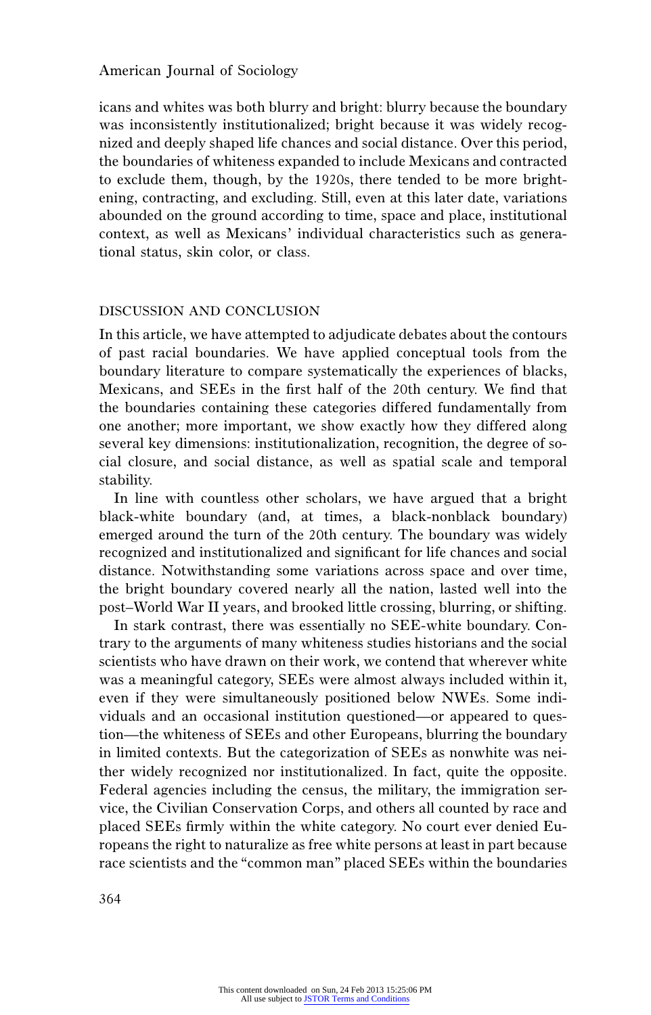icans and whites was both blurry and bright: blurry because the boundary was inconsistently institutionalized; bright because it was widely recognized and deeply shaped life chances and social distance. Over this period, the boundaries of whiteness expanded to include Mexicans and contracted to exclude them, though, by the 1920s, there tended to be more brightening, contracting, and excluding. Still, even at this later date, variations abounded on the ground according to time, space and place, institutional context, as well as Mexicans' individual characteristics such as generational status, skin color, or class.

# DISCUSSION AND CONCLUSION

In this article, we have attempted to adjudicate debates about the contours of past racial boundaries. We have applied conceptual tools from the boundary literature to compare systematically the experiences of blacks, Mexicans, and SEEs in the first half of the 20th century. We find that the boundaries containing these categories differed fundamentally from one another; more important, we show exactly how they differed along several key dimensions: institutionalization, recognition, the degree of social closure, and social distance, as well as spatial scale and temporal stability.

In line with countless other scholars, we have argued that a bright black-white boundary (and, at times, a black-nonblack boundary) emerged around the turn of the 20th century. The boundary was widely recognized and institutionalized and significant for life chances and social distance. Notwithstanding some variations across space and over time, the bright boundary covered nearly all the nation, lasted well into the post–World War II years, and brooked little crossing, blurring, or shifting.

In stark contrast, there was essentially no SEE-white boundary. Contrary to the arguments of many whiteness studies historians and the social scientists who have drawn on their work, we contend that wherever white was a meaningful category, SEEs were almost always included within it, even if they were simultaneously positioned below NWEs. Some individuals and an occasional institution questioned—or appeared to question—the whiteness of SEEs and other Europeans, blurring the boundary in limited contexts. But the categorization of SEEs as nonwhite was neither widely recognized nor institutionalized. In fact, quite the opposite. Federal agencies including the census, the military, the immigration service, the Civilian Conservation Corps, and others all counted by race and placed SEEs firmly within the white category. No court ever denied Europeans the right to naturalize as free white persons at least in part because race scientists and the "common man" placed SEEs within the boundaries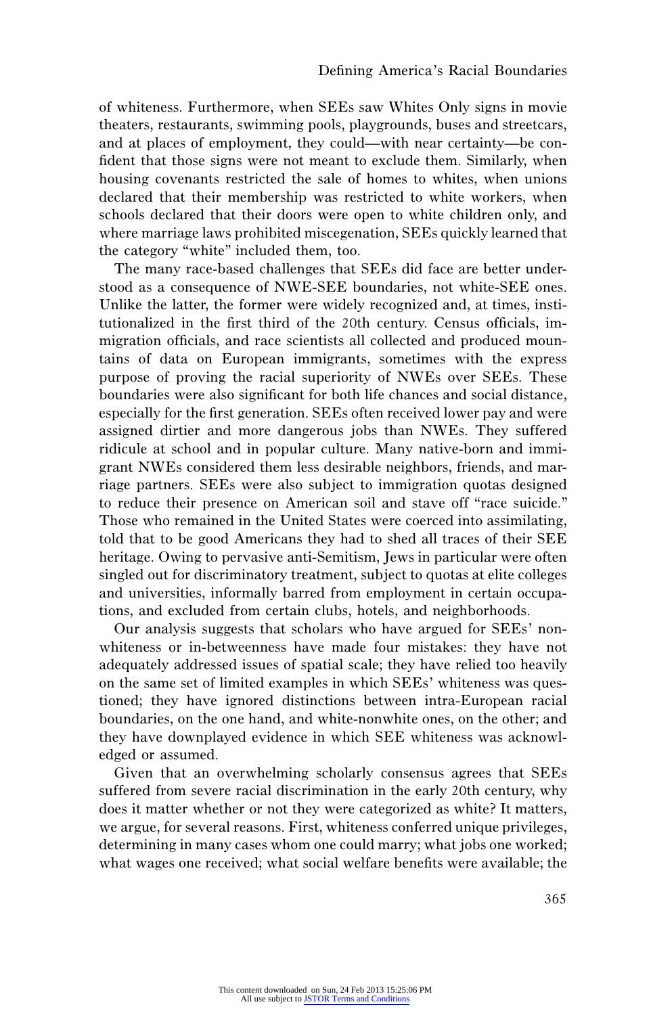of whiteness. Furthermore, when SEEs saw Whites Only signs in movie theaters, restaurants, swimming pools, playgrounds, buses and streetcars, and at places of employment, they could—with near certainty—be confident that those signs were not meant to exclude them. Similarly, when housing covenants restricted the sale of homes to whites, when unions declared that their membership was restricted to white workers, when schools declared that their doors were open to white children only, and where marriage laws prohibited miscegenation, SEEs quickly learned that the category "white" included them, too.

The many race-based challenges that SEEs did face are better understood as a consequence of NWE-SEE boundaries, not white-SEE ones. Unlike the latter, the former were widely recognized and, at times, institutionalized in the first third of the 20th century. Census officials, immigration officials, and race scientists all collected and produced mountains of data on European immigrants, sometimes with the express purpose of proving the racial superiority of NWEs over SEEs. These boundaries were also significant for both life chances and social distance, especially for the first generation. SEEs often received lower pay and were assigned dirtier and more dangerous jobs than NWEs. They suffered ridicule at school and in popular culture. Many native-born and immigrant NWEs considered them less desirable neighbors, friends, and marriage partners. SEEs were also subject to immigration quotas designed to reduce their presence on American soil and stave off "race suicide." Those who remained in the United States were coerced into assimilating, told that to be good Americans they had to shed all traces of their SEE heritage. Owing to pervasive anti-Semitism, Jews in particular were often singled out for discriminatory treatment, subject to quotas at elite colleges and universities, informally barred from employment in certain occupations, and excluded from certain clubs, hotels, and neighborhoods.

Our analysis suggests that scholars who have argued for SEEs' nonwhiteness or in-betweenness have made four mistakes: they have not adequately addressed issues of spatial scale; they have relied too heavily on the same set of limited examples in which SEEs' whiteness was questioned; they have ignored distinctions between intra-European racial boundaries, on the one hand, and white-nonwhite ones, on the other; and they have downplayed evidence in which SEE whiteness was acknowledged or assumed.

Given that an overwhelming scholarly consensus agrees that SEEs suffered from severe racial discrimination in the early 20th century, why does it matter whether or not they were categorized as white? It matters, we argue, for several reasons. First, whiteness conferred unique privileges, determining in many cases whom one could marry; what jobs one worked; what wages one received; what social welfare benefits were available; the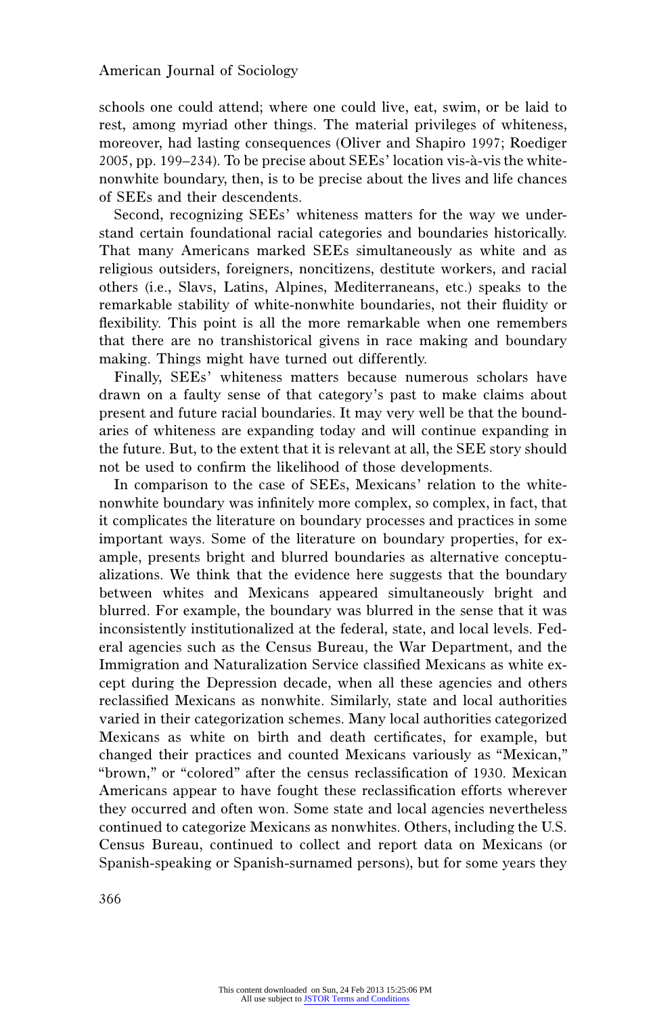schools one could attend; where one could live, eat, swim, or be laid to rest, among myriad other things. The material privileges of whiteness, moreover, had lasting consequences (Oliver and Shapiro 1997; Roediger  $2005$ , pp. 199–234). To be precise about  $SEEs'$  location vis-à-vis the whitenonwhite boundary, then, is to be precise about the lives and life chances of SEEs and their descendents.

Second, recognizing SEEs' whiteness matters for the way we understand certain foundational racial categories and boundaries historically. That many Americans marked SEEs simultaneously as white and as religious outsiders, foreigners, noncitizens, destitute workers, and racial others (i.e., Slavs, Latins, Alpines, Mediterraneans, etc.) speaks to the remarkable stability of white-nonwhite boundaries, not their fluidity or flexibility. This point is all the more remarkable when one remembers that there are no transhistorical givens in race making and boundary making. Things might have turned out differently.

Finally, SEEs' whiteness matters because numerous scholars have drawn on a faulty sense of that category's past to make claims about present and future racial boundaries. It may very well be that the boundaries of whiteness are expanding today and will continue expanding in the future. But, to the extent that it is relevant at all, the SEE story should not be used to confirm the likelihood of those developments.

In comparison to the case of SEEs, Mexicans' relation to the whitenonwhite boundary was infinitely more complex, so complex, in fact, that it complicates the literature on boundary processes and practices in some important ways. Some of the literature on boundary properties, for example, presents bright and blurred boundaries as alternative conceptualizations. We think that the evidence here suggests that the boundary between whites and Mexicans appeared simultaneously bright and blurred. For example, the boundary was blurred in the sense that it was inconsistently institutionalized at the federal, state, and local levels. Federal agencies such as the Census Bureau, the War Department, and the Immigration and Naturalization Service classified Mexicans as white except during the Depression decade, when all these agencies and others reclassified Mexicans as nonwhite. Similarly, state and local authorities varied in their categorization schemes. Many local authorities categorized Mexicans as white on birth and death certificates, for example, but changed their practices and counted Mexicans variously as "Mexican," "brown," or "colored" after the census reclassification of 1930. Mexican Americans appear to have fought these reclassification efforts wherever they occurred and often won. Some state and local agencies nevertheless continued to categorize Mexicans as nonwhites. Others, including the U.S. Census Bureau, continued to collect and report data on Mexicans (or Spanish-speaking or Spanish-surnamed persons), but for some years they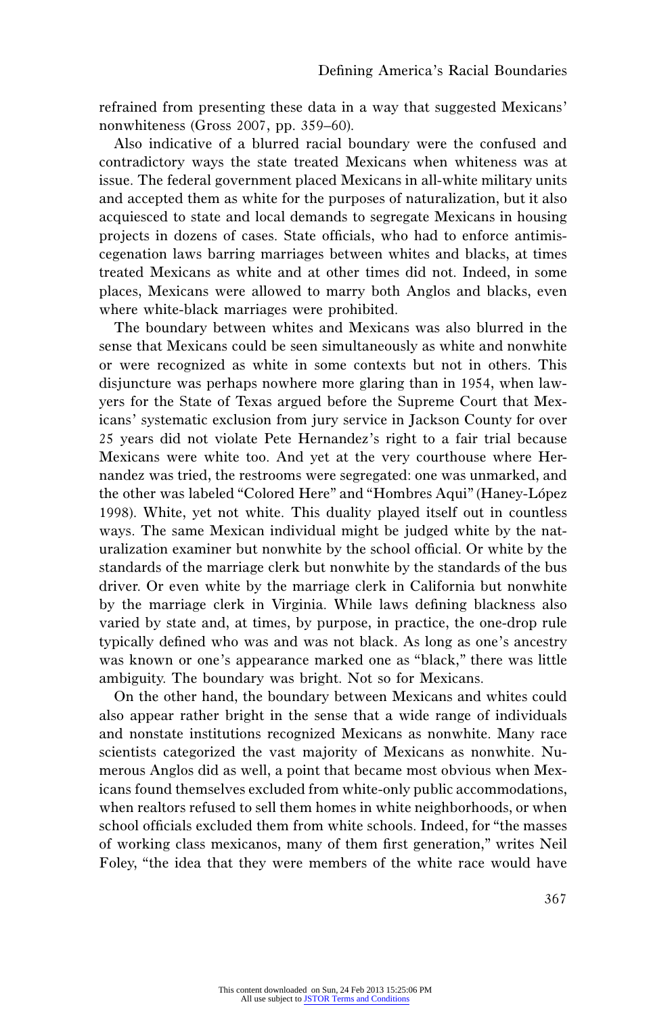refrained from presenting these data in a way that suggested Mexicans' nonwhiteness (Gross 2007, pp. 359–60).

Also indicative of a blurred racial boundary were the confused and contradictory ways the state treated Mexicans when whiteness was at issue. The federal government placed Mexicans in all-white military units and accepted them as white for the purposes of naturalization, but it also acquiesced to state and local demands to segregate Mexicans in housing projects in dozens of cases. State officials, who had to enforce antimiscegenation laws barring marriages between whites and blacks, at times treated Mexicans as white and at other times did not. Indeed, in some places, Mexicans were allowed to marry both Anglos and blacks, even where white-black marriages were prohibited.

The boundary between whites and Mexicans was also blurred in the sense that Mexicans could be seen simultaneously as white and nonwhite or were recognized as white in some contexts but not in others. This disjuncture was perhaps nowhere more glaring than in 1954, when lawyers for the State of Texas argued before the Supreme Court that Mexicans' systematic exclusion from jury service in Jackson County for over 25 years did not violate Pete Hernandez's right to a fair trial because Mexicans were white too. And yet at the very courthouse where Hernandez was tried, the restrooms were segregated: one was unmarked, and the other was labeled "Colored Here" and "Hombres Aqui" (Haney-López 1998). White, yet not white. This duality played itself out in countless ways. The same Mexican individual might be judged white by the naturalization examiner but nonwhite by the school official. Or white by the standards of the marriage clerk but nonwhite by the standards of the bus driver. Or even white by the marriage clerk in California but nonwhite by the marriage clerk in Virginia. While laws defining blackness also varied by state and, at times, by purpose, in practice, the one-drop rule typically defined who was and was not black. As long as one's ancestry was known or one's appearance marked one as "black," there was little ambiguity. The boundary was bright. Not so for Mexicans.

On the other hand, the boundary between Mexicans and whites could also appear rather bright in the sense that a wide range of individuals and nonstate institutions recognized Mexicans as nonwhite. Many race scientists categorized the vast majority of Mexicans as nonwhite. Numerous Anglos did as well, a point that became most obvious when Mexicans found themselves excluded from white-only public accommodations, when realtors refused to sell them homes in white neighborhoods, or when school officials excluded them from white schools. Indeed, for "the masses of working class mexicanos, many of them first generation," writes Neil Foley, "the idea that they were members of the white race would have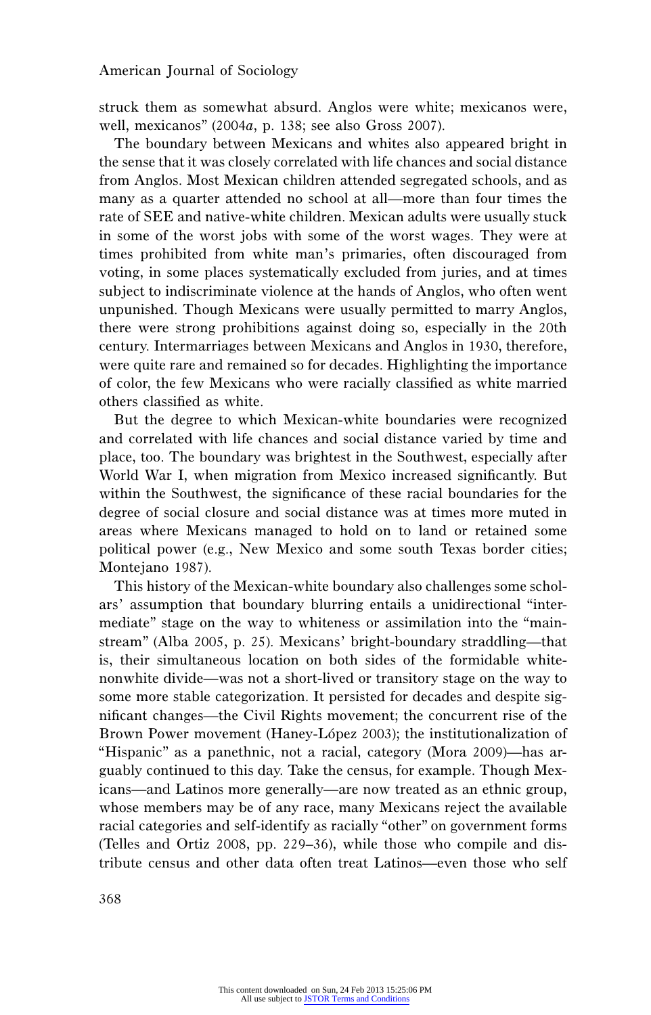struck them as somewhat absurd. Anglos were white; mexicanos were, well, mexicanos" (2004*a*, p. 138; see also Gross 2007).

The boundary between Mexicans and whites also appeared bright in the sense that it was closely correlated with life chances and social distance from Anglos. Most Mexican children attended segregated schools, and as many as a quarter attended no school at all—more than four times the rate of SEE and native-white children. Mexican adults were usually stuck in some of the worst jobs with some of the worst wages. They were at times prohibited from white man's primaries, often discouraged from voting, in some places systematically excluded from juries, and at times subject to indiscriminate violence at the hands of Anglos, who often went unpunished. Though Mexicans were usually permitted to marry Anglos, there were strong prohibitions against doing so, especially in the 20th century. Intermarriages between Mexicans and Anglos in 1930, therefore, were quite rare and remained so for decades. Highlighting the importance of color, the few Mexicans who were racially classified as white married others classified as white.

But the degree to which Mexican-white boundaries were recognized and correlated with life chances and social distance varied by time and place, too. The boundary was brightest in the Southwest, especially after World War I, when migration from Mexico increased significantly. But within the Southwest, the significance of these racial boundaries for the degree of social closure and social distance was at times more muted in areas where Mexicans managed to hold on to land or retained some political power (e.g., New Mexico and some south Texas border cities; Montejano 1987).

This history of the Mexican-white boundary also challenges some scholars' assumption that boundary blurring entails a unidirectional "intermediate" stage on the way to whiteness or assimilation into the "mainstream" (Alba 2005, p. 25). Mexicans' bright-boundary straddling—that is, their simultaneous location on both sides of the formidable whitenonwhite divide—was not a short-lived or transitory stage on the way to some more stable categorization. It persisted for decades and despite significant changes—the Civil Rights movement; the concurrent rise of the Brown Power movement (Haney-López 2003); the institutionalization of "Hispanic" as a panethnic, not a racial, category (Mora 2009)—has arguably continued to this day. Take the census, for example. Though Mexicans—and Latinos more generally—are now treated as an ethnic group, whose members may be of any race, many Mexicans reject the available racial categories and self-identify as racially "other" on government forms (Telles and Ortiz 2008, pp. 229–36), while those who compile and distribute census and other data often treat Latinos—even those who self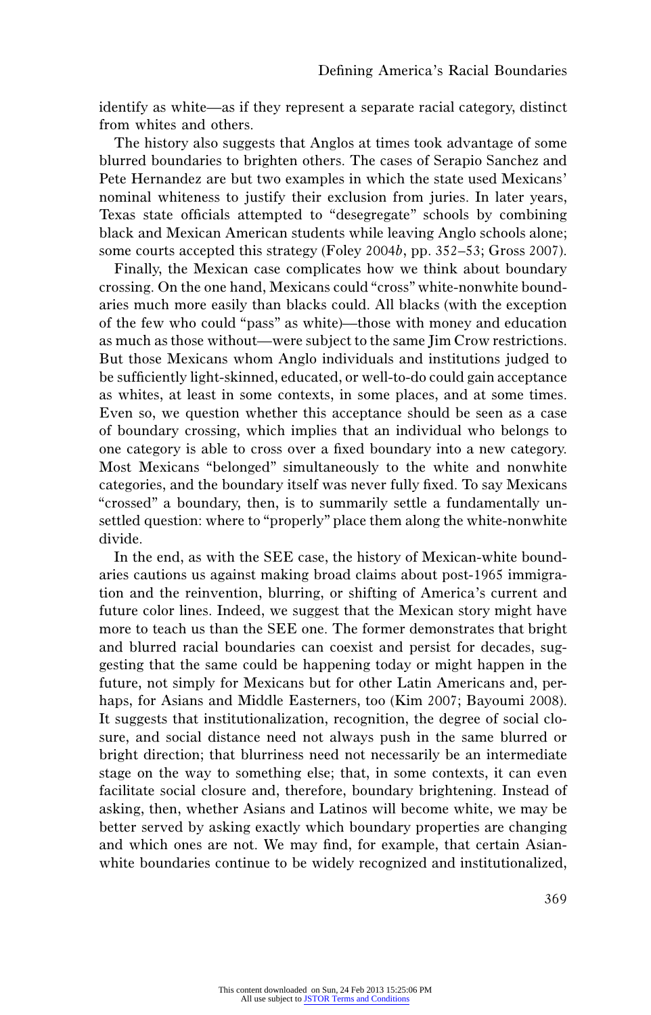identify as white—as if they represent a separate racial category, distinct from whites and others.

The history also suggests that Anglos at times took advantage of some blurred boundaries to brighten others. The cases of Serapio Sanchez and Pete Hernandez are but two examples in which the state used Mexicans' nominal whiteness to justify their exclusion from juries. In later years, Texas state officials attempted to "desegregate" schools by combining black and Mexican American students while leaving Anglo schools alone; some courts accepted this strategy (Foley 2004*b*, pp. 352–53; Gross 2007).

Finally, the Mexican case complicates how we think about boundary crossing. On the one hand, Mexicans could "cross" white-nonwhite boundaries much more easily than blacks could. All blacks (with the exception of the few who could "pass" as white)—those with money and education as much as those without—were subject to the same Jim Crow restrictions. But those Mexicans whom Anglo individuals and institutions judged to be sufficiently light-skinned, educated, or well-to-do could gain acceptance as whites, at least in some contexts, in some places, and at some times. Even so, we question whether this acceptance should be seen as a case of boundary crossing, which implies that an individual who belongs to one category is able to cross over a fixed boundary into a new category. Most Mexicans "belonged" simultaneously to the white and nonwhite categories, and the boundary itself was never fully fixed. To say Mexicans "crossed" a boundary, then, is to summarily settle a fundamentally unsettled question: where to "properly" place them along the white-nonwhite divide.

In the end, as with the SEE case, the history of Mexican-white boundaries cautions us against making broad claims about post-1965 immigration and the reinvention, blurring, or shifting of America's current and future color lines. Indeed, we suggest that the Mexican story might have more to teach us than the SEE one. The former demonstrates that bright and blurred racial boundaries can coexist and persist for decades, suggesting that the same could be happening today or might happen in the future, not simply for Mexicans but for other Latin Americans and, perhaps, for Asians and Middle Easterners, too (Kim 2007; Bayoumi 2008). It suggests that institutionalization, recognition, the degree of social closure, and social distance need not always push in the same blurred or bright direction; that blurriness need not necessarily be an intermediate stage on the way to something else; that, in some contexts, it can even facilitate social closure and, therefore, boundary brightening. Instead of asking, then, whether Asians and Latinos will become white, we may be better served by asking exactly which boundary properties are changing and which ones are not. We may find, for example, that certain Asianwhite boundaries continue to be widely recognized and institutionalized,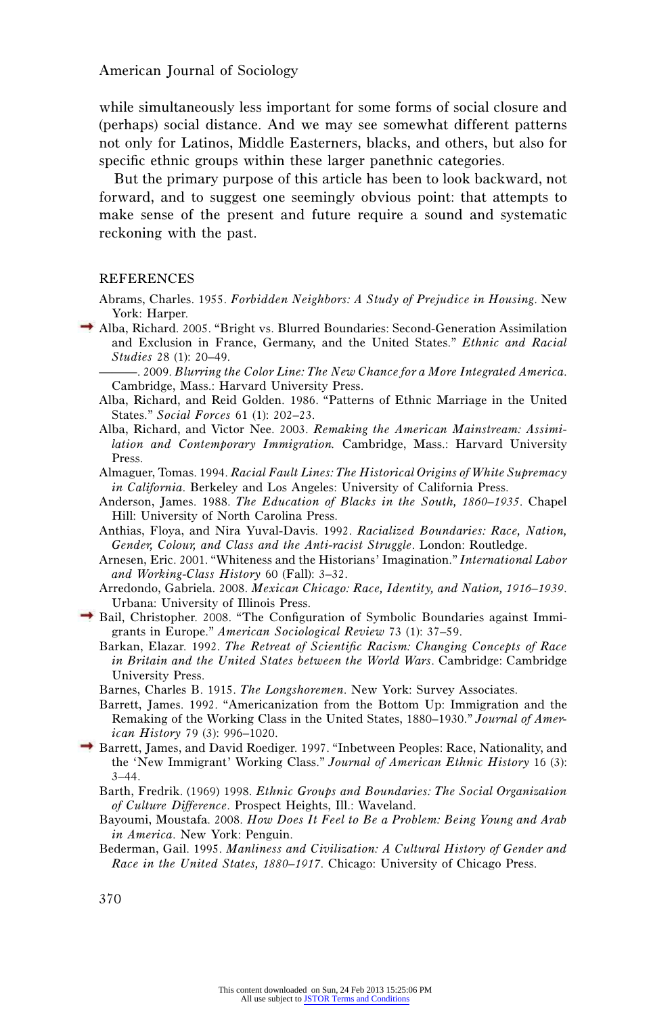while simultaneously less important for some forms of social closure and (perhaps) social distance. And we may see somewhat different patterns not only for Latinos, Middle Easterners, blacks, and others, but also for specific ethnic groups within these larger panethnic categories.

But the primary purpose of this article has been to look backward, not forward, and to suggest one seemingly obvious point: that attempts to make sense of the present and future require a sound and systematic reckoning with the past.

#### **REFERENCES**

Abrams, Charles. 1955. *Forbidden Neighbors: A Study of Prejudice in Housing*. New York: Harper.

Alba, Richard. 2005. "Bright vs. Blurred Boundaries: Second-Generation Assimilation and Exclusion in France, Germany, and the United States." *Ethnic and Racial Studies* 28 (1): 20–49.

———. 2009. *Blurring the Color Line: The New Chance for a More Integrated America*. Cambridge, Mass.: Harvard University Press.

- Alba, Richard, and Reid Golden. 1986. "Patterns of Ethnic Marriage in the United States." *Social Forces* 61 (1): 202–23.
- Alba, Richard, and Victor Nee. 2003. *Remaking the American Mainstream: Assimilation and Contemporary Immigration.* Cambridge, Mass.: Harvard University Press.
- Almaguer, Tomas. 1994. *Racial Fault Lines: The Historical Origins of White Supremacy in California*. Berkeley and Los Angeles: University of California Press.
- Anderson, James. 1988. *The Education of Blacks in the South, 1860–1935*. Chapel Hill: University of North Carolina Press.

Anthias, Floya, and Nira Yuval-Davis. 1992. *Racialized Boundaries: Race, Nation, Gender, Colour, and Class and the Anti-racist Struggle*. London: Routledge.

Arnesen, Eric. 2001. "Whiteness and the Historians' Imagination." *International Labor and Working-Class History* 60 (Fall): 3–32.

Arredondo, Gabriela. 2008. *Mexican Chicago: Race, Identity, and Nation, 1916–1939*. Urbana: University of Illinois Press.

- Bail, Christopher. 2008. "The Configuration of Symbolic Boundaries against Immigrants in Europe." *American Sociological Review* 73 (1): 37–59.
	- Barkan, Elazar. 1992. *The Retreat of Scientific Racism: Changing Concepts of Race in Britain and the United States between the World Wars*. Cambridge: Cambridge University Press.

Barnes, Charles B. 1915. *The Longshoremen*. New York: Survey Associates.

- Barrett, James. 1992. "Americanization from the Bottom Up: Immigration and the Remaking of the Working Class in the United States, 1880–1930." *Journal of American History* 79 (3): 996–1020.
- Barrett, James, and David Roediger. 1997. "Inbetween Peoples: Race, Nationality, and the 'New Immigrant' Working Class." *Journal of American Ethnic History* 16 (3): 3–44.
	- Barth, Fredrik. (1969) 1998. *Ethnic Groups and Boundaries: The Social Organization of Culture Difference*. Prospect Heights, Ill.: Waveland.
	- Bayoumi, Moustafa. 2008. *How Does It Feel to Be a Problem: Being Young and Arab in America*. New York: Penguin.
	- Bederman, Gail. 1995. *Manliness and Civilization: A Cultural History of Gender and Race in the United States, 1880–1917*. Chicago: University of Chicago Press.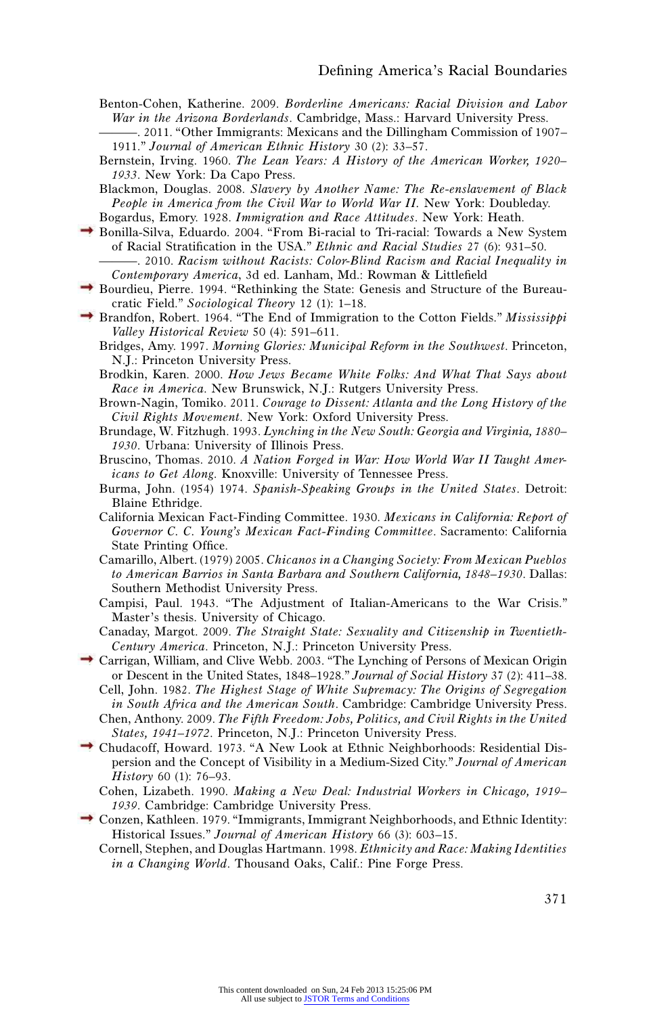Benton-Cohen, Katherine. 2009. *Borderline Americans: Racial Division and Labor War in the Arizona Borderlands*. Cambridge, Mass.: Harvard University Press.

- ———. 2011. "Other Immigrants: Mexicans and the Dillingham Commission of 1907– 1911." *Journal of American Ethnic History* 30 (2): 33–57.
- Bernstein, Irving. 1960. *The Lean Years: A History of the American Worker, 1920– 1933*. New York: Da Capo Press.
- Blackmon, Douglas. 2008. *Slavery by Another Name: The Re-enslavement of Black People in America from the Civil War to World War II.* New York: Doubleday.
- Bogardus, Emory. 1928. *Immigration and Race Attitudes*. New York: Heath.
- Bonilla-Silva, Eduardo. 2004. "From Bi-racial to Tri-racial: Towards a New System of Racial Stratification in the USA." *Ethnic and Racial Studies* 27 (6): 931–50. ———. 2010. *Racism without Racists: Color-Blind Racism and Racial Inequality in*
	- *Contemporary America*, 3d ed. Lanham, Md.: Rowman & Littlefield
- Bourdieu, Pierre. 1994. "Rethinking the State: Genesis and Structure of the Bureaucratic Field." *Sociological Theory* 12 (1): 1–18.
- Brandfon, Robert. 1964. "The End of Immigration to the Cotton Fields." *Mississippi Valley Historical Review* 50 (4): 591–611.
	- Bridges, Amy. 1997. *Morning Glories: Municipal Reform in the Southwest*. Princeton, N.J.: Princeton University Press.
	- Brodkin, Karen. 2000. *How Jews Became White Folks: And What That Says about Race in America*. New Brunswick, N.J.: Rutgers University Press.
	- Brown-Nagin, Tomiko. 2011. *Courage to Dissent: Atlanta and the Long History of the Civil Rights Movement*. New York: Oxford University Press.
	- Brundage, W. Fitzhugh. 1993. *Lynching in the New South: Georgia and Virginia, 1880– 1930*. Urbana: University of Illinois Press.
	- Bruscino, Thomas. 2010. *A Nation Forged in War: How World War II Taught Americans to Get Along*. Knoxville: University of Tennessee Press.
	- Burma, John. (1954) 1974. *Spanish-Speaking Groups in the United States*. Detroit: Blaine Ethridge.
	- California Mexican Fact-Finding Committee. 1930. *Mexicans in California: Report of Governor C. C. Young's Mexican Fact-Finding Committee*. Sacramento: California State Printing Office.
	- Camarillo, Albert. (1979) 2005. *Chicanos in a Changing Society: From Mexican Pueblos to American Barrios in Santa Barbara and Southern California, 1848–1930*. Dallas: Southern Methodist University Press.
	- Campisi, Paul. 1943. "The Adjustment of Italian-Americans to the War Crisis." Master's thesis. University of Chicago.
	- Canaday, Margot. 2009. *The Straight State: Sexuality and Citizenship in Twentieth-Century America*. Princeton, N.J.: Princeton University Press.
- Carrigan, William, and Clive Webb. 2003. "The Lynching of Persons of Mexican Origin or Descent in the United States, 1848–1928." *Journal of Social History* 37 (2): 411–38.
	- Cell, John. 1982. *The Highest Stage of White Supremacy: The Origins of Segregation in South Africa and the American South*. Cambridge: Cambridge University Press.
	- Chen, Anthony. 2009. *The Fifth Freedom: Jobs, Politics, and Civil Rights in the United States, 1941–1972*. Princeton, N.J.: Princeton University Press.
- Chudacoff, Howard. 1973. "A New Look at Ethnic Neighborhoods: Residential Dispersion and the Concept of Visibility in a Medium-Sized City." *Journal of American History* 60 (1): 76–93.
	- Cohen, Lizabeth. 1990. *Making a New Deal: Industrial Workers in Chicago, 1919– 1939*. Cambridge: Cambridge University Press.
- $\rightarrow$  Conzen, Kathleen. 1979. "Immigrants, Immigrant Neighborhoods, and Ethnic Identity: Historical Issues." *Journal of American History* 66 (3): 603–15.
	- Cornell, Stephen, and Douglas Hartmann. 1998. *Ethnicity and Race: Making Identities in a Changing World*. Thousand Oaks, Calif.: Pine Forge Press.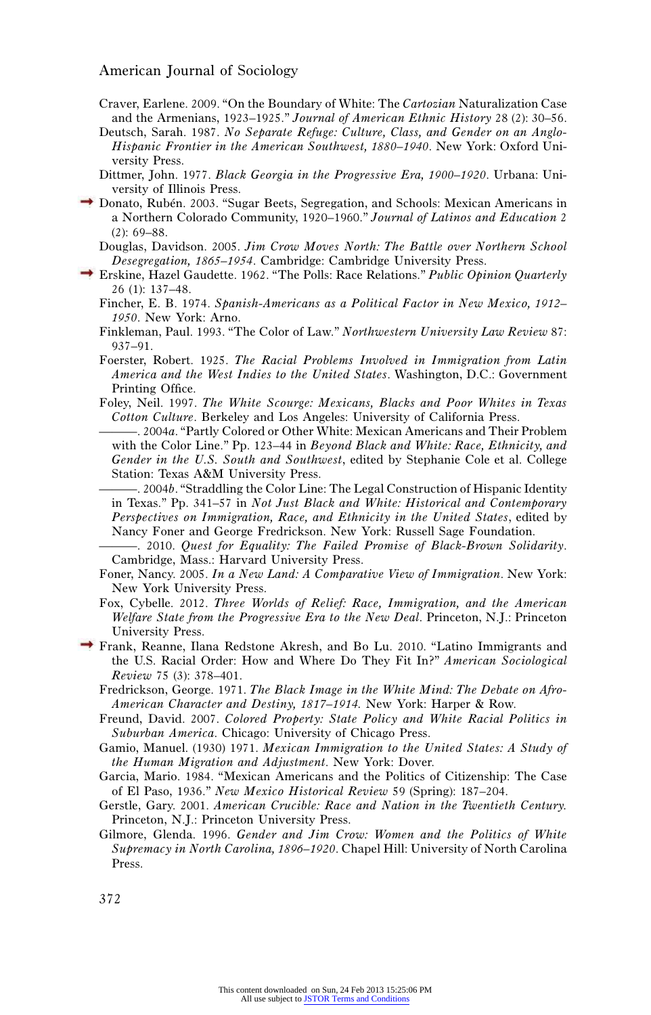- Craver, Earlene. 2009. "On the Boundary of White: The *Cartozian* Naturalization Case and the Armenians, 1923–1925." *Journal of American Ethnic History* 28 (2): 30–56.
- Deutsch, Sarah. 1987. *No Separate Refuge: Culture, Class, and Gender on an Anglo-Hispanic Frontier in the American Southwest, 1880–1940*. New York: Oxford University Press.
- Dittmer, John. 1977. *Black Georgia in the Progressive Era, 1900–1920*. Urbana: University of Illinois Press.
- → Donato, Rubén. 2003. "Sugar Beets, Segregation, and Schools: Mexican Americans in a Northern Colorado Community, 1920–1960." *Journal of Latinos and Education* 2 (2): 69–88.

Douglas, Davidson. 2005. *Jim Crow Moves North: The Battle over Northern School Desegregation, 1865–1954*. Cambridge: Cambridge University Press.

- Erskine, Hazel Gaudette. 1962. "The Polls: Race Relations." *Public Opinion Quarterly* 26 (1): 137–48.
	- Fincher, E. B. 1974. *Spanish-Americans as a Political Factor in New Mexico, 1912– 1950*. New York: Arno.
	- Finkleman, Paul. 1993. "The Color of Law." *Northwestern University Law Review* 87: 937–91.
	- Foerster, Robert. 1925. *The Racial Problems Involved in Immigration from Latin America and the West Indies to the United States*. Washington, D.C.: Government Printing Office.
	- Foley, Neil. 1997. *The White Scourge: Mexicans, Blacks and Poor Whites in Texas Cotton Culture*. Berkeley and Los Angeles: University of California Press.
		- ———. 2004*a*. "Partly Colored or Other White: Mexican Americans and Their Problem with the Color Line." Pp. 123–44 in *Beyond Black and White: Race, Ethnicity, and Gender in the U.S. South and Southwest*, edited by Stephanie Cole et al. College Station: Texas A&M University Press.
		- ———. 2004*b*. "Straddling the Color Line: The Legal Construction of Hispanic Identity in Texas." Pp. 341–57 in *Not Just Black and White: Historical and Contemporary Perspectives on Immigration, Race, and Ethnicity in the United States*, edited by Nancy Foner and George Fredrickson. New York: Russell Sage Foundation.
	- ———. 2010. *Quest for Equality: The Failed Promise of Black-Brown Solidarity*. Cambridge, Mass.: Harvard University Press.
	- Foner, Nancy. 2005. *In a New Land: A Comparative View of Immigration*. New York: New York University Press.
	- Fox, Cybelle. 2012. *Three Worlds of Relief: Race, Immigration, and the American Welfare State from the Progressive Era to the New Deal*. Princeton, N.J.: Princeton University Press.
- Frank, Reanne, Ilana Redstone Akresh, and Bo Lu. 2010. "Latino Immigrants and the U.S. Racial Order: How and Where Do They Fit In?" *American Sociological Review* 75 (3): 378–401.
	- Fredrickson, George. 1971. *The Black Image in the White Mind: The Debate on Afro-American Character and Destiny, 1817–1914.* New York: Harper & Row.
	- Freund, David. 2007. *Colored Property: State Policy and White Racial Politics in Suburban America*. Chicago: University of Chicago Press.
	- Gamio, Manuel. (1930) 1971. *Mexican Immigration to the United States: A Study of the Human Migration and Adjustment*. New York: Dover.
	- Garcia, Mario. 1984. "Mexican Americans and the Politics of Citizenship: The Case of El Paso, 1936." *New Mexico Historical Review* 59 (Spring): 187–204.
	- Gerstle, Gary. 2001. *American Crucible: Race and Nation in the Twentieth Century.* Princeton, N.J.: Princeton University Press.
	- Gilmore, Glenda. 1996. *Gender and Jim Crow: Women and the Politics of White Supremacy in North Carolina, 1896–1920*. Chapel Hill: University of North Carolina Press.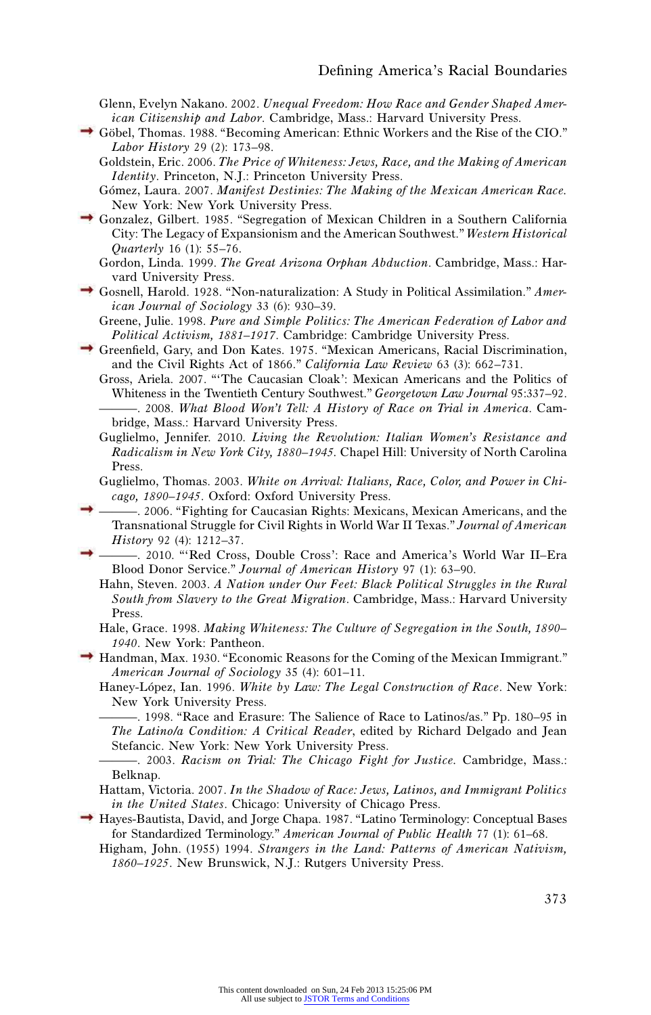- Glenn, Evelyn Nakano. 2002. *Unequal Freedom: How Race and Gender Shaped American Citizenship and Labor*. Cambridge, Mass.: Harvard University Press.
- $\rightarrow$  Göbel, Thomas. 1988. "Becoming American: Ethnic Workers and the Rise of the CIO." *Labor History* 29 (2): 173–98.
	- Goldstein, Eric. 2006. *The Price of Whiteness: Jews, Race, and the Making of American Identity*. Princeton, N.J.: Princeton University Press.
	- Gómez, Laura. 2007. *Manifest Destinies: The Making of the Mexican American Race.* New York: New York University Press.
- Gonzalez, Gilbert. 1985. "Segregation of Mexican Children in a Southern California City: The Legacy of Expansionism and the American Southwest." *Western Historical Quarterly* 16 (1): 55–76.
	- Gordon, Linda. 1999. *The Great Arizona Orphan Abduction*. Cambridge, Mass.: Harvard University Press.
- Gosnell, Harold. 1928. "Non-naturalization: A Study in Political Assimilation." *American Journal of Sociology* 33 (6): 930–39.
	- Greene, Julie. 1998. *Pure and Simple Politics: The American Federation of Labor and Political Activism, 1881–1917*. Cambridge: Cambridge University Press.
- Greenfield, Gary, and Don Kates. 1975. "Mexican Americans, Racial Discrimination, and the Civil Rights Act of 1866." *California Law Review* 63 (3): 662–731.
	- Gross, Ariela. 2007. "'The Caucasian Cloak': Mexican Americans and the Politics of Whiteness in the Twentieth Century Southwest." *Georgetown Law Journal* 95:337–92. ———. 2008. *What Blood Won't Tell: A History of Race on Trial in America*. Cambridge, Mass.: Harvard University Press.
	- Guglielmo, Jennifer. 2010. *Living the Revolution: Italian Women's Resistance and Radicalism in New York City, 1880–1945.* Chapel Hill: University of North Carolina Press.
	- Guglielmo, Thomas. 2003. *White on Arrival: Italians, Race, Color, and Power in Chicago, 1890–1945*. Oxford: Oxford University Press.
- ———. 2006. "Fighting for Caucasian Rights: Mexicans, Mexican Americans, and the Transnational Struggle for Civil Rights in World War II Texas." *Journal of American History* 92 (4): 1212–37.
- ———. 2010. "'Red Cross, Double Cross': Race and America's World War II–Era Blood Donor Service." *Journal of American History* 97 (1): 63–90.
	- Hahn, Steven. 2003. *A Nation under Our Feet: Black Political Struggles in the Rural South from Slavery to the Great Migration*. Cambridge, Mass.: Harvard University Press.
	- Hale, Grace. 1998. *Making Whiteness: The Culture of Segregation in the South, 1890– 1940*. New York: Pantheon.
- $\rightarrow$  Handman, Max. 1930. "Economic Reasons for the Coming of the Mexican Immigrant." *American Journal of Sociology* 35 (4): 601–11.
	- Haney-López, Ian. 1996. *White by Law: The Legal Construction of Race*. New York: New York University Press.
		- ———. 1998. "Race and Erasure: The Salience of Race to Latinos/as." Pp. 180–95 in *The Latino/a Condition: A Critical Reader*, edited by Richard Delgado and Jean Stefancic. New York: New York University Press.
	- ———. 2003. *Racism on Trial: The Chicago Fight for Justice.* Cambridge, Mass.: Belknap.
	- Hattam, Victoria. 2007. *In the Shadow of Race: Jews, Latinos, and Immigrant Politics in the United States*. Chicago: University of Chicago Press.
- → Hayes-Bautista, David, and Jorge Chapa. 1987. "Latino Terminology: Conceptual Bases for Standardized Terminology." *American Journal of Public Health* 77 (1): 61–68.
	- Higham, John. (1955) 1994. *Strangers in the Land: Patterns of American Nativism, 1860–1925*. New Brunswick, N.J.: Rutgers University Press.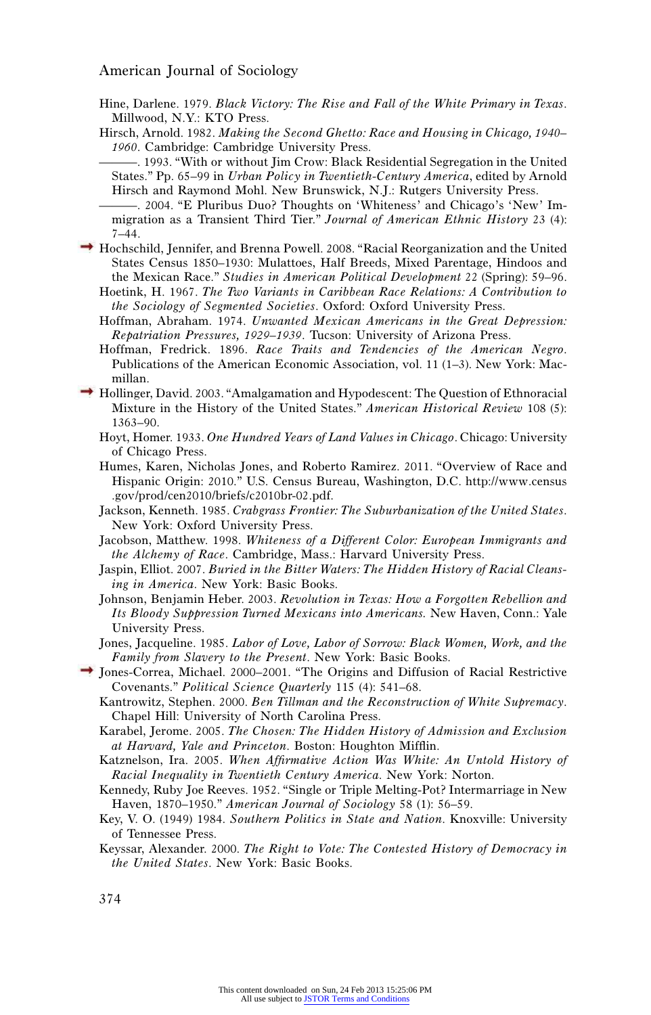- Hine, Darlene. 1979. *Black Victory: The Rise and Fall of the White Primary in Texas*. Millwood, N.Y.: KTO Press.
- Hirsch, Arnold. 1982. *Making the Second Ghetto: Race and Housing in Chicago, 1940– 1960*. Cambridge: Cambridge University Press.

———. 1993. "With or without Jim Crow: Black Residential Segregation in the United States." Pp. 65–99 in *Urban Policy in Twentieth-Century America*, edited by Arnold Hirsch and Raymond Mohl. New Brunswick, N.J.: Rutgers University Press.

———. 2004. "E Pluribus Duo? Thoughts on 'Whiteness' and Chicago's 'New' Immigration as a Transient Third Tier." *Journal of American Ethnic History* 23 (4):  $7-44.$ 

- Hochschild, Jennifer, and Brenna Powell. 2008. "Racial Reorganization and the United States Census 1850–1930: Mulattoes, Half Breeds, Mixed Parentage, Hindoos and the Mexican Race." *Studies in American Political Development* 22 (Spring): 59–96.
	- Hoetink, H. 1967. *The Two Variants in Caribbean Race Relations: A Contribution to the Sociology of Segmented Societies*. Oxford: Oxford University Press.
	- Hoffman, Abraham. 1974. *Unwanted Mexican Americans in the Great Depression: Repatriation Pressures, 1929–1939*. Tucson: University of Arizona Press.
	- Hoffman, Fredrick. 1896. *Race Traits and Tendencies of the American Negro*. Publications of the American Economic Association, vol. 11 (1–3). New York: Macmillan.
- $\rightarrow$  Hollinger, David. 2003. "Amalgamation and Hypodescent: The Question of Ethnoracial Mixture in the History of the United States." *American Historical Review* 108 (5): 1363–90.
	- Hoyt, Homer. 1933. *One Hundred Years of Land Values in Chicago*. Chicago: University of Chicago Press.
	- Humes, Karen, Nicholas Jones, and Roberto Ramirez. 2011. "Overview of Race and Hispanic Origin: 2010." U.S. Census Bureau, Washington, D.C. [http://www.census](http://www.census.gov/prod/cen2010/briefs/c2010br-02.pdf) [.gov/prod/cen2010/briefs/c2010br-02.pdf.](http://www.census.gov/prod/cen2010/briefs/c2010br-02.pdf)
	- Jackson, Kenneth. 1985. *Crabgrass Frontier: The Suburbanization of the United States*. New York: Oxford University Press.
	- Jacobson, Matthew. 1998. *Whiteness of a Different Color: European Immigrants and the Alchemy of Race*. Cambridge, Mass.: Harvard University Press.
	- Jaspin, Elliot. 2007. *Buried in the Bitter Waters: The Hidden History of Racial Cleansing in America*. New York: Basic Books.
	- Johnson, Benjamin Heber. 2003. *Revolution in Texas: How a Forgotten Rebellion and Its Bloody Suppression Turned Mexicans into Americans.* New Haven, Conn.: Yale University Press.
	- Jones, Jacqueline. 1985. *Labor of Love, Labor of Sorrow: Black Women, Work, and the Family from Slavery to the Present*. New York: Basic Books.
- $\rightarrow$  Jones-Correa, Michael. 2000–2001. "The Origins and Diffusion of Racial Restrictive Covenants." *Political Science Quarterly* 115 (4): 541–68.
	- Kantrowitz, Stephen. 2000. *Ben Tillman and the Reconstruction of White Supremacy*. Chapel Hill: University of North Carolina Press.
	- Karabel, Jerome. 2005. *The Chosen: The Hidden History of Admission and Exclusion at Harvard, Yale and Princeton*. Boston: Houghton Mifflin.
	- Katznelson, Ira. 2005. *When Affirmative Action Was White: An Untold History of Racial Inequality in Twentieth Century America*. New York: Norton.
	- Kennedy, Ruby Joe Reeves. 1952. "Single or Triple Melting-Pot? Intermarriage in New Haven, 1870–1950." *American Journal of Sociology* 58 (1): 56–59.
	- Key, V. O. (1949) 1984. *Southern Politics in State and Nation*. Knoxville: University of Tennessee Press.
	- Keyssar, Alexander. 2000. *The Right to Vote: The Contested History of Democracy in the United States*. New York: Basic Books.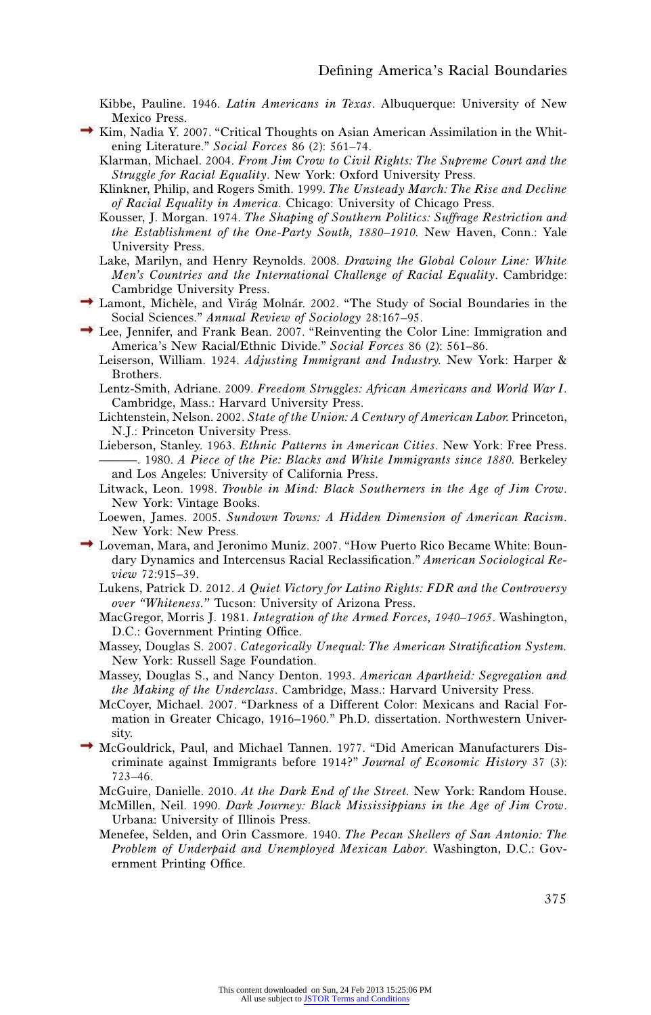Kibbe, Pauline. 1946. *Latin Americans in Texas*. Albuquerque: University of New Mexico Press.

- $\rightarrow$  Kim, Nadia Y. 2007. "Critical Thoughts on Asian American Assimilation in the Whitening Literature." *Social Forces* 86 (2): 561–74.
	- Klarman, Michael. 2004. *From Jim Crow to Civil Rights: The Supreme Court and the Struggle for Racial Equality*. New York: Oxford University Press.
	- Klinkner, Philip, and Rogers Smith. 1999. *The Unsteady March: The Rise and Decline of Racial Equality in America*. Chicago: University of Chicago Press.
	- Kousser, J. Morgan. 1974. *The Shaping of Southern Politics: Suffrage Restriction and the Establishment of the One-Party South, 1880–1910.* New Haven, Conn.: Yale University Press.
	- Lake, Marilyn, and Henry Reynolds. 2008. *Drawing the Global Colour Line: White Men's Countries and the International Challenge of Racial Equality*. Cambridge: Cambridge University Press.
- $\rightarrow$  Lamont, Michèle, and Virág Molnár. 2002. "The Study of Social Boundaries in the Social Sciences." *Annual Review of Sociology* 28:167–95.
- Lee, Jennifer, and Frank Bean. 2007. "Reinventing the Color Line: Immigration and America's New Racial/Ethnic Divide." *Social Forces* 86 (2): 561–86.
	- Leiserson, William. 1924. *Adjusting Immigrant and Industry.* New York: Harper & Brothers.
	- Lentz-Smith, Adriane. 2009. *Freedom Struggles: African Americans and World War I*. Cambridge, Mass.: Harvard University Press.
	- Lichtenstein, Nelson. 2002. *State of the Union: A Century of American Labor.* Princeton, N.J.: Princeton University Press.
	- Lieberson, Stanley. 1963. *Ethnic Patterns in American Cities*. New York: Free Press. ———. 1980. *A Piece of the Pie: Blacks and White Immigrants since 1880.* Berkeley and Los Angeles: University of California Press.
	- Litwack, Leon. 1998. *Trouble in Mind: Black Southerners in the Age of Jim Crow*. New York: Vintage Books.
	- Loewen, James. 2005. *Sundown Towns: A Hidden Dimension of American Racism*. New York: New Press.
- Loveman, Mara, and Jeronimo Muniz. 2007. "How Puerto Rico Became White: Boundary Dynamics and Intercensus Racial Reclassification." *American Sociological Review* 72:915–39.
	- Lukens, Patrick D. 2012. *A Quiet Victory for Latino Rights: FDR and the Controversy over "Whiteness."* Tucson: University of Arizona Press.
	- MacGregor, Morris J. 1981. *Integration of the Armed Forces, 1940–1965*. Washington, D.C.: Government Printing Office.
	- Massey, Douglas S. 2007. *Categorically Unequal: The American Stratification System.* New York: Russell Sage Foundation.
	- Massey, Douglas S., and Nancy Denton. 1993. *American Apartheid: Segregation and the Making of the Underclass*. Cambridge, Mass.: Harvard University Press.
	- McCoyer, Michael. 2007. "Darkness of a Different Color: Mexicans and Racial Formation in Greater Chicago, 1916–1960." Ph.D. dissertation. Northwestern University.
- McGouldrick, Paul, and Michael Tannen. 1977. "Did American Manufacturers Discriminate against Immigrants before 1914?" *Journal of Economic History* 37 (3): 723–46.
	- McGuire, Danielle. 2010. *At the Dark End of the Street.* New York: Random House.
	- McMillen, Neil. 1990. *Dark Journey: Black Mississippians in the Age of Jim Crow*. Urbana: University of Illinois Press.
	- Menefee, Selden, and Orin Cassmore. 1940. *The Pecan Shellers of San Antonio: The Problem of Underpaid and Unemployed Mexican Labor*. Washington, D.C.: Government Printing Office.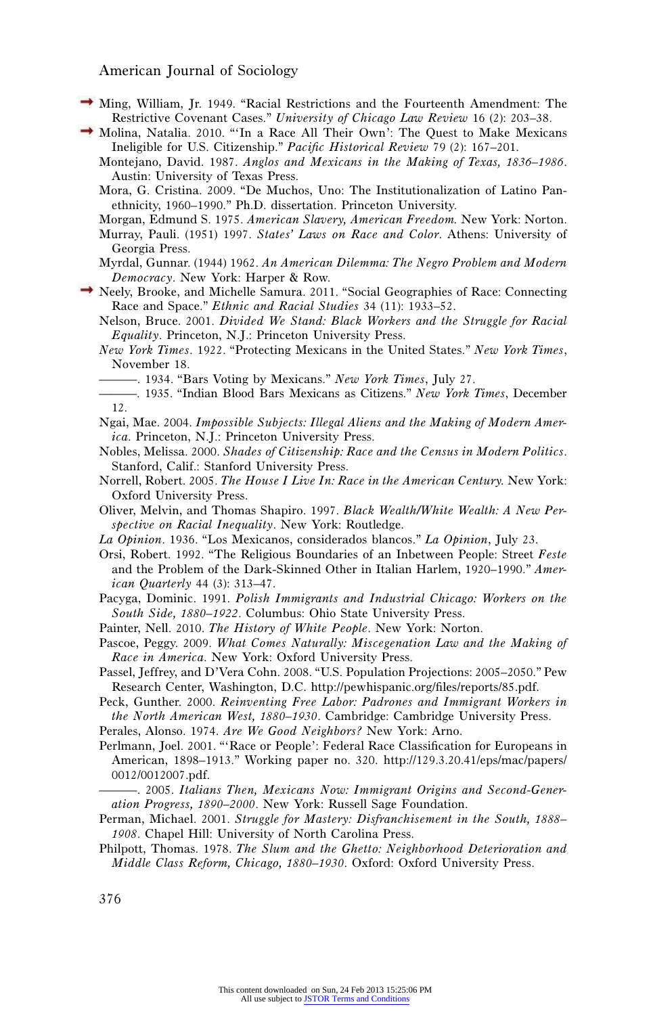- $\rightarrow$  Ming, William, Jr. 1949. "Racial Restrictions and the Fourteenth Amendment: The Restrictive Covenant Cases." *University of Chicago Law Review* 16 (2): 203–38.
- Molina, Natalia. 2010. "'In a Race All Their Own': The Quest to Make Mexicans Ineligible for U.S. Citizenship." *Pacific Historical Review* 79 (2): 167–201.
	- Montejano, David. 1987. *Anglos and Mexicans in the Making of Texas, 1836–1986*. Austin: University of Texas Press.

Mora, G. Cristina. 2009. "De Muchos, Uno: The Institutionalization of Latino Panethnicity, 1960–1990." Ph.D. dissertation. Princeton University.

Morgan, Edmund S. 1975. *American Slavery, American Freedom.* New York: Norton.

- Murray, Pauli. (1951) 1997. *States' Laws on Race and Color*. Athens: University of Georgia Press.
- Myrdal, Gunnar. (1944) 1962. *An American Dilemma: The Negro Problem and Modern Democracy*. New York: Harper & Row.
- Neely, Brooke, and Michelle Samura. 2011. "Social Geographies of Race: Connecting Race and Space." *Ethnic and Racial Studies* 34 (11): 1933–52.
	- Nelson, Bruce. 2001. *Divided We Stand: Black Workers and the Struggle for Racial Equality*. Princeton, N.J.: Princeton University Press.
	- *New York Times*. 1922. "Protecting Mexicans in the United States." *New York Times*, November 18.
		- ———. 1934. "Bars Voting by Mexicans." *New York Times*, July 27.
	- ———. 1935. "Indian Blood Bars Mexicans as Citizens." *New York Times*, December 12.
	- Ngai, Mae. 2004. *Impossible Subjects: Illegal Aliens and the Making of Modern America*. Princeton, N.J.: Princeton University Press.
	- Nobles, Melissa. 2000. *Shades of Citizenship: Race and the Census in Modern Politics*. Stanford, Calif.: Stanford University Press.
	- Norrell, Robert. 2005. *The House I Live In: Race in the American Century.* New York: Oxford University Press.
	- Oliver, Melvin, and Thomas Shapiro. 1997. *Black Wealth/White Wealth: A New Perspective on Racial Inequality*. New York: Routledge.
	- *La Opinion*. 1936. "Los Mexicanos, considerados blancos." *La Opinion*, July 23.
	- Orsi, Robert. 1992. "The Religious Boundaries of an Inbetween People: Street *Feste* and the Problem of the Dark-Skinned Other in Italian Harlem, 1920–1990." *American Quarterly* 44 (3): 313–47.
	- Pacyga, Dominic. 1991. *Polish Immigrants and Industrial Chicago: Workers on the South Side, 1880–1922*. Columbus: Ohio State University Press.
	- Painter, Nell. 2010. *The History of White People*. New York: Norton.
	- Pascoe, Peggy. 2009. *What Comes Naturally: Miscegenation Law and the Making of Race in America*. New York: Oxford University Press.
	- Passel, Jeffrey, and D'Vera Cohn. 2008. "U.S. Population Projections: 2005–2050." Pew Research Center, Washington, D.C. [http://pewhispanic.org/files/reports/85.pdf.](http://pewhispanic.org/files/reports/85.pdf)

Peck, Gunther. 2000. *Reinventing Free Labor: Padrones and Immigrant Workers in the North American West, 1880–1930*. Cambridge: Cambridge University Press.

Perales, Alonso. 1974. *Are We Good Neighbors?* New York: Arno.

- Perlmann, Joel. 2001. "'Race or People': Federal Race Classification for Europeans in American, 1898–1913." Working paper no. 320. [http://129.3.20.41/eps/mac/papers/](http://129.3.20.41/eps/mac/papers/0012/0012007.pdf) [0012/0012007.pdf.](http://129.3.20.41/eps/mac/papers/0012/0012007.pdf)
- ———. 2005. *Italians Then, Mexicans Now: Immigrant Origins and Second-Generation Progress, 1890–2000*. New York: Russell Sage Foundation.
- Perman, Michael. 2001. *Struggle for Mastery: Disfranchisement in the South, 1888– 1908*. Chapel Hill: University of North Carolina Press.
- Philpott, Thomas. 1978. *The Slum and the Ghetto: Neighborhood Deterioration and Middle Class Reform, Chicago, 1880–1930*. Oxford: Oxford University Press.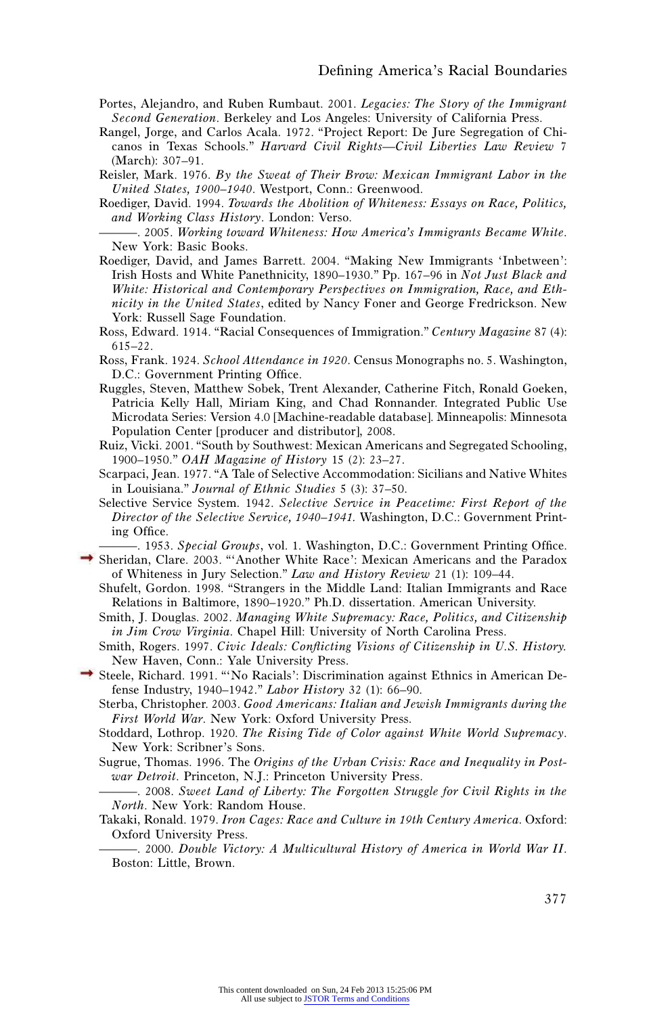- Portes, Alejandro, and Ruben Rumbaut. 2001. *Legacies: The Story of the Immigrant Second Generation*. Berkeley and Los Angeles: University of California Press.
- Rangel, Jorge, and Carlos Acala. 1972. "Project Report: De Jure Segregation of Chicanos in Texas Schools." *Harvard Civil Rights—Civil Liberties Law Review* 7 (March): 307–91.
- Reisler, Mark. 1976. *By the Sweat of Their Brow: Mexican Immigrant Labor in the United States, 1900–1940*. Westport, Conn.: Greenwood.
- Roediger, David. 1994. *Towards the Abolition of Whiteness: Essays on Race, Politics, and Working Class History*. London: Verso.
- ———. 2005. *Working toward Whiteness: How America's Immigrants Became White*. New York: Basic Books.
- Roediger, David, and James Barrett. 2004. "Making New Immigrants 'Inbetween': Irish Hosts and White Panethnicity, 1890–1930." Pp. 167–96 in *Not Just Black and White: Historical and Contemporary Perspectives on Immigration, Race, and Ethnicity in the United States*, edited by Nancy Foner and George Fredrickson. New York: Russell Sage Foundation.
- Ross, Edward. 1914. "Racial Consequences of Immigration." *Century Magazine* 87 (4): 615–22.
- Ross, Frank. 1924. *School Attendance in 1920*. Census Monographs no. 5. Washington, D.C.: Government Printing Office.
- Ruggles, Steven, Matthew Sobek, Trent Alexander, Catherine Fitch, Ronald Goeken, Patricia Kelly Hall, Miriam King, and Chad Ronnander. Integrated Public Use Microdata Series: Version 4.0 [Machine-readable database]. Minneapolis: Minnesota Population Center [producer and distributor], 2008.
- Ruiz, Vicki. 2001. "South by Southwest: Mexican Americans and Segregated Schooling, 1900–1950." *OAH Magazine of History* 15 (2): 23–27.
- Scarpaci, Jean. 1977. "A Tale of Selective Accommodation: Sicilians and Native Whites in Louisiana." *Journal of Ethnic Studies* 5 (3): 37–50.
- Selective Service System. 1942. *Selective Service in Peacetime: First Report of the Director of the Selective Service, 1940–1941.* Washington, D.C.: Government Printing Office.

———. 1953. *Special Groups*, vol. 1. Washington, D.C.: Government Printing Office. Sheridan, Clare. 2003. "'Another White Race': Mexican Americans and the Paradox of Whiteness in Jury Selection." *Law and History Review* 21 (1): 109–44.

- Shufelt, Gordon. 1998. "Strangers in the Middle Land: Italian Immigrants and Race Relations in Baltimore, 1890–1920." Ph.D. dissertation. American University.
- Smith, J. Douglas. 2002. *Managing White Supremacy: Race, Politics, and Citizenship in Jim Crow Virginia*. Chapel Hill: University of North Carolina Press.
- Smith, Rogers. 1997. *Civic Ideals: Conflicting Visions of Citizenship in U.S. History.* New Haven, Conn.: Yale University Press.
- $\rightarrow$  Steele, Richard. 1991. "'No Racials': Discrimination against Ethnics in American Defense Industry, 1940–1942." *Labor History* 32 (1): 66–90.
	- Sterba, Christopher. 2003. *Good Americans: Italian and Jewish Immigrants during the First World War*. New York: Oxford University Press.
	- Stoddard, Lothrop. 1920. *The Rising Tide of Color against White World Supremacy*. New York: Scribner's Sons.
	- Sugrue, Thomas. 1996. The *Origins of the Urban Crisis: Race and Inequality in Postwar Detroit*. Princeton, N.J.: Princeton University Press.
	- ———. 2008. *Sweet Land of Liberty: The Forgotten Struggle for Civil Rights in the North*. New York: Random House.
	- Takaki, Ronald. 1979. *Iron Cages: Race and Culture in 19th Century America*. Oxford: Oxford University Press.
	- ———. 2000. *Double Victory: A Multicultural History of America in World War II*. Boston: Little, Brown.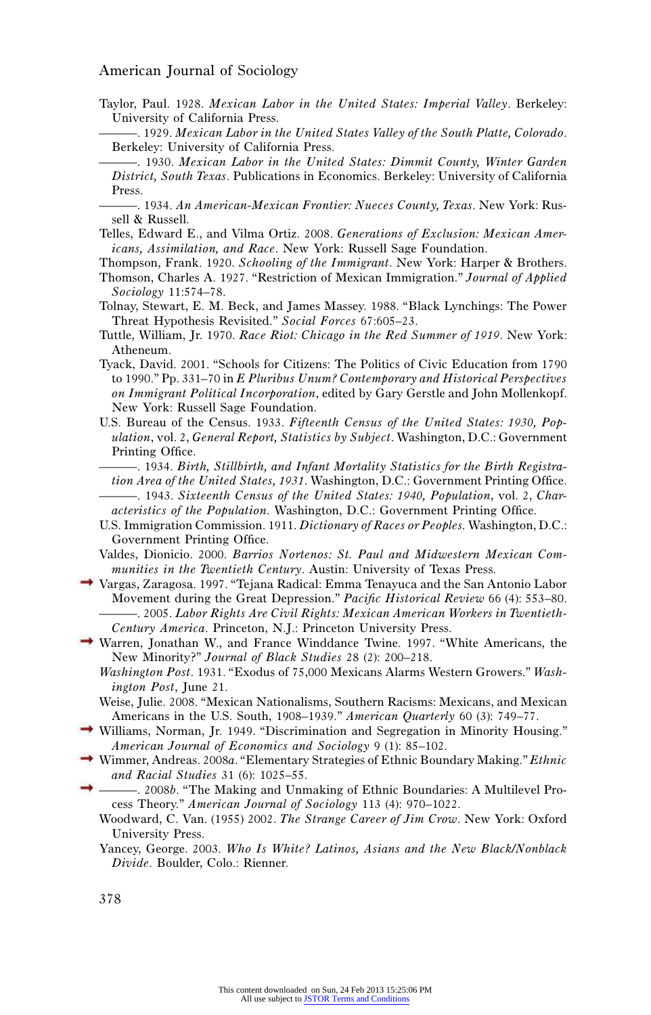Taylor, Paul. 1928. *Mexican Labor in the United States: Imperial Valley*. Berkeley: University of California Press.

———. 1934. *An American-Mexican Frontier: Nueces County, Texas*. New York: Russell & Russell.

- Telles, Edward E., and Vilma Ortiz. 2008. *Generations of Exclusion: Mexican Americans, Assimilation, and Race*. New York: Russell Sage Foundation.
- Thompson, Frank. 1920. *Schooling of the Immigrant*. New York: Harper & Brothers. Thomson, Charles A. 1927. "Restriction of Mexican Immigration." *Journal of Applied Sociology* 11:574–78.
- Tolnay, Stewart, E. M. Beck, and James Massey. 1988. "Black Lynchings: The Power Threat Hypothesis Revisited." *Social Forces* 67:605–23.
- Tuttle, William, Jr. 1970. *Race Riot: Chicago in the Red Summer of 1919*. New York: Atheneum.
- Tyack, David. 2001. "Schools for Citizens: The Politics of Civic Education from 1790 to 1990." Pp. 331–70 in *E Pluribus Unum? Contemporary and Historical Perspectives on Immigrant Political Incorporation*, edited by Gary Gerstle and John Mollenkopf. New York: Russell Sage Foundation.
- U.S. Bureau of the Census. 1933. *Fifteenth Census of the United States: 1930, Population*, vol. 2, *General Report, Statistics by Subject*. Washington, D.C.: Government Printing Office.
- ———. 1934. *Birth, Stillbirth, and Infant Mortality Statistics for the Birth Registration Area of the United States, 1931*. Washington, D.C.: Government Printing Office.
- ———. 1943. *Sixteenth Census of the United States: 1940, Population*, vol. 2, *Characteristics of the Population*. Washington, D.C.: Government Printing Office.
- U.S. Immigration Commission. 1911. *Dictionary of Races or Peoples.* Washington, D.C.: Government Printing Office.
- Valdes, Dionicio. 2000. *Barrios Nortenos: St. Paul and Midwestern Mexican Communities in the Twentieth Century*. Austin: University of Texas Press.
- Vargas, Zaragosa. 1997. "Tejana Radical: Emma Tenayuca and the San Antonio Labor Movement during the Great Depression." *Pacific Historical Review* 66 (4): 553–80. ———. 2005. *Labor Rights Are Civil Rights: Mexican American Workers in Twentieth-Century America*. Princeton, N.J.: Princeton University Press.
- Warren, Jonathan W., and France Winddance Twine. 1997. "White Americans, the New Minority?" *Journal of Black Studies* 28 (2): 200–218.

*Washington Post*. 1931. "Exodus of 75,000 Mexicans Alarms Western Growers." *Washington Post*, June 21.

- Weise, Julie. 2008. "Mexican Nationalisms, Southern Racisms: Mexicans, and Mexican Americans in the U.S. South, 1908–1939." *American Quarterly* 60 (3): 749–77.
- Williams, Norman, Jr. 1949. "Discrimination and Segregation in Minority Housing." *American Journal of Economics and Sociology* 9 (1): 85–102.
- Wimmer, Andreas. 2008*a*. "Elementary Strategies of Ethnic Boundary Making." *Ethnic and Racial Studies* 31 (6): 1025–55.
- ———. 2008*b*. "The Making and Unmaking of Ethnic Boundaries: A Multilevel Process Theory." *American Journal of Sociology* 113 (4): 970–1022.
	- Woodward, C. Van. (1955) 2002. *The Strange Career of Jim Crow*. New York: Oxford University Press.

Yancey, George. 2003. *Who Is White? Latinos, Asians and the New Black/Nonblack Divide*. Boulder, Colo.: Rienner.

<sup>———. 1929.</sup> *Mexican Labor in the United States Valley of the South Platte, Colorado*. Berkeley: University of California Press.

<sup>———. 1930.</sup> *Mexican Labor in the United States: Dimmit County, Winter Garden District, South Texas*. Publications in Economics. Berkeley: University of California Press.